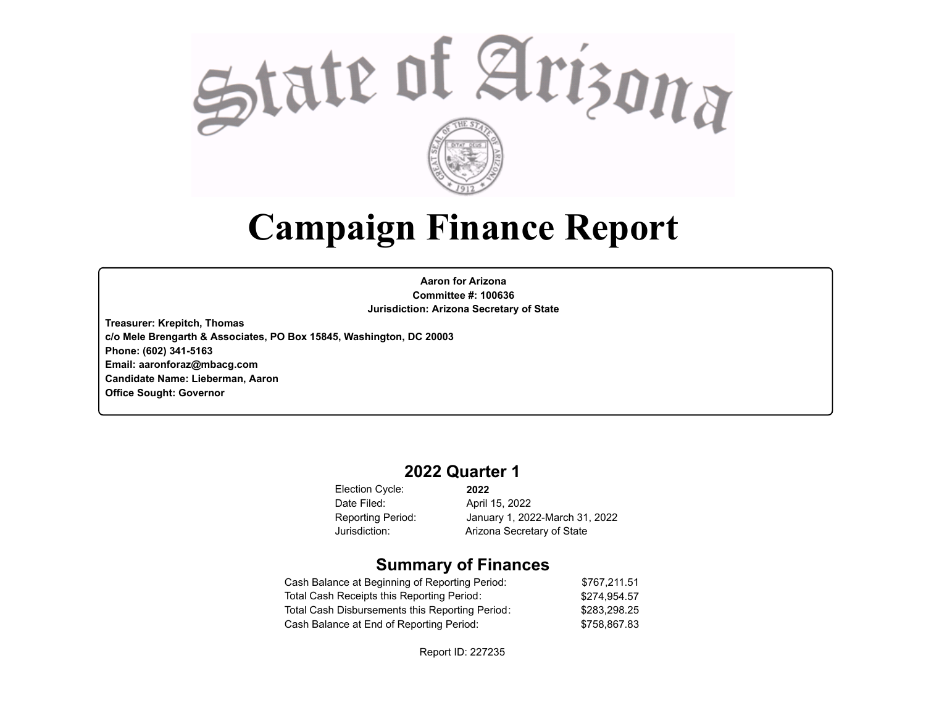

# **Campaign Finance Report**

**Aaron for Arizona Committee #: 100636 Jurisdiction: Arizona Secretary of State**

**Treasurer: Krepitch, Thomas c/o Mele Brengarth & Associates, PO Box 15845, Washington, DC 20003 Phone: (602) 341-5163 Email: aaronforaz@mbacg.com Candidate Name: Lieberman, Aaron Office Sought: Governor**

# **2022 Quarter 1**

Election Cycle: Date Filed:

**2022** April 15, 2022 Reporting Period: January 1, 2022-March 31, 2022 Jurisdiction: Arizona Secretary of State

# **Summary of Finances**

| Cash Balance at Beginning of Reporting Period:  | \$767.211.51 |
|-------------------------------------------------|--------------|
| Total Cash Receipts this Reporting Period:      | \$274.954.57 |
| Total Cash Disbursements this Reporting Period: | \$283.298.25 |
| Cash Balance at End of Reporting Period:        | \$758.867.83 |

Report ID: 227235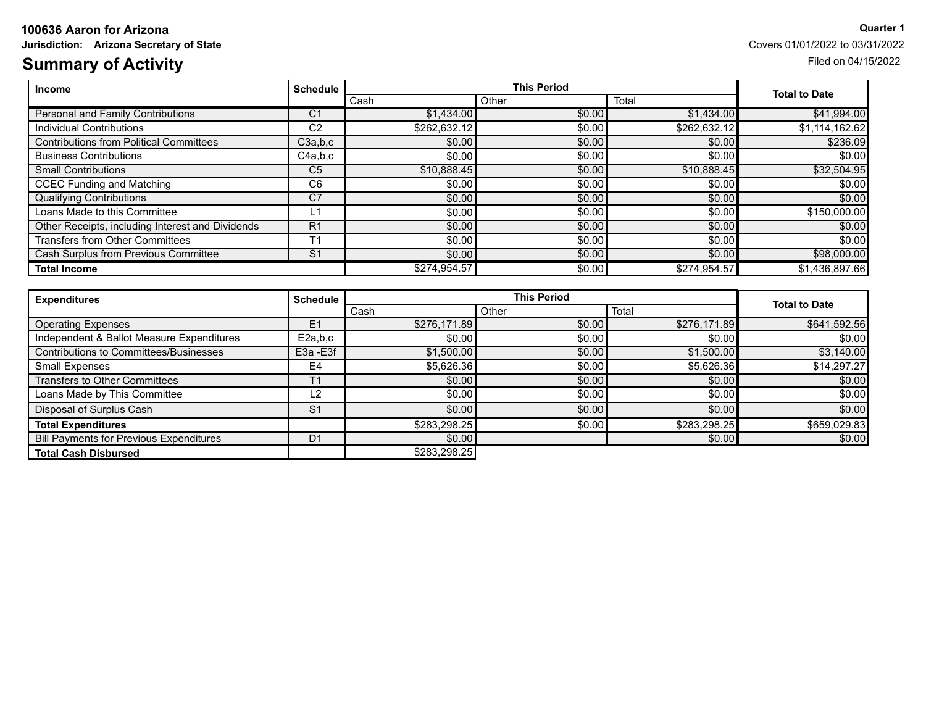# **100636 Aaron for Arizona Quarter 1**

# **Summary of Activity** Filed on 04/15/2022

**Jurisdiction:** Arizona Secretary of State Covers 01/01/2022 to 03/31/2022

| <b>Income</b>                                    | <b>Schedule</b> |              | <b>This Period</b> |              |                      |
|--------------------------------------------------|-----------------|--------------|--------------------|--------------|----------------------|
|                                                  |                 | Cash         | Other              | Total        | <b>Total to Date</b> |
| Personal and Family Contributions                | C <sub>1</sub>  | \$1,434,00   | \$0.00             | \$1,434.00   | \$41,994.00          |
| Individual Contributions                         | C <sub>2</sub>  | \$262,632.12 | \$0.00             | \$262,632.12 | \$1,114,162.62       |
| <b>Contributions from Political Committees</b>   | C3a,b,c         | \$0.00       | \$0.00             | \$0.00       | \$236.09             |
| <b>Business Contributions</b>                    | C4a,b,c         | \$0.00       | \$0.00             | \$0.00       | \$0.00               |
| <b>Small Contributions</b>                       | C <sub>5</sub>  | \$10,888.45  | \$0.00             | \$10,888.45  | \$32,504.95          |
| <b>CCEC Funding and Matching</b>                 | C <sub>6</sub>  | \$0.00       | \$0.00             | \$0.00       | \$0.00               |
| <b>Qualifying Contributions</b>                  | C7              | \$0.00       | \$0.00             | \$0.00       | \$0.00               |
| Loans Made to this Committee                     | 1ء              | \$0.00       | \$0.00             | \$0.00       | \$150,000.00         |
| Other Receipts, including Interest and Dividends | R <sub>1</sub>  | \$0.00       | \$0.00             | \$0.00       | \$0.00               |
| Transfers from Other Committees                  | T <sub>1</sub>  | \$0.00       | \$0.00             | \$0.00       | \$0.00               |
| Cash Surplus from Previous Committee             | S <sub>1</sub>  | \$0.00       | \$0.00             | \$0.00       | \$98,000.00          |
| <b>Total Income</b>                              |                 | \$274.954.57 | \$0.00             | \$274,954.57 | \$1,436,897.66       |

| <b>Expenditures</b>                            | <b>Schedule</b> |              | <b>This Period</b> |              |                      |
|------------------------------------------------|-----------------|--------------|--------------------|--------------|----------------------|
|                                                |                 | Cash         | Other              | Total        | <b>Total to Date</b> |
| <b>Operating Expenses</b>                      | E1              | \$276,171.89 | \$0.00             | \$276,171.89 | \$641,592.56         |
| Independent & Ballot Measure Expenditures      | E2a.b.c         | \$0.00       | \$0.00             | \$0.00       | \$0.00               |
| Contributions to Committees/Businesses         | E3a - E3f       | \$1,500.00   | \$0.00             | \$1,500.00   | \$3,140.00           |
| <b>Small Expenses</b>                          | E4              | \$5,626.36   | \$0.00             | \$5,626.36   | \$14,297.27          |
| <b>Transfers to Other Committees</b>           |                 | \$0.00       | \$0.00             | \$0.00       | \$0.00               |
| Loans Made by This Committee                   | L2              | \$0.00       | \$0.00             | \$0.00       | \$0.00               |
| Disposal of Surplus Cash                       | S <sub>1</sub>  | \$0.00]      | \$0.00             | \$0.00       | \$0.00               |
| <b>Total Expenditures</b>                      |                 | \$283,298.25 | \$0.00             | \$283,298.25 | \$659,029.83         |
| <b>Bill Payments for Previous Expenditures</b> | D <sub>1</sub>  | \$0.00       |                    | \$0.00       | \$0.00               |
| <b>Total Cash Disbursed</b>                    |                 | \$283,298.25 |                    |              |                      |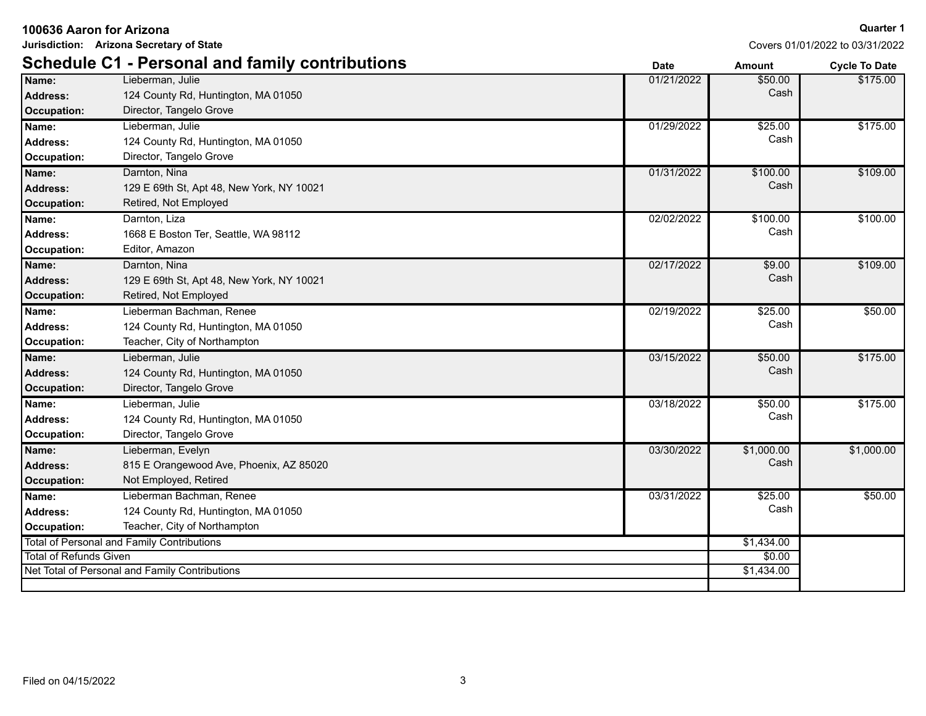|  |  |  | 100636 Aaron for Arizona |
|--|--|--|--------------------------|
|--|--|--|--------------------------|

**Jurisdiction: Arizona Secretary of State**

|                               | <b>Schedule C1 - Personal and family contributions</b> | <b>Date</b> | <b>Amount</b> | <b>Cycle To Date</b> |
|-------------------------------|--------------------------------------------------------|-------------|---------------|----------------------|
| Name:                         | Lieberman, Julie                                       | 01/21/2022  | \$50.00       | \$175.00             |
| Address:                      | 124 County Rd, Huntington, MA 01050                    |             | Cash          |                      |
| Occupation:                   | Director, Tangelo Grove                                |             |               |                      |
| Name:                         | Lieberman, Julie                                       | 01/29/2022  | \$25.00       | \$175.00             |
| Address:                      | 124 County Rd, Huntington, MA 01050                    |             | Cash          |                      |
| Occupation:                   | Director, Tangelo Grove                                |             |               |                      |
| Name:                         | Darnton, Nina                                          | 01/31/2022  | \$100.00      | \$109.00             |
| <b>Address:</b>               | 129 E 69th St, Apt 48, New York, NY 10021              |             | Cash          |                      |
| <b>Occupation:</b>            | Retired, Not Employed                                  |             |               |                      |
| Name:                         | Darnton, Liza                                          | 02/02/2022  | \$100.00      | \$100.00             |
| <b>Address:</b>               | 1668 E Boston Ter, Seattle, WA 98112                   |             | Cash          |                      |
| Occupation:                   | Editor, Amazon                                         |             |               |                      |
| Name:                         | Darnton, Nina                                          | 02/17/2022  | \$9.00        | \$109.00             |
| <b>Address:</b>               | 129 E 69th St, Apt 48, New York, NY 10021              |             | Cash          |                      |
| <b>Occupation:</b>            | Retired, Not Employed                                  |             |               |                      |
| Name:                         | Lieberman Bachman, Renee                               | 02/19/2022  | \$25.00       | \$50.00              |
| <b>Address:</b>               | 124 County Rd, Huntington, MA 01050                    |             | Cash          |                      |
| Occupation:                   | Teacher, City of Northampton                           |             |               |                      |
| Name:                         | Lieberman, Julie                                       | 03/15/2022  | \$50.00       | \$175.00             |
| Address:                      | 124 County Rd, Huntington, MA 01050                    |             | Cash          |                      |
| Occupation:                   | Director, Tangelo Grove                                |             |               |                      |
| Name:                         | Lieberman, Julie                                       | 03/18/2022  | \$50.00       | \$175.00             |
| Address:                      | 124 County Rd, Huntington, MA 01050                    |             | Cash          |                      |
| Occupation:                   | Director, Tangelo Grove                                |             |               |                      |
| Name:                         | Lieberman, Evelyn                                      | 03/30/2022  | \$1,000.00    | \$1,000.00           |
| Address:                      | 815 E Orangewood Ave, Phoenix, AZ 85020                |             | Cash          |                      |
| Occupation:                   | Not Employed, Retired                                  |             |               |                      |
| Name:                         | Lieberman Bachman, Renee                               | 03/31/2022  | \$25.00       | \$50.00              |
| <b>Address:</b>               | 124 County Rd, Huntington, MA 01050                    |             | Cash          |                      |
| <b>Occupation:</b>            | Teacher, City of Northampton                           |             |               |                      |
|                               | Total of Personal and Family Contributions             |             | \$1,434.00    |                      |
| <b>Total of Refunds Given</b> |                                                        |             | \$0.00        |                      |
|                               | Net Total of Personal and Family Contributions         |             | \$1,434.00    |                      |
|                               |                                                        |             |               |                      |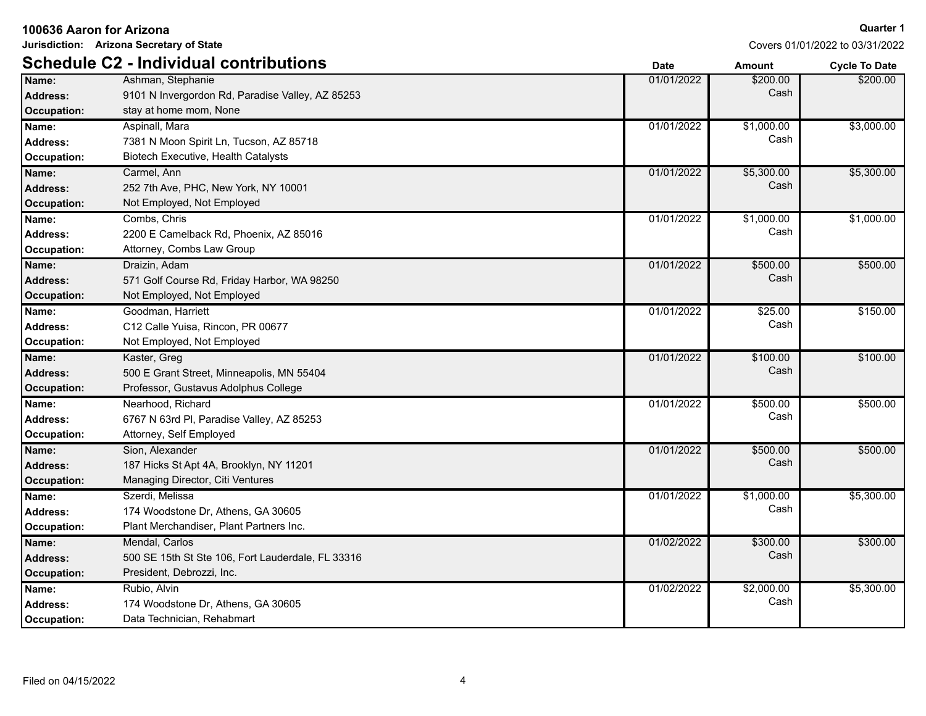| Jurisdiction: Arizona Secretary of State |                                                   |             | Covers 01/01/2022 to 03/31/2022 |                      |
|------------------------------------------|---------------------------------------------------|-------------|---------------------------------|----------------------|
|                                          | <b>Schedule C2 - Individual contributions</b>     | <b>Date</b> | <b>Amount</b>                   | <b>Cycle To Date</b> |
| Name:                                    | Ashman, Stephanie                                 | 01/01/2022  | \$200.00                        | \$200.00             |
| <b>Address:</b>                          | 9101 N Invergordon Rd, Paradise Valley, AZ 85253  |             | Cash                            |                      |
| <b>Occupation:</b>                       | stay at home mom, None                            |             |                                 |                      |
| Name:                                    | Aspinall, Mara                                    | 01/01/2022  | \$1,000.00                      | \$3,000.00           |
| Address:                                 | 7381 N Moon Spirit Ln, Tucson, AZ 85718           |             | Cash                            |                      |
| <b>Occupation:</b>                       | Biotech Executive, Health Catalysts               |             |                                 |                      |
| Name:                                    | Carmel, Ann                                       | 01/01/2022  | \$5,300.00                      | \$5,300.00           |
| <b>Address:</b>                          | 252 7th Ave, PHC, New York, NY 10001              |             | Cash                            |                      |
| Occupation:                              | Not Employed, Not Employed                        |             |                                 |                      |
| Name:                                    | Combs, Chris                                      | 01/01/2022  | \$1,000.00                      | \$1,000.00           |
| <b>Address:</b>                          | 2200 E Camelback Rd, Phoenix, AZ 85016            |             | Cash                            |                      |
| Occupation:                              | Attorney, Combs Law Group                         |             |                                 |                      |
| Name:                                    | Draizin, Adam                                     | 01/01/2022  | \$500.00                        | \$500.00             |
| <b>Address:</b>                          | 571 Golf Course Rd, Friday Harbor, WA 98250       |             | Cash                            |                      |
| <b>Occupation:</b>                       | Not Employed, Not Employed                        |             |                                 |                      |
| Name:                                    | Goodman, Harriett                                 | 01/01/2022  | \$25.00                         | \$150.00             |
| Address:                                 | C12 Calle Yuisa, Rincon, PR 00677                 |             | Cash                            |                      |
| <b>Occupation:</b>                       | Not Employed, Not Employed                        |             |                                 |                      |
| Name:                                    | Kaster, Greg                                      | 01/01/2022  | \$100.00                        | \$100.00             |
| <b>Address:</b>                          | 500 E Grant Street, Minneapolis, MN 55404         |             | Cash                            |                      |
| <b>Occupation:</b>                       | Professor, Gustavus Adolphus College              |             |                                 |                      |
| Name:                                    | Nearhood, Richard                                 | 01/01/2022  | \$500.00                        | \$500.00             |
| Address:                                 | 6767 N 63rd Pl, Paradise Valley, AZ 85253         |             | Cash                            |                      |
| Occupation:                              | Attorney, Self Employed                           |             |                                 |                      |
| Name:                                    | Sion, Alexander                                   | 01/01/2022  | \$500.00                        | \$500.00             |
| <b>Address:</b>                          | 187 Hicks St Apt 4A, Brooklyn, NY 11201           |             | Cash                            |                      |
| <b>Occupation:</b>                       | Managing Director, Citi Ventures                  |             |                                 |                      |
| Name:                                    | Szerdi, Melissa                                   | 01/01/2022  | \$1,000.00                      | \$5,300.00           |
| <b>Address:</b>                          | 174 Woodstone Dr, Athens, GA 30605                |             | Cash                            |                      |
| Occupation:                              | Plant Merchandiser, Plant Partners Inc.           |             |                                 |                      |
| Name:                                    | Mendal, Carlos                                    | 01/02/2022  | \$300.00                        | \$300.00             |
| <b>Address:</b>                          | 500 SE 15th St Ste 106, Fort Lauderdale, FL 33316 |             | Cash                            |                      |
| <b>Occupation:</b>                       | President, Debrozzi, Inc.                         |             |                                 |                      |
| Name:                                    | Rubio, Alvin                                      | 01/02/2022  | \$2,000.00                      | \$5,300.00           |
| Address:                                 | 174 Woodstone Dr, Athens, GA 30605                |             | Cash                            |                      |
| Occupation:                              | Data Technician, Rehabmart                        |             |                                 |                      |

4

**100636 Aaron for Arizona**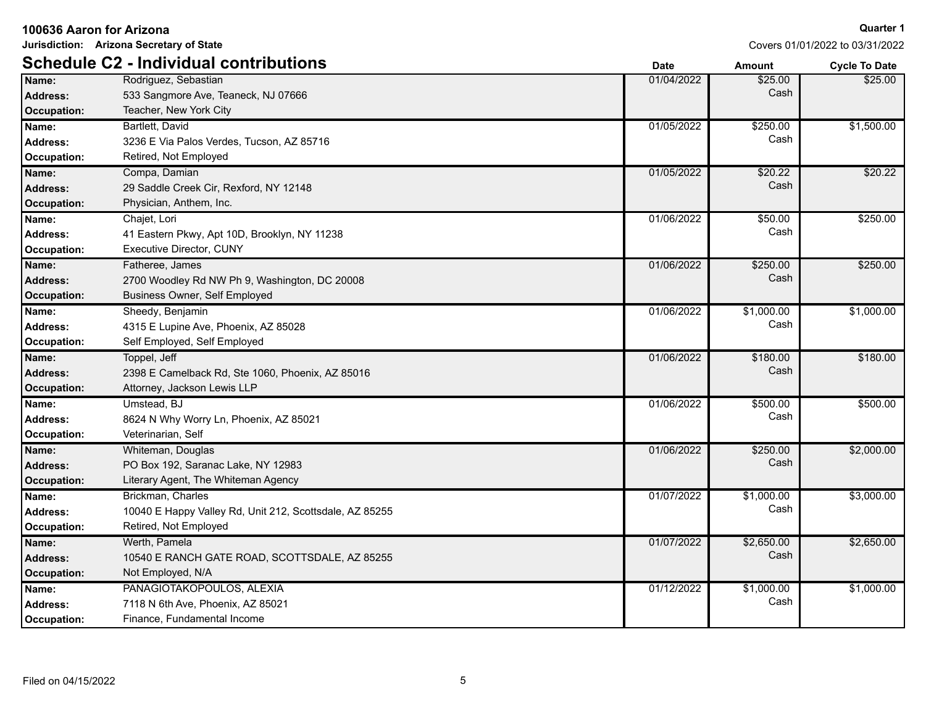| 100636 Aaron for Arizona |                                                         |             |               | <b>Quarter 1</b>                |
|--------------------------|---------------------------------------------------------|-------------|---------------|---------------------------------|
|                          | Jurisdiction: Arizona Secretary of State                |             |               | Covers 01/01/2022 to 03/31/2022 |
|                          | <b>Schedule C2 - Individual contributions</b>           | <b>Date</b> | <b>Amount</b> | <b>Cycle To Date</b>            |
| Name:                    | Rodriguez, Sebastian                                    | 01/04/2022  | \$25.00       | \$25.00                         |
| <b>Address:</b>          | 533 Sangmore Ave, Teaneck, NJ 07666                     |             | Cash          |                                 |
| Occupation:              | Teacher, New York City                                  |             |               |                                 |
| Name:                    | Bartlett, David                                         | 01/05/2022  | \$250.00      | \$1,500.00                      |
| <b>Address:</b>          | 3236 E Via Palos Verdes, Tucson, AZ 85716               |             | Cash          |                                 |
| Occupation:              | Retired, Not Employed                                   |             |               |                                 |
| Name:                    | Compa, Damian                                           | 01/05/2022  | \$20.22       | \$20.22                         |
| <b>Address:</b>          | 29 Saddle Creek Cir, Rexford, NY 12148                  |             | Cash          |                                 |
| Occupation:              | Physician, Anthem, Inc.                                 |             |               |                                 |
| Name:                    | Chajet, Lori                                            | 01/06/2022  | \$50.00       | \$250.00                        |
| <b>Address:</b>          | 41 Eastern Pkwy, Apt 10D, Brooklyn, NY 11238            |             | Cash          |                                 |
| Occupation:              | <b>Executive Director, CUNY</b>                         |             |               |                                 |
| Name:                    | Fatheree, James                                         | 01/06/2022  | \$250.00      | \$250.00                        |
| <b>Address:</b>          | 2700 Woodley Rd NW Ph 9, Washington, DC 20008           |             | Cash          |                                 |
| Occupation:              | Business Owner, Self Employed                           |             |               |                                 |
| Name:                    | Sheedy, Benjamin                                        | 01/06/2022  | \$1,000.00    | \$1,000.00                      |
| <b>Address:</b>          | 4315 E Lupine Ave, Phoenix, AZ 85028                    |             | Cash          |                                 |
| Occupation:              | Self Employed, Self Employed                            |             |               |                                 |
| Name:                    | Toppel, Jeff                                            | 01/06/2022  | \$180.00      | \$180.00                        |
| <b>Address:</b>          | 2398 E Camelback Rd, Ste 1060, Phoenix, AZ 85016        |             | Cash          |                                 |
| <b>Occupation:</b>       | Attorney, Jackson Lewis LLP                             |             |               |                                 |
| Name:                    | Umstead, BJ                                             | 01/06/2022  | \$500.00      | \$500.00                        |
| <b>Address:</b>          | 8624 N Why Worry Ln, Phoenix, AZ 85021                  |             | Cash          |                                 |
| Occupation:              | Veterinarian, Self                                      |             |               |                                 |
| Name:                    | Whiteman, Douglas                                       | 01/06/2022  | \$250.00      | \$2,000.00                      |
| <b>Address:</b>          | PO Box 192, Saranac Lake, NY 12983                      |             | Cash          |                                 |
| <b>Occupation:</b>       | Literary Agent, The Whiteman Agency                     |             |               |                                 |
| Name:                    | Brickman, Charles                                       | 01/07/2022  | \$1,000.00    | \$3,000.00                      |
| <b>Address:</b>          | 10040 E Happy Valley Rd, Unit 212, Scottsdale, AZ 85255 |             | Cash          |                                 |
| Occupation:              | Retired, Not Employed                                   |             |               |                                 |
| Name:                    | Werth, Pamela                                           | 01/07/2022  | \$2,650.00    | \$2,650.00                      |
| <b>Address:</b>          | 10540 E RANCH GATE ROAD, SCOTTSDALE, AZ 85255           |             | Cash          |                                 |
| <b>Occupation:</b>       | Not Employed, N/A                                       |             |               |                                 |
| Name:                    | PANAGIOTAKOPOULOS, ALEXIA                               | 01/12/2022  | \$1,000.00    | \$1,000.00                      |
| <b>Address:</b>          | 7118 N 6th Ave, Phoenix, AZ 85021                       |             | Cash          |                                 |
| Occupation:              | Finance, Fundamental Income                             |             |               |                                 |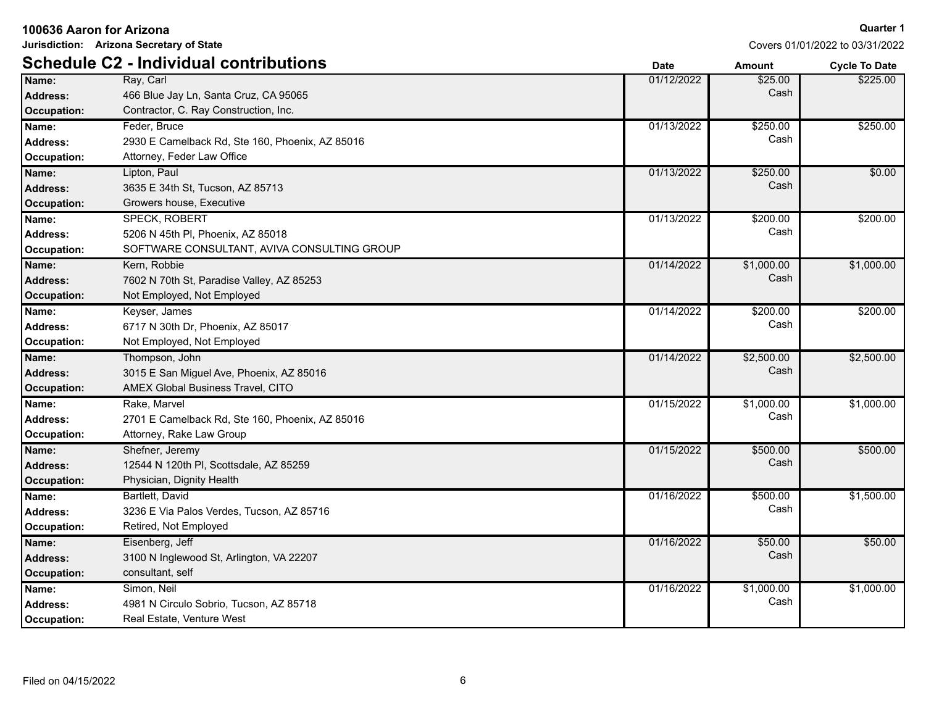| Jurisdiction: Arizona Secretary of State |                                                 |             | Covers 01/01/2022 to 03/31/2022 |                      |
|------------------------------------------|-------------------------------------------------|-------------|---------------------------------|----------------------|
|                                          | <b>Schedule C2 - Individual contributions</b>   | <b>Date</b> | <b>Amount</b>                   | <b>Cycle To Date</b> |
| Name:                                    | Ray, Carl                                       | 01/12/2022  | \$25.00                         | \$225.00             |
| <b>Address:</b>                          | 466 Blue Jay Ln, Santa Cruz, CA 95065           |             | Cash                            |                      |
| <b>Occupation:</b>                       | Contractor, C. Ray Construction, Inc.           |             |                                 |                      |
| Name:                                    | Feder, Bruce                                    | 01/13/2022  | \$250.00                        | \$250.00             |
| <b>Address:</b>                          | 2930 E Camelback Rd, Ste 160, Phoenix, AZ 85016 |             | Cash                            |                      |
| Occupation:                              | Attorney, Feder Law Office                      |             |                                 |                      |
| Name:                                    | Lipton, Paul                                    | 01/13/2022  | \$250.00                        | \$0.00               |
| <b>Address:</b>                          | 3635 E 34th St, Tucson, AZ 85713                |             | Cash                            |                      |
| Occupation:                              | Growers house, Executive                        |             |                                 |                      |
| Name:                                    | <b>SPECK, ROBERT</b>                            | 01/13/2022  | \$200.00                        | \$200.00             |
| Address:                                 | 5206 N 45th PI, Phoenix, AZ 85018               |             | Cash                            |                      |
| Occupation:                              | SOFTWARE CONSULTANT, AVIVA CONSULTING GROUP     |             |                                 |                      |
| Name:                                    | Kern, Robbie                                    | 01/14/2022  | \$1,000.00                      | \$1,000.00           |
| <b>Address:</b>                          | 7602 N 70th St, Paradise Valley, AZ 85253       |             | Cash                            |                      |
| <b>Occupation:</b>                       | Not Employed, Not Employed                      |             |                                 |                      |
| Name:                                    | Keyser, James                                   | 01/14/2022  | \$200.00                        | \$200.00             |
| <b>Address:</b>                          | 6717 N 30th Dr, Phoenix, AZ 85017               |             | Cash                            |                      |
| Occupation:                              | Not Employed, Not Employed                      |             |                                 |                      |
| Name:                                    | Thompson, John                                  | 01/14/2022  | \$2,500.00                      | \$2,500.00           |
| <b>Address:</b>                          | 3015 E San Miguel Ave, Phoenix, AZ 85016        |             | Cash                            |                      |
| <b>Occupation:</b>                       | AMEX Global Business Travel, CITO               |             |                                 |                      |
| Name:                                    | Rake, Marvel                                    | 01/15/2022  | \$1,000.00                      | \$1,000.00           |
| <b>Address:</b>                          | 2701 E Camelback Rd, Ste 160, Phoenix, AZ 85016 |             | Cash                            |                      |
| Occupation:                              | Attorney, Rake Law Group                        |             |                                 |                      |
| Name:                                    | Shefner, Jeremy                                 | 01/15/2022  | \$500.00                        | \$500.00             |
| <b>Address:</b>                          | 12544 N 120th PI, Scottsdale, AZ 85259          |             | Cash                            |                      |
| <b>Occupation:</b>                       | Physician, Dignity Health                       |             |                                 |                      |
| Name:                                    | Bartlett, David                                 | 01/16/2022  | \$500.00                        | \$1,500.00           |
| Address:                                 | 3236 E Via Palos Verdes, Tucson, AZ 85716       |             | Cash                            |                      |
| <b>Occupation:</b>                       | Retired, Not Employed                           |             |                                 |                      |
| Name:                                    | Eisenberg, Jeff                                 | 01/16/2022  | \$50.00                         | \$50.00              |
| Address:                                 | 3100 N Inglewood St, Arlington, VA 22207        |             | Cash                            |                      |
| Occupation:                              | consultant, self                                |             |                                 |                      |
| Name:                                    | Simon, Neil                                     | 01/16/2022  | \$1,000.00                      | \$1,000.00           |
| <b>Address:</b>                          | 4981 N Circulo Sobrio, Tucson, AZ 85718         |             | Cash                            |                      |
| Occupation:                              | Real Estate, Venture West                       |             |                                 |                      |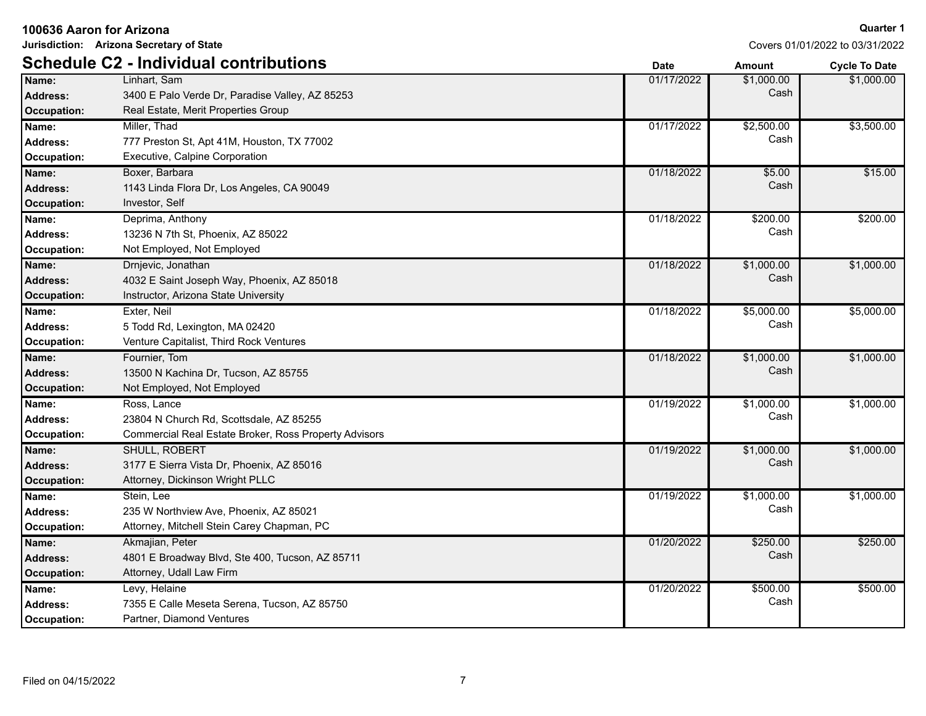|  | 100636 Aaron for Arizona |
|--|--------------------------|
|--|--------------------------|

**Jurisdiction: Arizona Secretary of State**

|                 | <b>Schedule C2 - Individual contributions</b>         | <b>Date</b> | Amount     | <b>Cycle To Date</b> |
|-----------------|-------------------------------------------------------|-------------|------------|----------------------|
| Name:           | Linhart. Sam                                          | 01/17/2022  | \$1,000.00 | \$1,000.00           |
| <b>Address:</b> | 3400 E Palo Verde Dr, Paradise Valley, AZ 85253       |             | Cash       |                      |
| Occupation:     | Real Estate, Merit Properties Group                   |             |            |                      |
| Name:           | Miller, Thad                                          | 01/17/2022  | \$2,500.00 | \$3,500.00           |
| Address:        | 777 Preston St, Apt 41M, Houston, TX 77002            |             | Cash       |                      |
| Occupation:     | Executive, Calpine Corporation                        |             |            |                      |
| Name:           | Boxer, Barbara                                        | 01/18/2022  | \$5.00     | \$15.00              |
| <b>Address:</b> | 1143 Linda Flora Dr, Los Angeles, CA 90049            |             | Cash       |                      |
| Occupation:     | Investor, Self                                        |             |            |                      |
| Name:           | Deprima, Anthony                                      | 01/18/2022  | \$200.00   | \$200.00             |
| Address:        | 13236 N 7th St, Phoenix, AZ 85022                     |             | Cash       |                      |
| Occupation:     | Not Employed, Not Employed                            |             |            |                      |
| Name:           | Drnjevic, Jonathan                                    | 01/18/2022  | \$1,000.00 | \$1,000.00           |
| <b>Address:</b> | 4032 E Saint Joseph Way, Phoenix, AZ 85018            |             | Cash       |                      |
| Occupation:     | Instructor, Arizona State University                  |             |            |                      |
| Name:           | Exter, Neil                                           | 01/18/2022  | \$5,000.00 | \$5,000.00           |
| Address:        | 5 Todd Rd, Lexington, MA 02420                        |             | Cash       |                      |
| Occupation:     | Venture Capitalist, Third Rock Ventures               |             |            |                      |
| Name:           | Fournier, Tom                                         | 01/18/2022  | \$1,000.00 | \$1,000.00           |
| <b>Address:</b> | 13500 N Kachina Dr, Tucson, AZ 85755                  |             | Cash       |                      |
| Occupation:     | Not Employed, Not Employed                            |             |            |                      |
| Name:           | Ross, Lance                                           | 01/19/2022  | \$1,000.00 | \$1,000.00           |
| Address:        | 23804 N Church Rd, Scottsdale, AZ 85255               |             | Cash       |                      |
| Occupation:     | Commercial Real Estate Broker, Ross Property Advisors |             |            |                      |
| Name:           | SHULL, ROBERT                                         | 01/19/2022  | \$1,000.00 | \$1,000.00           |
| <b>Address:</b> | 3177 E Sierra Vista Dr, Phoenix, AZ 85016             |             | Cash       |                      |
| Occupation:     | Attorney, Dickinson Wright PLLC                       |             |            |                      |
| Name:           | Stein, Lee                                            | 01/19/2022  | \$1,000.00 | \$1,000.00           |
| <b>Address:</b> | 235 W Northview Ave, Phoenix, AZ 85021                |             | Cash       |                      |
| Occupation:     | Attorney, Mitchell Stein Carey Chapman, PC            |             |            |                      |
| Name:           | Akmajian, Peter                                       | 01/20/2022  | \$250.00   | \$250.00             |
| Address:        | 4801 E Broadway Blvd, Ste 400, Tucson, AZ 85711       |             | Cash       |                      |
| Occupation:     | Attorney, Udall Law Firm                              |             |            |                      |
| Name:           | Levy, Helaine                                         | 01/20/2022  | \$500.00   | \$500.00             |
| <b>Address:</b> | 7355 E Calle Meseta Serena, Tucson, AZ 85750          |             | Cash       |                      |
| Occupation:     | Partner, Diamond Ventures                             |             |            |                      |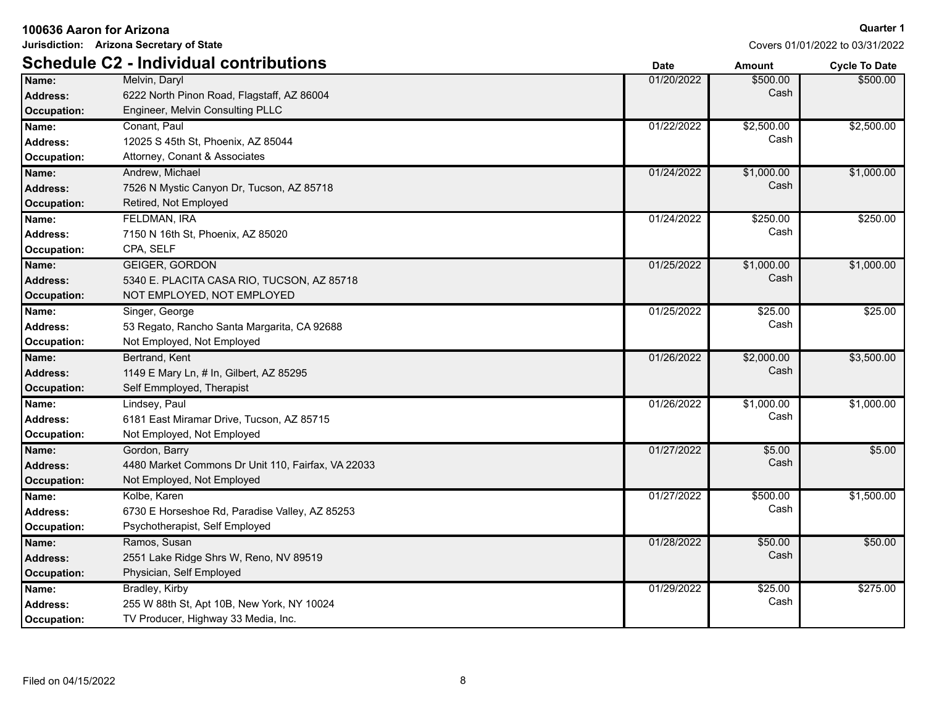| 100636 Aaron for Arizona |                                                    |             | <b>Quarter 1</b> |                                 |
|--------------------------|----------------------------------------------------|-------------|------------------|---------------------------------|
|                          | Jurisdiction: Arizona Secretary of State           |             |                  | Covers 01/01/2022 to 03/31/2022 |
|                          | <b>Schedule C2 - Individual contributions</b>      | <b>Date</b> | <b>Amount</b>    | <b>Cycle To Date</b>            |
| Name:                    | Melvin, Daryl                                      | 01/20/2022  | \$500.00         | \$500.00                        |
| <b>Address:</b>          | 6222 North Pinon Road, Flagstaff, AZ 86004         |             | Cash             |                                 |
| <b>Occupation:</b>       | Engineer, Melvin Consulting PLLC                   |             |                  |                                 |
| Name:                    | Conant, Paul                                       | 01/22/2022  | \$2,500.00       | \$2,500.00                      |
| <b>Address:</b>          | 12025 S 45th St, Phoenix, AZ 85044                 |             | Cash             |                                 |
| Occupation:              | Attorney, Conant & Associates                      |             |                  |                                 |
| Name:                    | Andrew, Michael                                    | 01/24/2022  | \$1,000.00       | \$1,000.00                      |
| <b>Address:</b>          | 7526 N Mystic Canyon Dr, Tucson, AZ 85718          |             | Cash             |                                 |
| <b>Occupation:</b>       | Retired, Not Employed                              |             |                  |                                 |
| Name:                    | <b>FELDMAN, IRA</b>                                | 01/24/2022  | \$250.00         | \$250.00                        |
| <b>Address:</b>          | 7150 N 16th St, Phoenix, AZ 85020                  |             | Cash             |                                 |
| <b>Occupation:</b>       | CPA, SELF                                          |             |                  |                                 |
| Name:                    | <b>GEIGER, GORDON</b>                              | 01/25/2022  | \$1,000.00       | \$1,000.00                      |
| <b>Address:</b>          | 5340 E. PLACITA CASA RIO, TUCSON, AZ 85718         |             | Cash             |                                 |
| <b>Occupation:</b>       | NOT EMPLOYED, NOT EMPLOYED                         |             |                  |                                 |
| Name:                    | Singer, George                                     | 01/25/2022  | \$25.00          | \$25.00                         |
| <b>Address:</b>          | 53 Regato, Rancho Santa Margarita, CA 92688        |             | Cash             |                                 |
| Occupation:              | Not Employed, Not Employed                         |             |                  |                                 |
| Name:                    | Bertrand, Kent                                     | 01/26/2022  | \$2,000.00       | \$3,500.00                      |
| <b>Address:</b>          | 1149 E Mary Ln, # In, Gilbert, AZ 85295            |             | Cash             |                                 |
| <b>Occupation:</b>       | Self Emmployed, Therapist                          |             |                  |                                 |
| Name:                    | Lindsey, Paul                                      | 01/26/2022  | \$1,000.00       | \$1,000.00                      |
| <b>Address:</b>          | 6181 East Miramar Drive, Tucson, AZ 85715          |             | Cash             |                                 |
| <b>Occupation:</b>       | Not Employed, Not Employed                         |             |                  |                                 |
| Name:                    | Gordon, Barry                                      | 01/27/2022  | \$5.00           | \$5.00                          |
| <b>Address:</b>          | 4480 Market Commons Dr Unit 110, Fairfax, VA 22033 |             | Cash             |                                 |
| <b>Occupation:</b>       | Not Employed, Not Employed                         |             |                  |                                 |
| Name:                    | Kolbe, Karen                                       | 01/27/2022  | \$500.00         | \$1,500.00                      |
| <b>Address:</b>          | 6730 E Horseshoe Rd, Paradise Valley, AZ 85253     |             | Cash             |                                 |
| Occupation:              | Psychotherapist, Self Employed                     |             |                  |                                 |
| Name:                    | Ramos, Susan                                       | 01/28/2022  | \$50.00          | \$50.00                         |
| Address:                 | 2551 Lake Ridge Shrs W, Reno, NV 89519             |             | Cash             |                                 |
| Occupation:              | Physician, Self Employed                           |             |                  |                                 |
| Name:                    | Bradley, Kirby                                     | 01/29/2022  | \$25.00          | \$275.00                        |
| <b>Address:</b>          | 255 W 88th St, Apt 10B, New York, NY 10024         |             | Cash             |                                 |
| Occupation:              | TV Producer, Highway 33 Media, Inc.                |             |                  |                                 |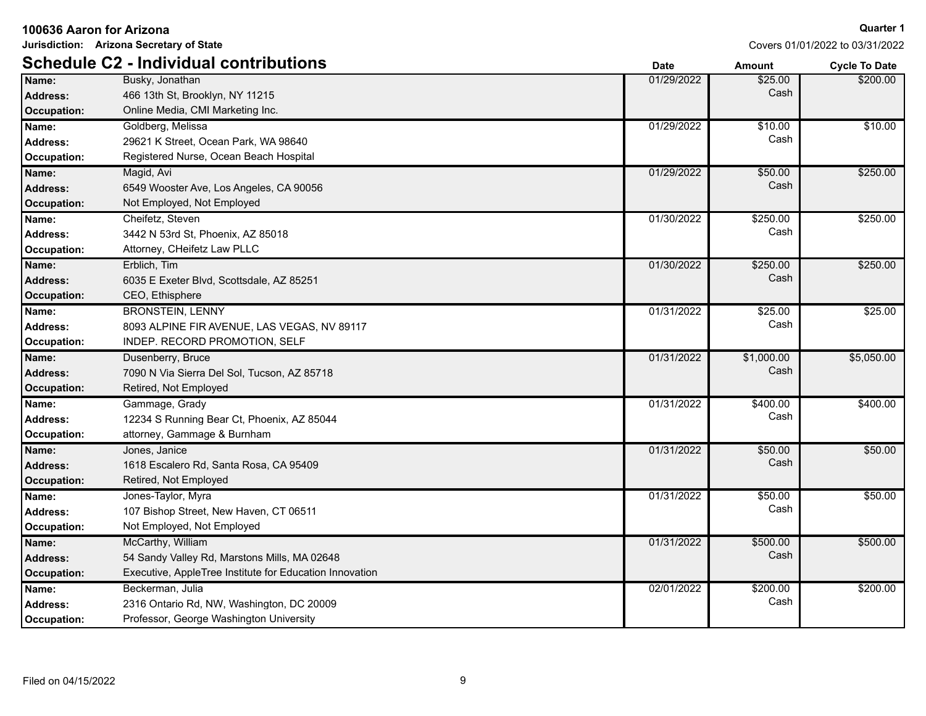| 100636 Aaron for Arizona |                                                         |             | Quarter 1     |                                 |
|--------------------------|---------------------------------------------------------|-------------|---------------|---------------------------------|
|                          | Jurisdiction: Arizona Secretary of State                |             |               | Covers 01/01/2022 to 03/31/2022 |
|                          | <b>Schedule C2 - Individual contributions</b>           | <b>Date</b> | <b>Amount</b> | <b>Cycle To Date</b>            |
| Name:                    | Busky, Jonathan                                         | 01/29/2022  | \$25.00       | \$200.00                        |
| <b>Address:</b>          | 466 13th St, Brooklyn, NY 11215                         |             | Cash          |                                 |
| <b>Occupation:</b>       | Online Media, CMI Marketing Inc.                        |             |               |                                 |
| Name:                    | Goldberg, Melissa                                       | 01/29/2022  | \$10.00       | \$10.00                         |
| <b>Address:</b>          | 29621 K Street, Ocean Park, WA 98640                    |             | Cash          |                                 |
| Occupation:              | Registered Nurse, Ocean Beach Hospital                  |             |               |                                 |
| Name:                    | Magid, Avi                                              | 01/29/2022  | \$50.00       | \$250.00                        |
| <b>Address:</b>          | 6549 Wooster Ave, Los Angeles, CA 90056                 |             | Cash          |                                 |
| <b>Occupation:</b>       | Not Employed, Not Employed                              |             |               |                                 |
| Name:                    | Cheifetz, Steven                                        | 01/30/2022  | \$250.00      | \$250.00                        |
| <b>Address:</b>          | 3442 N 53rd St, Phoenix, AZ 85018                       |             | Cash          |                                 |
| Occupation:              | Attorney, CHeifetz Law PLLC                             |             |               |                                 |
| Name:                    | Erblich, Tim                                            | 01/30/2022  | \$250.00      | \$250.00                        |
| <b>Address:</b>          | 6035 E Exeter Blvd, Scottsdale, AZ 85251                |             | Cash          |                                 |
| <b>Occupation:</b>       | CEO, Ethisphere                                         |             |               |                                 |
| Name:                    | <b>BRONSTEIN, LENNY</b>                                 | 01/31/2022  | \$25.00       | \$25.00                         |
| Address:                 | 8093 ALPINE FIR AVENUE, LAS VEGAS, NV 89117             |             | Cash          |                                 |
| Occupation:              | INDEP. RECORD PROMOTION, SELF                           |             |               |                                 |
| Name:                    | Dusenberry, Bruce                                       | 01/31/2022  | \$1,000.00    | \$5,050.00                      |
| <b>Address:</b>          | 7090 N Via Sierra Del Sol, Tucson, AZ 85718             |             | Cash          |                                 |
| <b>Occupation:</b>       | Retired, Not Employed                                   |             |               |                                 |
| Name:                    | Gammage, Grady                                          | 01/31/2022  | \$400.00      | \$400.00                        |
| <b>Address:</b>          | 12234 S Running Bear Ct, Phoenix, AZ 85044              |             | Cash          |                                 |
| <b>Occupation:</b>       | attorney, Gammage & Burnham                             |             |               |                                 |
| Name:                    | Jones, Janice                                           | 01/31/2022  | \$50.00       | \$50.00                         |
| <b>Address:</b>          | 1618 Escalero Rd, Santa Rosa, CA 95409                  |             | Cash          |                                 |
| Occupation:              | Retired, Not Employed                                   |             |               |                                 |
| Name:                    | Jones-Taylor, Myra                                      | 01/31/2022  | \$50.00       | \$50.00                         |
| Address:                 | 107 Bishop Street, New Haven, CT 06511                  |             | Cash          |                                 |
| <b>Occupation:</b>       | Not Employed, Not Employed                              |             |               |                                 |
| Name:                    | McCarthy, William                                       | 01/31/2022  | \$500.00      | \$500.00                        |
| <b>Address:</b>          | 54 Sandy Valley Rd, Marstons Mills, MA 02648            |             | Cash          |                                 |
| <b>Occupation:</b>       | Executive, AppleTree Institute for Education Innovation |             |               |                                 |
| Name:                    | Beckerman, Julia                                        | 02/01/2022  | \$200.00      | \$200.00                        |
| <b>Address:</b>          | 2316 Ontario Rd, NW, Washington, DC 20009               |             | Cash          |                                 |
| Occupation:              | Professor, George Washington University                 |             |               |                                 |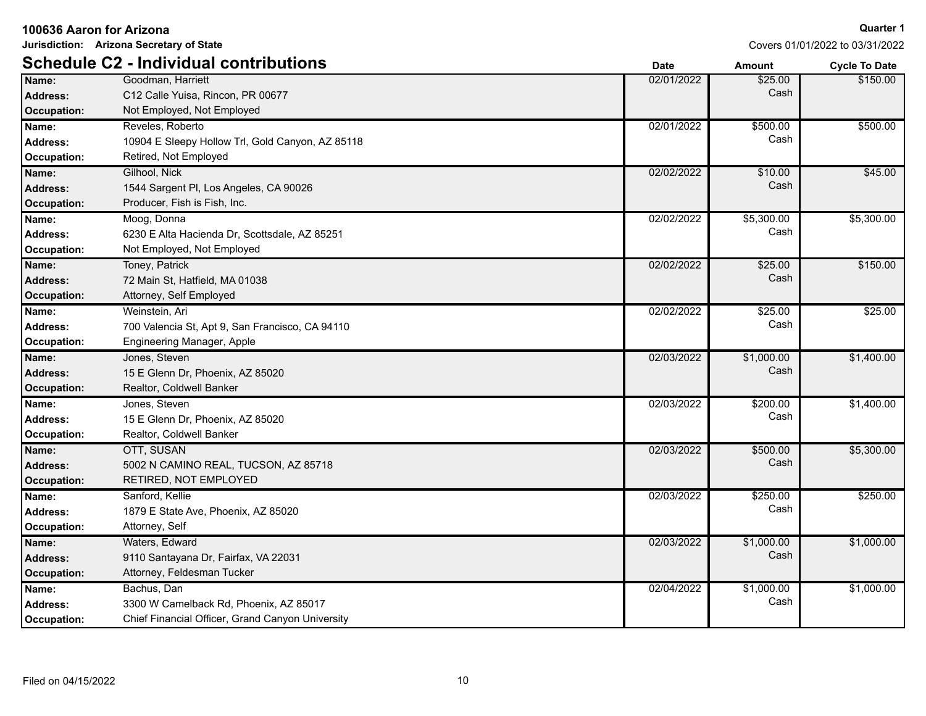| Jurisdiction: Arizona Secretary of State |                                                  |             |               | Covers 01/01/2022 to 03/31/2022 |
|------------------------------------------|--------------------------------------------------|-------------|---------------|---------------------------------|
|                                          | <b>Schedule C2 - Individual contributions</b>    | <b>Date</b> | <b>Amount</b> | <b>Cycle To Date</b>            |
| Name:                                    | Goodman, Harriett                                | 02/01/2022  | \$25.00       | \$150.00                        |
| <b>Address:</b>                          | C12 Calle Yuisa, Rincon, PR 00677                |             | Cash          |                                 |
| <b>Occupation:</b>                       | Not Employed, Not Employed                       |             |               |                                 |
| Name:                                    | Reveles, Roberto                                 | 02/01/2022  | \$500.00      | \$500.00                        |
| <b>Address:</b>                          | 10904 E Sleepy Hollow Trl, Gold Canyon, AZ 85118 |             | Cash          |                                 |
| Occupation:                              | Retired, Not Employed                            |             |               |                                 |
| Name:                                    | Gilhool, Nick                                    | 02/02/2022  | \$10.00       | \$45.00                         |
| <b>Address:</b>                          | 1544 Sargent PI, Los Angeles, CA 90026           |             | Cash          |                                 |
| Occupation:                              | Producer, Fish is Fish, Inc.                     |             |               |                                 |
| Name:                                    | Moog, Donna                                      | 02/02/2022  | \$5,300.00    | \$5,300.00                      |
| Address:                                 | 6230 E Alta Hacienda Dr. Scottsdale, AZ 85251    |             | Cash          |                                 |
| <b>Occupation:</b>                       | Not Employed, Not Employed                       |             |               |                                 |
| Name:                                    | Toney, Patrick                                   | 02/02/2022  | \$25.00       | \$150.00                        |
| <b>Address:</b>                          | 72 Main St, Hatfield, MA 01038                   |             | Cash          |                                 |
| Occupation:                              | Attorney, Self Employed                          |             |               |                                 |
| Name:                                    | Weinstein, Ari                                   | 02/02/2022  | \$25.00       | \$25.00                         |
| <b>Address:</b>                          | 700 Valencia St, Apt 9, San Francisco, CA 94110  |             | Cash          |                                 |
| Occupation:                              | Engineering Manager, Apple                       |             |               |                                 |
| Name:                                    | Jones, Steven                                    | 02/03/2022  | \$1,000.00    | \$1,400.00                      |
| <b>Address:</b>                          | 15 E Glenn Dr, Phoenix, AZ 85020                 |             | Cash          |                                 |
| <b>Occupation:</b>                       | Realtor, Coldwell Banker                         |             |               |                                 |
| Name:                                    | Jones, Steven                                    | 02/03/2022  | \$200.00      | \$1,400.00                      |
| <b>Address:</b>                          | 15 E Glenn Dr, Phoenix, AZ 85020                 |             | Cash          |                                 |
| Occupation:                              | Realtor, Coldwell Banker                         |             |               |                                 |
| Name:                                    | OTT, SUSAN                                       | 02/03/2022  | \$500.00      | \$5,300.00                      |
| <b>Address:</b>                          | 5002 N CAMINO REAL, TUCSON, AZ 85718             |             | Cash          |                                 |
| <b>Occupation:</b>                       | RETIRED, NOT EMPLOYED                            |             |               |                                 |
| Name:                                    | Sanford, Kellie                                  | 02/03/2022  | \$250.00      | \$250.00                        |
| Address:                                 | 1879 E State Ave, Phoenix, AZ 85020              |             | Cash          |                                 |
| <b>Occupation:</b>                       | Attorney, Self                                   |             |               |                                 |
| Name:                                    | Waters, Edward                                   | 02/03/2022  | \$1,000.00    | \$1,000.00                      |
| <b>Address:</b>                          | 9110 Santayana Dr, Fairfax, VA 22031             |             | Cash          |                                 |
| <b>Occupation:</b>                       | Attorney, Feldesman Tucker                       |             |               |                                 |
| Name:                                    | Bachus, Dan                                      | 02/04/2022  | \$1,000.00    | \$1,000.00                      |
| Address:                                 | 3300 W Camelback Rd, Phoenix, AZ 85017           |             | Cash          |                                 |
| <b>Occupation:</b>                       | Chief Financial Officer, Grand Canyon University |             |               |                                 |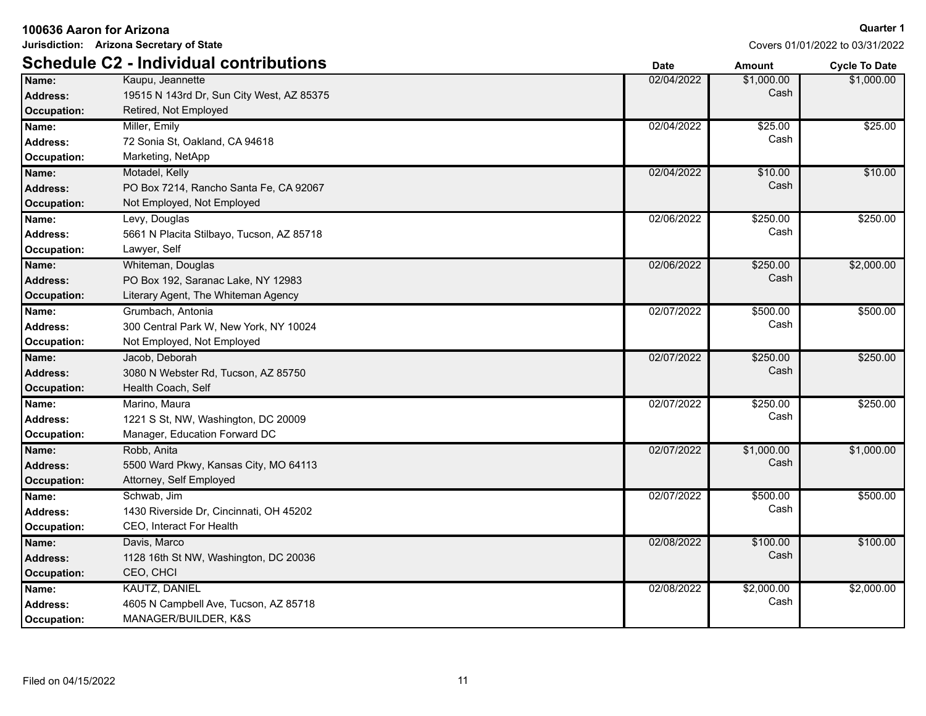|                    | 100636 Aaron for Arizona                      |             | <b>Quarter 1</b> |                                 |
|--------------------|-----------------------------------------------|-------------|------------------|---------------------------------|
|                    | Jurisdiction: Arizona Secretary of State      |             |                  | Covers 01/01/2022 to 03/31/2022 |
|                    | <b>Schedule C2 - Individual contributions</b> | <b>Date</b> | <b>Amount</b>    | <b>Cycle To Date</b>            |
| Name:              | Kaupu, Jeannette                              | 02/04/2022  | \$1,000.00       | \$1,000.00                      |
| <b>Address:</b>    | 19515 N 143rd Dr, Sun City West, AZ 85375     |             | Cash             |                                 |
| <b>Occupation:</b> | Retired, Not Employed                         |             |                  |                                 |
| Name:              | Miller, Emily                                 | 02/04/2022  | \$25.00          | \$25.00                         |
| <b>Address:</b>    | 72 Sonia St, Oakland, CA 94618                |             | Cash             |                                 |
| Occupation:        | Marketing, NetApp                             |             |                  |                                 |
| Name:              | Motadel, Kelly                                | 02/04/2022  | \$10.00          | \$10.00                         |
| <b>Address:</b>    | PO Box 7214, Rancho Santa Fe, CA 92067        |             | Cash             |                                 |
| Occupation:        | Not Employed, Not Employed                    |             |                  |                                 |
| Name:              | Levy, Douglas                                 | 02/06/2022  | \$250.00         | \$250.00                        |
| <b>Address:</b>    | 5661 N Placita Stilbayo, Tucson, AZ 85718     |             | Cash             |                                 |
| Occupation:        | Lawyer, Self                                  |             |                  |                                 |
| Name:              | Whiteman, Douglas                             | 02/06/2022  | \$250.00         | \$2,000.00                      |
| <b>Address:</b>    | PO Box 192, Saranac Lake, NY 12983            |             | Cash             |                                 |
| <b>Occupation:</b> | Literary Agent, The Whiteman Agency           |             |                  |                                 |
| Name:              | Grumbach, Antonia                             | 02/07/2022  | \$500.00         | \$500.00                        |
| <b>Address:</b>    | 300 Central Park W, New York, NY 10024        |             | Cash             |                                 |
| Occupation:        | Not Employed, Not Employed                    |             |                  |                                 |
| Name:              | Jacob, Deborah                                | 02/07/2022  | \$250.00         | \$250.00                        |
| <b>Address:</b>    | 3080 N Webster Rd, Tucson, AZ 85750           |             | Cash             |                                 |
| Occupation:        | Health Coach, Self                            |             |                  |                                 |
| Name:              | Marino, Maura                                 | 02/07/2022  | \$250.00         | \$250.00                        |
| <b>Address:</b>    | 1221 S St, NW, Washington, DC 20009           |             | Cash             |                                 |
| Occupation:        | Manager, Education Forward DC                 |             |                  |                                 |
| Name:              | Robb, Anita                                   | 02/07/2022  | \$1,000.00       | \$1,000.00                      |
| <b>Address:</b>    | 5500 Ward Pkwy, Kansas City, MO 64113         |             | Cash             |                                 |
| <b>Occupation:</b> | Attorney, Self Employed                       |             |                  |                                 |
| Name:              | Schwab, Jim                                   | 02/07/2022  | \$500.00         | \$500.00                        |
| <b>Address:</b>    | 1430 Riverside Dr, Cincinnati, OH 45202       |             | Cash             |                                 |
| Occupation:        | <b>CEO, Interact For Health</b>               |             |                  |                                 |
| Name:              | Davis, Marco                                  | 02/08/2022  | \$100.00         | \$100.00                        |
| <b>Address:</b>    | 1128 16th St NW, Washington, DC 20036         |             | Cash             |                                 |
| Occupation:        | CEO, CHCI                                     |             |                  |                                 |
| Name:              | KAUTZ, DANIEL                                 | 02/08/2022  | \$2,000.00       | \$2,000.00                      |
| <b>Address:</b>    | 4605 N Campbell Ave, Tucson, AZ 85718         |             | Cash             |                                 |
| Occupation:        | MANAGER/BUILDER, K&S                          |             |                  |                                 |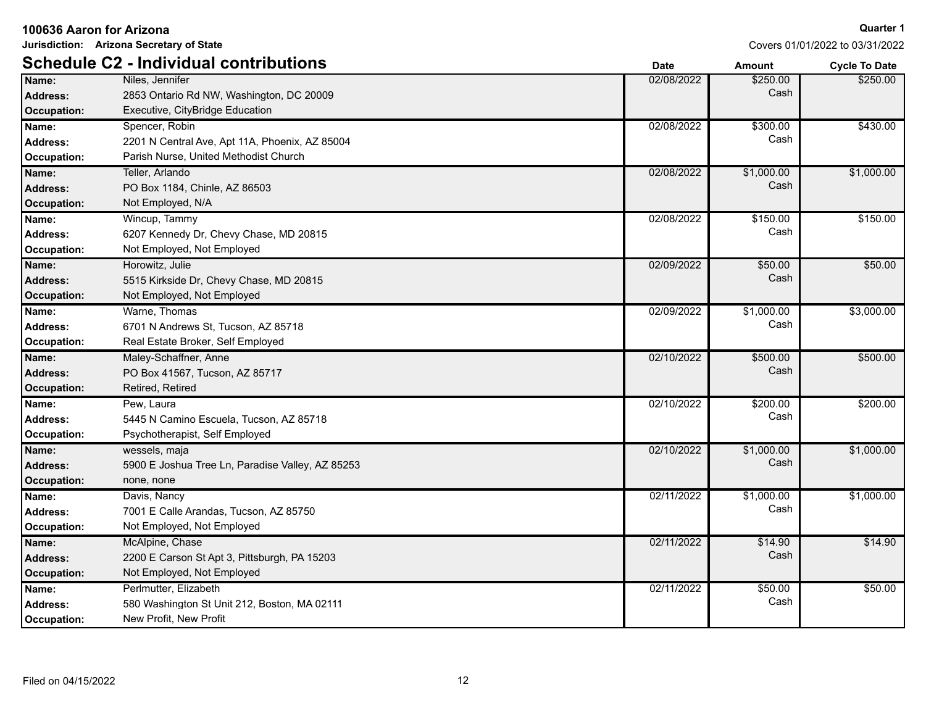| 100636 Aaron for Arizona |                                                                                           |
|--------------------------|-------------------------------------------------------------------------------------------|
|                          | Jurisdiction: Arizona Secretary of State<br><b>Schedule C2 - Individual contributions</b> |
| Name:                    | Niles, Jennifer                                                                           |
| Address:                 | 2853 Ontario Rd NW, Washington, DC 20009                                                  |
| Occupation:              | Executive, CityBridge Education                                                           |
| Name:                    | Spencer, Robin                                                                            |
| Address:                 | 2201 N Central Ave, Apt 11A, Phoenix, AZ 85004                                            |
| Occupation:              | Parish Nurse, United Methodist Church                                                     |
| Name:                    | Teller, Arlando                                                                           |
| Address:                 | PO Box 1184, Chinle, AZ 86503                                                             |

Covers 01/01/2022 to 03/31/2022

|                    | <b>Schedule C2 - Individual contributions</b>    | <b>Date</b> | <b>Amount</b> | <b>Cycle To Date</b> |
|--------------------|--------------------------------------------------|-------------|---------------|----------------------|
| Name:              | Niles, Jennifer                                  | 02/08/2022  | \$250.00      | \$250.00             |
| <b>Address:</b>    | 2853 Ontario Rd NW, Washington, DC 20009         |             | Cash          |                      |
| <b>Occupation:</b> | Executive, CityBridge Education                  |             |               |                      |
| Name:              | Spencer, Robin                                   | 02/08/2022  | \$300.00      | \$430.00             |
| <b>Address:</b>    | 2201 N Central Ave, Apt 11A, Phoenix, AZ 85004   |             | Cash          |                      |
| <b>Occupation:</b> | Parish Nurse, United Methodist Church            |             |               |                      |
| Name:              | Teller, Arlando                                  | 02/08/2022  | \$1,000.00    | \$1,000.00           |
| <b>Address:</b>    | PO Box 1184, Chinle, AZ 86503                    |             | Cash          |                      |
| <b>Occupation:</b> | Not Employed, N/A                                |             |               |                      |
| Name:              | Wincup, Tammy                                    | 02/08/2022  | \$150.00      | \$150.00             |
| <b>Address:</b>    | 6207 Kennedy Dr, Chevy Chase, MD 20815           |             | Cash          |                      |
| Occupation:        | Not Employed, Not Employed                       |             |               |                      |
| Name:              | Horowitz, Julie                                  | 02/09/2022  | \$50.00       | \$50.00              |
| Address:           | 5515 Kirkside Dr, Chevy Chase, MD 20815          |             | Cash          |                      |
| <b>Occupation:</b> | Not Employed, Not Employed                       |             |               |                      |
| Name:              | Warne, Thomas                                    | 02/09/2022  | \$1,000.00    | \$3,000.00           |
| <b>Address:</b>    | 6701 N Andrews St, Tucson, AZ 85718              |             | Cash          |                      |
| Occupation:        | Real Estate Broker, Self Employed                |             |               |                      |
| Name:              | Maley-Schaffner, Anne                            | 02/10/2022  | \$500.00      | \$500.00             |
| <b>Address:</b>    | PO Box 41567, Tucson, AZ 85717                   |             | Cash          |                      |
| <b>Occupation:</b> | Retired, Retired                                 |             |               |                      |
| Name:              | Pew, Laura                                       | 02/10/2022  | \$200.00      | \$200.00             |
| <b>Address:</b>    | 5445 N Camino Escuela, Tucson, AZ 85718          |             | Cash          |                      |
| Occupation:        | Psychotherapist, Self Employed                   |             |               |                      |
| Name:              | wessels, maja                                    | 02/10/2022  | \$1,000.00    | \$1,000.00           |
| <b>Address:</b>    | 5900 E Joshua Tree Ln, Paradise Valley, AZ 85253 |             | Cash          |                      |
| <b>Occupation:</b> | none, none                                       |             |               |                      |
| Name:              | Davis, Nancy                                     | 02/11/2022  | \$1,000.00    | \$1,000.00           |
| <b>Address:</b>    | 7001 E Calle Arandas, Tucson, AZ 85750           |             | Cash          |                      |
| Occupation:        | Not Employed, Not Employed                       |             |               |                      |
| Name:              | McAlpine, Chase                                  | 02/11/2022  | \$14.90       | \$14.90              |
| <b>Address:</b>    | 2200 E Carson St Apt 3, Pittsburgh, PA 15203     |             | Cash          |                      |
| <b>Occupation:</b> | Not Employed, Not Employed                       |             |               |                      |
| Name:              | Perlmutter, Elizabeth                            | 02/11/2022  | \$50.00       | \$50.00              |
| <b>Address:</b>    | 580 Washington St Unit 212, Boston, MA 02111     |             | Cash          |                      |
| Occupation:        | New Profit, New Profit                           |             |               |                      |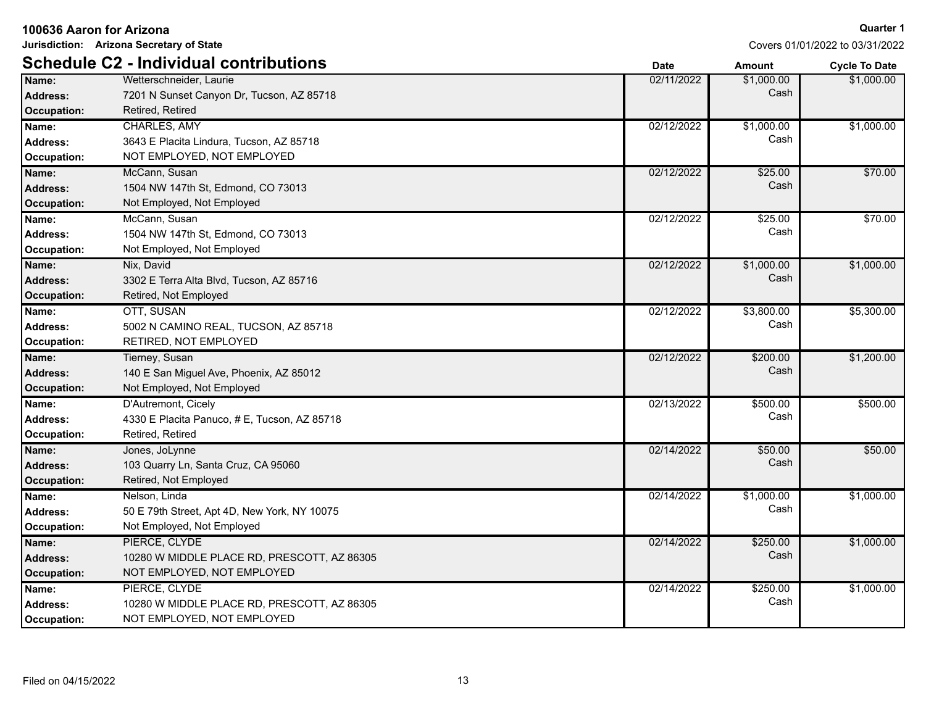| 100636 Aaron for Arizona |                                               |             |            | <b>Quarter 1</b>                |
|--------------------------|-----------------------------------------------|-------------|------------|---------------------------------|
|                          | Jurisdiction: Arizona Secretary of State      |             |            | Covers 01/01/2022 to 03/31/2022 |
|                          | <b>Schedule C2 - Individual contributions</b> | <b>Date</b> | Amount     | <b>Cycle To Date</b>            |
| Name:                    | Wetterschneider, Laurie                       | 02/11/2022  | \$1,000.00 | \$1,000.00                      |
| <b>Address:</b>          | 7201 N Sunset Canyon Dr, Tucson, AZ 85718     |             | Cash       |                                 |
| <b>Occupation:</b>       | Retired, Retired                              |             |            |                                 |
| Name:                    | <b>CHARLES, AMY</b>                           | 02/12/2022  | \$1,000.00 | \$1,000.00                      |
| <b>Address:</b>          | 3643 E Placita Lindura, Tucson, AZ 85718      |             | Cash       |                                 |
| Occupation:              | NOT EMPLOYED, NOT EMPLOYED                    |             |            |                                 |
| Name:                    | McCann, Susan                                 | 02/12/2022  | \$25.00    | \$70.00                         |
| <b>Address:</b>          | 1504 NW 147th St, Edmond, CO 73013            |             | Cash       |                                 |
| Occupation:              | Not Employed, Not Employed                    |             |            |                                 |
| Name:                    | McCann, Susan                                 | 02/12/2022  | \$25.00    | \$70.00                         |
| <b>Address:</b>          | 1504 NW 147th St, Edmond, CO 73013            |             | Cash       |                                 |
| <b>Occupation:</b>       | Not Employed, Not Employed                    |             |            |                                 |
| Name:                    | Nix, David                                    | 02/12/2022  | \$1,000.00 | \$1,000.00                      |
| <b>Address:</b>          | 3302 E Terra Alta Blvd, Tucson, AZ 85716      |             | Cash       |                                 |
| <b>Occupation:</b>       | Retired, Not Employed                         |             |            |                                 |
| Name:                    | OTT, SUSAN                                    | 02/12/2022  | \$3,800.00 | \$5,300.00                      |
| <b>Address:</b>          | 5002 N CAMINO REAL, TUCSON, AZ 85718          |             | Cash       |                                 |
| Occupation:              | RETIRED, NOT EMPLOYED                         |             |            |                                 |
| Name:                    | Tierney, Susan                                | 02/12/2022  | \$200.00   | \$1,200.00                      |
| <b>Address:</b>          | 140 E San Miguel Ave, Phoenix, AZ 85012       |             | Cash       |                                 |
| <b>Occupation:</b>       | Not Employed, Not Employed                    |             |            |                                 |
| Name:                    | D'Autremont, Cicely                           | 02/13/2022  | \$500.00   | \$500.00                        |
| <b>Address:</b>          | 4330 E Placita Panuco, # E, Tucson, AZ 85718  |             | Cash       |                                 |
| <b>Occupation:</b>       | Retired, Retired                              |             |            |                                 |
| Name:                    | Jones, JoLynne                                | 02/14/2022  | \$50.00    | \$50.00                         |
| <b>Address:</b>          | 103 Quarry Ln, Santa Cruz, CA 95060           |             | Cash       |                                 |
| <b>Occupation:</b>       | Retired, Not Employed                         |             |            |                                 |
| Name:                    | Nelson, Linda                                 | 02/14/2022  | \$1,000.00 | \$1,000.00                      |
| <b>Address:</b>          | 50 E 79th Street, Apt 4D, New York, NY 10075  |             | Cash       |                                 |
| Occupation:              | Not Employed, Not Employed                    |             |            |                                 |
| Name:                    | PIERCE, CLYDE                                 | 02/14/2022  | \$250.00   | \$1,000.00                      |
| <b>Address:</b>          | 10280 W MIDDLE PLACE RD, PRESCOTT, AZ 86305   |             | Cash       |                                 |
| <b>Occupation:</b>       | NOT EMPLOYED, NOT EMPLOYED                    |             |            |                                 |
| Name:                    | PIERCE, CLYDE                                 | 02/14/2022  | \$250.00   | \$1,000.00                      |
| <b>Address:</b>          | 10280 W MIDDLE PLACE RD, PRESCOTT, AZ 86305   |             | Cash       |                                 |
| Occupation:              | NOT EMPLOYED, NOT EMPLOYED                    |             |            |                                 |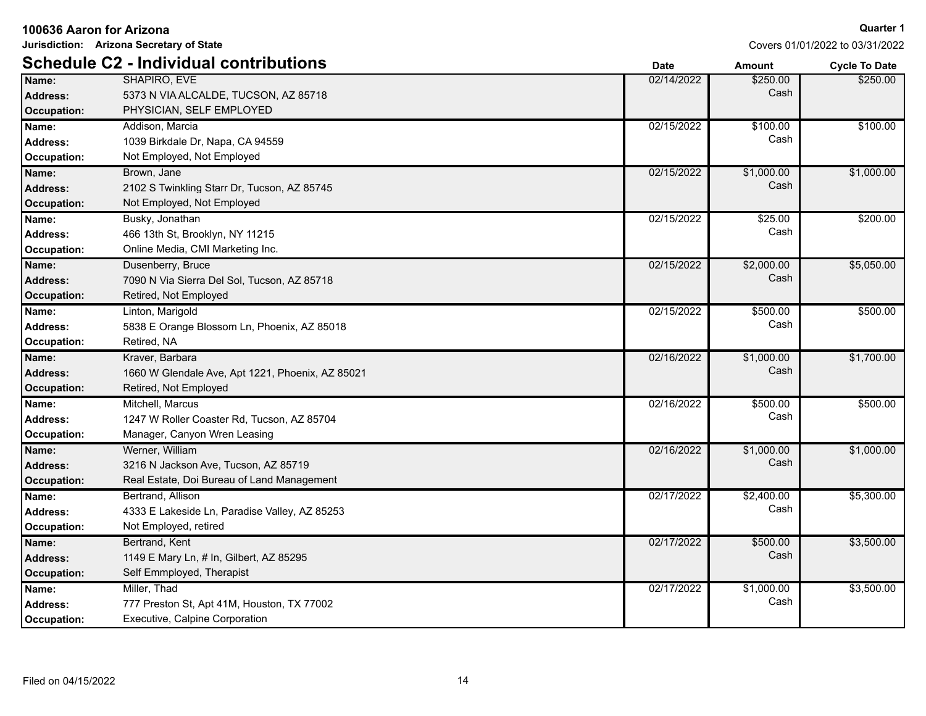| 100636 Aaron for Arizona |                                                  |             |               | <b>Quarter 1</b>                |
|--------------------------|--------------------------------------------------|-------------|---------------|---------------------------------|
|                          | Jurisdiction: Arizona Secretary of State         |             |               | Covers 01/01/2022 to 03/31/2022 |
|                          | <b>Schedule C2 - Individual contributions</b>    | <b>Date</b> | <b>Amount</b> | <b>Cycle To Date</b>            |
| Name:                    | SHAPIRO, EVE                                     | 02/14/2022  | \$250.00      | \$250.00                        |
| Address:                 | 5373 N VIA ALCALDE, TUCSON, AZ 85718             |             | Cash          |                                 |
| Occupation:              | PHYSICIAN, SELF EMPLOYED                         |             |               |                                 |
| Name:                    | Addison, Marcia                                  | 02/15/2022  | \$100.00      | \$100.00                        |
| <b>Address:</b>          | 1039 Birkdale Dr. Napa, CA 94559                 |             | Cash          |                                 |
| Occupation:              | Not Employed, Not Employed                       |             |               |                                 |
| Name:                    | Brown, Jane                                      | 02/15/2022  | \$1,000.00    | \$1,000.00                      |
| <b>Address:</b>          | 2102 S Twinkling Starr Dr, Tucson, AZ 85745      |             | Cash          |                                 |
| Occupation:              | Not Employed, Not Employed                       |             |               |                                 |
| Name:                    | Busky, Jonathan                                  | 02/15/2022  | \$25.00       | \$200.00                        |
| <b>Address:</b>          | 466 13th St, Brooklyn, NY 11215                  |             | Cash          |                                 |
| Occupation:              | Online Media, CMI Marketing Inc.                 |             |               |                                 |
| Name:                    | Dusenberry, Bruce                                | 02/15/2022  | \$2,000.00    | \$5,050.00                      |
| <b>Address:</b>          | 7090 N Via Sierra Del Sol, Tucson, AZ 85718      |             | Cash          |                                 |
| <b>Occupation:</b>       | Retired, Not Employed                            |             |               |                                 |
| Name:                    | Linton, Marigold                                 | 02/15/2022  | \$500.00      | \$500.00                        |
| <b>Address:</b>          | 5838 E Orange Blossom Ln, Phoenix, AZ 85018      |             | Cash          |                                 |
| Occupation:              | Retired, NA                                      |             |               |                                 |
| Name:                    | Kraver, Barbara                                  | 02/16/2022  | \$1,000.00    | \$1,700.00                      |
| <b>Address:</b>          | 1660 W Glendale Ave, Apt 1221, Phoenix, AZ 85021 |             | Cash          |                                 |
| Occupation:              | Retired, Not Employed                            |             |               |                                 |
| Name:                    | Mitchell, Marcus                                 | 02/16/2022  | \$500.00      | \$500.00                        |
| <b>Address:</b>          | 1247 W Roller Coaster Rd, Tucson, AZ 85704       |             | Cash          |                                 |
| Occupation:              | Manager, Canyon Wren Leasing                     |             |               |                                 |
| Name:                    | Werner, William                                  | 02/16/2022  | \$1,000.00    | \$1,000.00                      |
| <b>Address:</b>          | 3216 N Jackson Ave, Tucson, AZ 85719             |             | Cash          |                                 |
| Occupation:              | Real Estate, Doi Bureau of Land Management       |             |               |                                 |
| Name:                    | Bertrand, Allison                                | 02/17/2022  | \$2,400.00    | \$5,300.00                      |
| <b>Address:</b>          | 4333 E Lakeside Ln, Paradise Valley, AZ 85253    |             | Cash          |                                 |
| Occupation:              | Not Employed, retired                            |             |               |                                 |
| Name:                    | Bertrand, Kent                                   | 02/17/2022  | \$500.00      | \$3,500.00                      |
| <b>Address:</b>          | 1149 E Mary Ln, # In, Gilbert, AZ 85295          |             | Cash          |                                 |
| <b>Occupation:</b>       | Self Emmployed, Therapist                        |             |               |                                 |
| Name:                    | Miller, Thad                                     | 02/17/2022  | \$1,000.00    | \$3,500.00                      |
| <b>Address:</b>          | 777 Preston St, Apt 41M, Houston, TX 77002       |             | Cash          |                                 |
| Occupation:              | Executive, Calpine Corporation                   |             |               |                                 |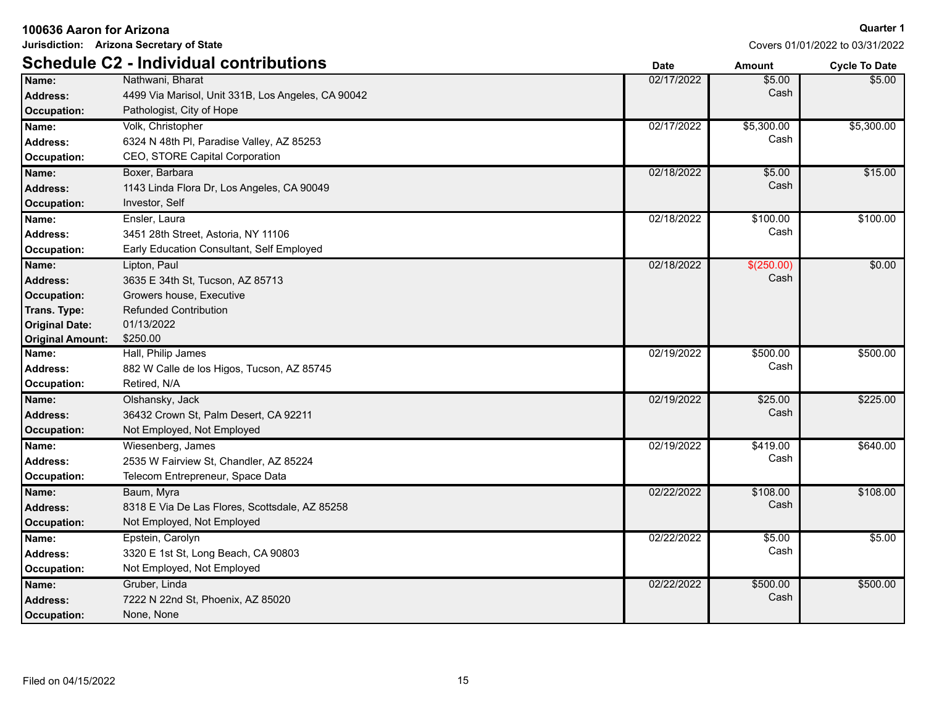| Jurisdiction: Arizona Secretary of State |                                                    |             | Covers 01/01/2022 to 03/31/2022 |                      |
|------------------------------------------|----------------------------------------------------|-------------|---------------------------------|----------------------|
|                                          | <b>Schedule C2 - Individual contributions</b>      | <b>Date</b> | <b>Amount</b>                   | <b>Cycle To Date</b> |
| Name:                                    | Nathwani, Bharat                                   | 02/17/2022  | \$5.00                          | \$5.00               |
| <b>Address:</b>                          | 4499 Via Marisol, Unit 331B, Los Angeles, CA 90042 |             | Cash                            |                      |
| Occupation:                              | Pathologist, City of Hope                          |             |                                 |                      |
| Name:                                    | Volk, Christopher                                  | 02/17/2022  | \$5,300.00                      | \$5,300.00           |
| <b>Address:</b>                          | 6324 N 48th PI, Paradise Valley, AZ 85253          |             | Cash                            |                      |
| Occupation:                              | CEO, STORE Capital Corporation                     |             |                                 |                      |
| Name:                                    | Boxer, Barbara                                     | 02/18/2022  | \$5.00                          | \$15.00              |
| Address:                                 | 1143 Linda Flora Dr, Los Angeles, CA 90049         |             | Cash                            |                      |
| <b>Occupation:</b>                       | Investor, Self                                     |             |                                 |                      |
| Name:                                    | Ensler, Laura                                      | 02/18/2022  | \$100.00                        | \$100.00             |
| <b>Address:</b>                          | 3451 28th Street, Astoria, NY 11106                |             | Cash                            |                      |
| Occupation:                              | Early Education Consultant, Self Employed          |             |                                 |                      |
| Name:                                    | Lipton, Paul                                       | 02/18/2022  | \$(250.00)                      | \$0.00               |
| <b>Address:</b>                          | 3635 E 34th St, Tucson, AZ 85713                   |             | Cash                            |                      |
| <b>Occupation:</b>                       | Growers house, Executive                           |             |                                 |                      |
| Trans. Type:                             | <b>Refunded Contribution</b>                       |             |                                 |                      |
| <b>Original Date:</b>                    | 01/13/2022                                         |             |                                 |                      |
| <b>Original Amount:</b>                  | \$250.00                                           |             |                                 |                      |
| Name:                                    | Hall, Philip James                                 | 02/19/2022  | \$500.00                        | \$500.00             |
| <b>Address:</b>                          | 882 W Calle de los Higos, Tucson, AZ 85745         |             | Cash                            |                      |
| <b>Occupation:</b>                       | Retired, N/A                                       |             |                                 |                      |
| Name:                                    | Olshansky, Jack                                    | 02/19/2022  | \$25.00                         | \$225.00             |
| <b>Address:</b>                          | 36432 Crown St, Palm Desert, CA 92211              |             | Cash                            |                      |
| <b>Occupation:</b>                       | Not Employed, Not Employed                         |             |                                 |                      |
| Name:                                    | Wiesenberg, James                                  | 02/19/2022  | \$419.00                        | \$640.00             |
| <b>Address:</b>                          | 2535 W Fairview St, Chandler, AZ 85224             |             | Cash                            |                      |
| <b>Occupation:</b>                       | Telecom Entrepreneur, Space Data                   |             |                                 |                      |
| Name:                                    | Baum, Myra                                         | 02/22/2022  | \$108.00                        | \$108.00             |
| <b>Address:</b>                          | 8318 E Via De Las Flores, Scottsdale, AZ 85258     |             | Cash                            |                      |
| <b>Occupation:</b>                       | Not Employed, Not Employed                         |             |                                 |                      |
| Name:                                    | Epstein, Carolyn                                   | 02/22/2022  | \$5.00                          | \$5.00               |
| <b>Address:</b>                          | 3320 E 1st St, Long Beach, CA 90803                |             | Cash                            |                      |
| Occupation:                              | Not Employed, Not Employed                         |             |                                 |                      |
| Name:                                    | Gruber, Linda                                      | 02/22/2022  | \$500.00                        | \$500.00             |
| <b>Address:</b>                          | 7222 N 22nd St, Phoenix, AZ 85020                  |             | Cash                            |                      |
| Occupation:                              | None, None                                         |             |                                 |                      |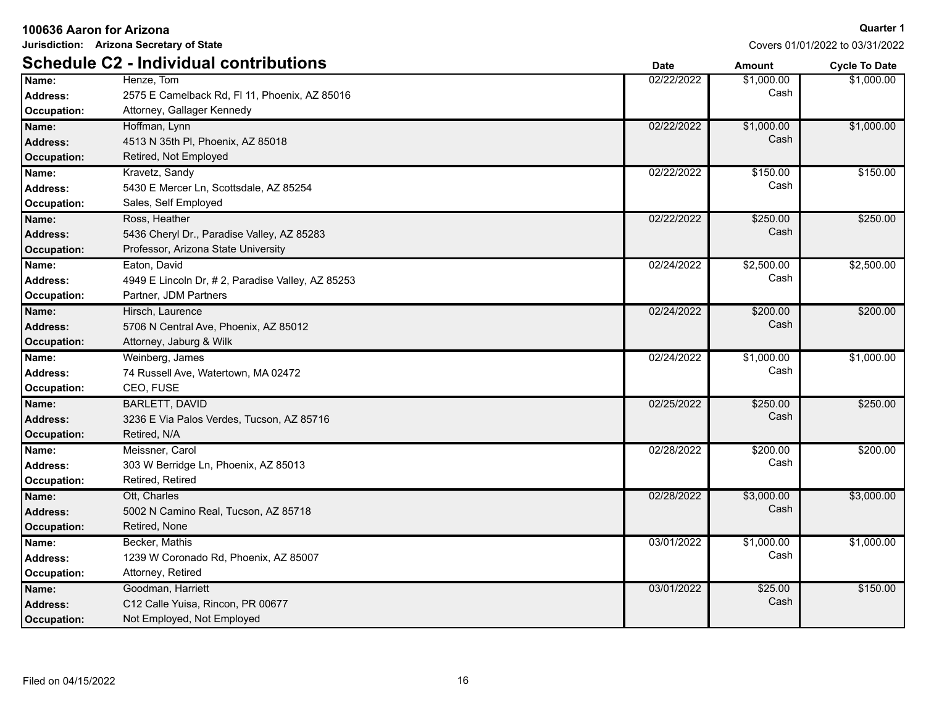| 100636 Aaron for Arizona                |                                                                                                    |             |                    | Quarter                        |
|-----------------------------------------|----------------------------------------------------------------------------------------------------|-------------|--------------------|--------------------------------|
|                                         | Jurisdiction: Arizona Secretary of State                                                           |             |                    | Covers 01/01/2022 to 03/31/202 |
|                                         | <b>Schedule C2 - Individual contributions</b>                                                      | <b>Date</b> | <b>Amount</b>      | <b>Cycle To Date</b>           |
| Name:<br>Address:<br>Occupation:        | Henze, Tom<br>2575 E Camelback Rd, FI 11, Phoenix, AZ 85016<br>Attorney, Gallager Kennedy          | 02/22/2022  | \$1,000.00<br>Cash | \$1,000.00                     |
| Name:<br><b>Address:</b><br>Occupation: | Hoffman, Lynn<br>4513 N 35th PI, Phoenix, AZ 85018<br>Retired, Not Employed                        | 02/22/2022  | \$1,000.00<br>Cash | \$1,000.00                     |
| Name:<br>Address:<br>Occupation:        | Kravetz, Sandy<br>5430 E Mercer Ln, Scottsdale, AZ 85254<br>Sales, Self Employed                   | 02/22/2022  | \$150.00<br>Cash   | \$150.00                       |
| Name:<br>Address:<br><b>Occupation:</b> | Ross, Heather<br>5436 Cheryl Dr., Paradise Valley, AZ 85283<br>Professor, Arizona State University | 02/22/2022  | \$250.00<br>Cash   | \$250.00                       |
| Name:<br>Address:<br>Occupation:        | Eaton, David<br>4949 E Lincoln Dr, #2, Paradise Valley, AZ 85253<br>Partner, JDM Partners          | 02/24/2022  | \$2,500.00<br>Cash | \$2,500.00                     |
| Name:<br><b>Address:</b><br>Occupation: | Hirsch, Laurence<br>5706 N Central Ave, Phoenix, AZ 85012<br>Attorney, Jaburg & Wilk               | 02/24/2022  | \$200.00<br>Cash   | \$200.00                       |
| Name:<br><b>Address:</b><br>Occupation: | Weinberg, James<br>74 Russell Ave, Watertown, MA 02472<br>CEO, FUSE                                | 02/24/2022  | \$1,000.00<br>Cash | \$1,000.00                     |
| Name:<br>Address:<br><b>Occupation:</b> | <b>BARLETT, DAVID</b><br>3236 E Via Palos Verdes, Tucson, AZ 85716<br>Retired, N/A                 | 02/25/2022  | \$250.00<br>Cash   | \$250.00                       |
| Name:                                   | Meissner, Carol                                                                                    | 02/28/2022  | \$200.00           | \$200.00                       |

Covers 01/01/2022 to 03/31/2022

**Quarter 1**

\$1,000.00

\$1,000.00

| Auuress.           | 40 TO IN OOLLET, FILOGITIA, AZ 000 TO            |            |            |            |
|--------------------|--------------------------------------------------|------------|------------|------------|
| Occupation:        | Retired, Not Employed                            |            |            |            |
| Name:              | Kravetz, Sandy                                   | 02/22/2022 | \$150.00   | \$150.00   |
| <b>Address:</b>    | 5430 E Mercer Ln, Scottsdale, AZ 85254           |            | Cash       |            |
| Occupation:        | Sales, Self Employed                             |            |            |            |
| Name:              | Ross, Heather                                    | 02/22/2022 | \$250.00   | \$250.00   |
| <b>Address:</b>    | 5436 Cheryl Dr., Paradise Valley, AZ 85283       |            | Cash       |            |
| <b>Occupation:</b> | Professor, Arizona State University              |            |            |            |
| Name:              | Eaton, David                                     | 02/24/2022 | \$2,500.00 | \$2,500.00 |
| Address:           | 4949 E Lincoln Dr, #2, Paradise Valley, AZ 85253 |            | Cash       |            |
| Occupation:        | Partner, JDM Partners                            |            |            |            |
| Name:              | Hirsch, Laurence                                 | 02/24/2022 | \$200.00   | \$200.00   |
| <b>Address:</b>    | 5706 N Central Ave, Phoenix, AZ 85012            |            | Cash       |            |
| <b>Occupation:</b> | Attorney, Jaburg & Wilk                          |            |            |            |
| Name:              | Weinberg, James                                  | 02/24/2022 | \$1,000.00 | \$1,000.00 |
| <b>Address:</b>    | 74 Russell Ave, Watertown, MA 02472              |            | Cash       |            |
| Occupation:        | CEO, FUSE                                        |            |            |            |
| Name:              | <b>BARLETT, DAVID</b>                            | 02/25/2022 | \$250.00   | \$250.00   |
| <b>Address:</b>    | 3236 E Via Palos Verdes, Tucson, AZ 85716        |            | Cash       |            |
| Occupation:        | Retired, N/A                                     |            |            |            |
| Name:              | Meissner, Carol                                  | 02/28/2022 | \$200.00   | \$200.00   |
| <b>Address:</b>    | 303 W Berridge Ln, Phoenix, AZ 85013             |            | Cash       |            |
| <b>Occupation:</b> | Retired, Retired                                 |            |            |            |
| Name:              | Ott, Charles                                     | 02/28/2022 | \$3,000.00 | \$3,000.00 |
| <b>Address:</b>    | 5002 N Camino Real, Tucson, AZ 85718             |            | Cash       |            |
| Occupation:        | Retired, None                                    |            |            |            |
| Name:              | Becker, Mathis                                   | 03/01/2022 | \$1,000.00 | \$1,000.00 |
| Address:           | 1239 W Coronado Rd, Phoenix, AZ 85007            |            | Cash       |            |
| Occupation:        | Attorney, Retired                                |            |            |            |
| Name:              | Goodman, Harriett                                | 03/01/2022 | \$25.00    | \$150.00   |
| <b>Address:</b>    | C12 Calle Yuisa, Rincon, PR 00677                |            | Cash       |            |
| Occupation:        | Not Employed, Not Employed                       |            |            |            |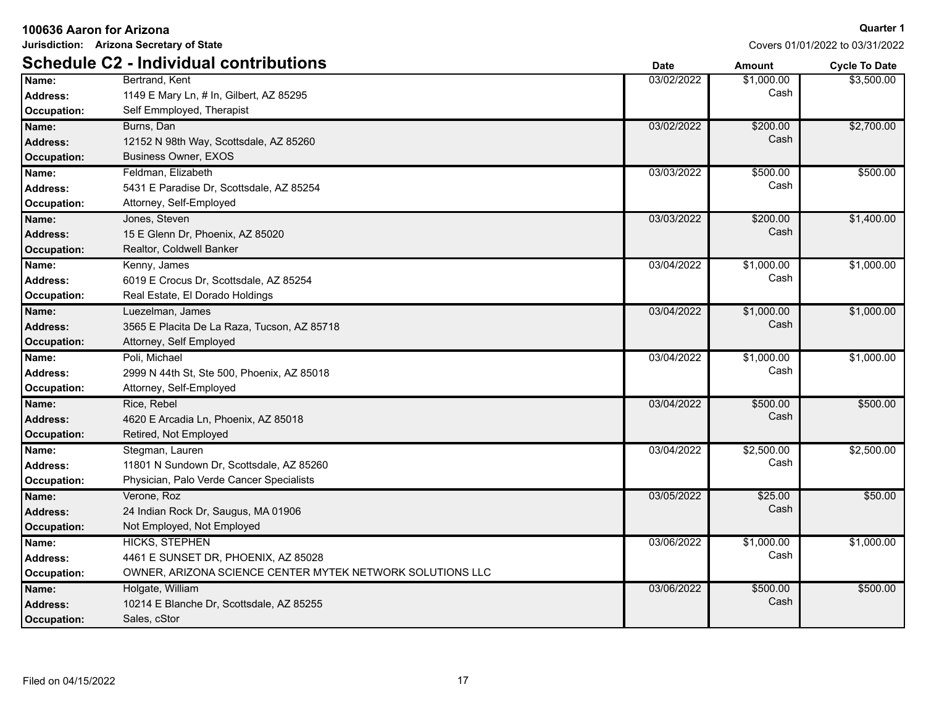| 100636 Aaron for Arizona |                                                           |             |               | <b>Quarter 1</b>                |
|--------------------------|-----------------------------------------------------------|-------------|---------------|---------------------------------|
|                          | Jurisdiction: Arizona Secretary of State                  |             |               | Covers 01/01/2022 to 03/31/2022 |
|                          | <b>Schedule C2 - Individual contributions</b>             | <b>Date</b> | <b>Amount</b> | <b>Cycle To Date</b>            |
| Name:                    | Bertrand, Kent                                            | 03/02/2022  | \$1,000.00    | \$3,500.00                      |
| <b>Address:</b>          | 1149 E Mary Ln, # In, Gilbert, AZ 85295                   |             | Cash          |                                 |
| <b>Occupation:</b>       | Self Emmployed, Therapist                                 |             |               |                                 |
| Name:                    | Burns, Dan                                                | 03/02/2022  | \$200.00      | \$2,700.00                      |
| <b>Address:</b>          | 12152 N 98th Way, Scottsdale, AZ 85260                    |             | Cash          |                                 |
| Occupation:              | <b>Business Owner, EXOS</b>                               |             |               |                                 |
| Name:                    | Feldman, Elizabeth                                        | 03/03/2022  | \$500.00      | \$500.00                        |
| <b>Address:</b>          | 5431 E Paradise Dr, Scottsdale, AZ 85254                  |             | Cash          |                                 |
| Occupation:              | Attorney, Self-Employed                                   |             |               |                                 |
| Name:                    | Jones, Steven                                             | 03/03/2022  | \$200.00      | \$1,400.00                      |
| <b>Address:</b>          | 15 E Glenn Dr, Phoenix, AZ 85020                          |             | Cash          |                                 |
| <b>Occupation:</b>       | Realtor, Coldwell Banker                                  |             |               |                                 |
| Name:                    | Kenny, James                                              | 03/04/2022  | \$1,000.00    | \$1,000.00                      |
| <b>Address:</b>          | 6019 E Crocus Dr. Scottsdale, AZ 85254                    |             | Cash          |                                 |
| Occupation:              | Real Estate, El Dorado Holdings                           |             |               |                                 |
| Name:                    | Luezelman, James                                          | 03/04/2022  | \$1,000.00    | \$1,000.00                      |
| <b>Address:</b>          | 3565 E Placita De La Raza, Tucson, AZ 85718               |             | Cash          |                                 |
| <b>Occupation:</b>       | Attorney, Self Employed                                   |             |               |                                 |
| Name:                    | Poli, Michael                                             | 03/04/2022  | \$1,000.00    | \$1,000.00                      |
| Address:                 | 2999 N 44th St, Ste 500, Phoenix, AZ 85018                |             | Cash          |                                 |
| <b>Occupation:</b>       | Attorney, Self-Employed                                   |             |               |                                 |
| Name:                    | Rice, Rebel                                               | 03/04/2022  | \$500.00      | \$500.00                        |
| <b>Address:</b>          | 4620 E Arcadia Ln, Phoenix, AZ 85018                      |             | Cash          |                                 |
| <b>Occupation:</b>       | Retired, Not Employed                                     |             |               |                                 |
| Name:                    | Stegman, Lauren                                           | 03/04/2022  | \$2,500.00    | \$2,500.00                      |
| <b>Address:</b>          | 11801 N Sundown Dr. Scottsdale, AZ 85260                  |             | Cash          |                                 |
| Occupation:              | Physician, Palo Verde Cancer Specialists                  |             |               |                                 |
| Name:                    | Verone, Roz                                               | 03/05/2022  | \$25.00       | \$50.00                         |
| Address:                 | 24 Indian Rock Dr. Saugus, MA 01906                       |             | Cash          |                                 |
| Occupation:              | Not Employed, Not Employed                                |             |               |                                 |
| Name:                    | <b>HICKS, STEPHEN</b>                                     | 03/06/2022  | \$1,000.00    | \$1,000.00                      |
| <b>Address:</b>          | 4461 E SUNSET DR, PHOENIX, AZ 85028                       |             | Cash          |                                 |
| Occupation:              | OWNER, ARIZONA SCIENCE CENTER MYTEK NETWORK SOLUTIONS LLC |             |               |                                 |
| Name:                    | Holgate, William                                          | 03/06/2022  | \$500.00      | \$500.00                        |
| <b>Address:</b>          | 10214 E Blanche Dr, Scottsdale, AZ 85255                  |             | Cash          |                                 |
| Occupation:              | Sales, cStor                                              |             |               |                                 |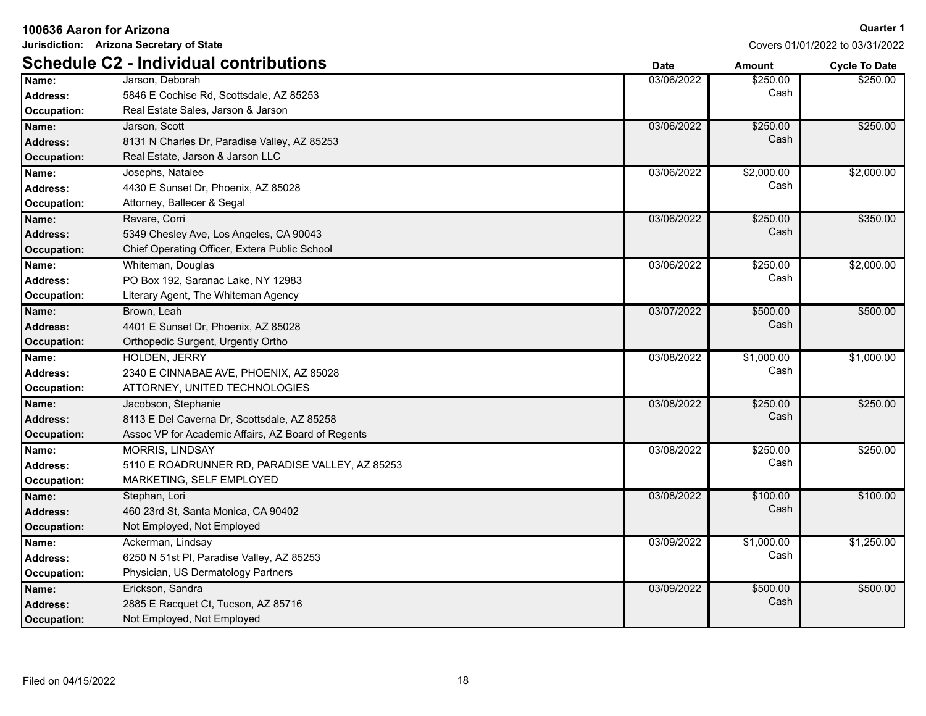| Jurisdiction: Arizona Secretary of State |                                                    |             |            | Covers 01/01/2022 to 03/31/2022 |
|------------------------------------------|----------------------------------------------------|-------------|------------|---------------------------------|
|                                          | <b>Schedule C2 - Individual contributions</b>      | <b>Date</b> | Amount     | <b>Cycle To Date</b>            |
| Name:                                    | Jarson, Deborah                                    | 03/06/2022  | \$250.00   | \$250.00                        |
| <b>Address:</b>                          | 5846 E Cochise Rd, Scottsdale, AZ 85253            |             | Cash       |                                 |
| <b>Occupation:</b>                       | Real Estate Sales, Jarson & Jarson                 |             |            |                                 |
| Name:                                    | Jarson, Scott                                      | 03/06/2022  | \$250.00   | \$250.00                        |
| <b>Address:</b>                          | 8131 N Charles Dr, Paradise Valley, AZ 85253       |             | Cash       |                                 |
| <b>Occupation:</b>                       | Real Estate, Jarson & Jarson LLC                   |             |            |                                 |
| Name:                                    | Josephs, Natalee                                   | 03/06/2022  | \$2,000.00 | \$2,000.00                      |
| Address:                                 | 4430 E Sunset Dr, Phoenix, AZ 85028                |             | Cash       |                                 |
| <b>Occupation:</b>                       | Attorney, Ballecer & Segal                         |             |            |                                 |
| Name:                                    | Ravare, Corri                                      | 03/06/2022  | \$250.00   | \$350.00                        |
| <b>Address:</b>                          | 5349 Chesley Ave, Los Angeles, CA 90043            |             | Cash       |                                 |
| <b>Occupation:</b>                       | Chief Operating Officer, Extera Public School      |             |            |                                 |
| Name:                                    | Whiteman, Douglas                                  | 03/06/2022  | \$250.00   | \$2,000.00                      |
| <b>Address:</b>                          | PO Box 192, Saranac Lake, NY 12983                 |             | Cash       |                                 |
| <b>Occupation:</b>                       | Literary Agent, The Whiteman Agency                |             |            |                                 |
| Name:                                    | Brown, Leah                                        | 03/07/2022  | \$500.00   | \$500.00                        |
| <b>Address:</b>                          | 4401 E Sunset Dr, Phoenix, AZ 85028                |             | Cash       |                                 |
| <b>Occupation:</b>                       | Orthopedic Surgent, Urgently Ortho                 |             |            |                                 |
| Name:                                    | <b>HOLDEN, JERRY</b>                               | 03/08/2022  | \$1,000.00 | \$1,000.00                      |
| Address:                                 | 2340 E CINNABAE AVE, PHOENIX, AZ 85028             |             | Cash       |                                 |
| <b>Occupation:</b>                       | ATTORNEY, UNITED TECHNOLOGIES                      |             |            |                                 |
| Name:                                    | Jacobson, Stephanie                                | 03/08/2022  | \$250.00   | \$250.00                        |
| <b>Address:</b>                          | 8113 E Del Caverna Dr, Scottsdale, AZ 85258        |             | Cash       |                                 |
| <b>Occupation:</b>                       | Assoc VP for Academic Affairs, AZ Board of Regents |             |            |                                 |
| Name:                                    | <b>MORRIS, LINDSAY</b>                             | 03/08/2022  | \$250.00   | \$250.00                        |
| Address:                                 | 5110 E ROADRUNNER RD, PARADISE VALLEY, AZ 85253    |             | Cash       |                                 |
| Occupation:                              | MARKETING, SELF EMPLOYED                           |             |            |                                 |
| Name:                                    | Stephan, Lori                                      | 03/08/2022  | \$100.00   | \$100.00                        |
| Address:                                 | 460 23rd St, Santa Monica, CA 90402                |             | Cash       |                                 |
| <b>Occupation:</b>                       | Not Employed, Not Employed                         |             |            |                                 |
| Name:                                    | Ackerman, Lindsay                                  | 03/09/2022  | \$1,000.00 | \$1,250.00                      |
| <b>Address:</b>                          | 6250 N 51st PI, Paradise Valley, AZ 85253          |             | Cash       |                                 |
| Occupation:                              | Physician, US Dermatology Partners                 |             |            |                                 |
| Name:                                    | Erickson, Sandra                                   | 03/09/2022  | \$500.00   | \$500.00                        |
| <b>Address:</b>                          | 2885 E Racquet Ct, Tucson, AZ 85716                |             | Cash       |                                 |
| Occupation:                              | Not Employed, Not Employed                         |             |            |                                 |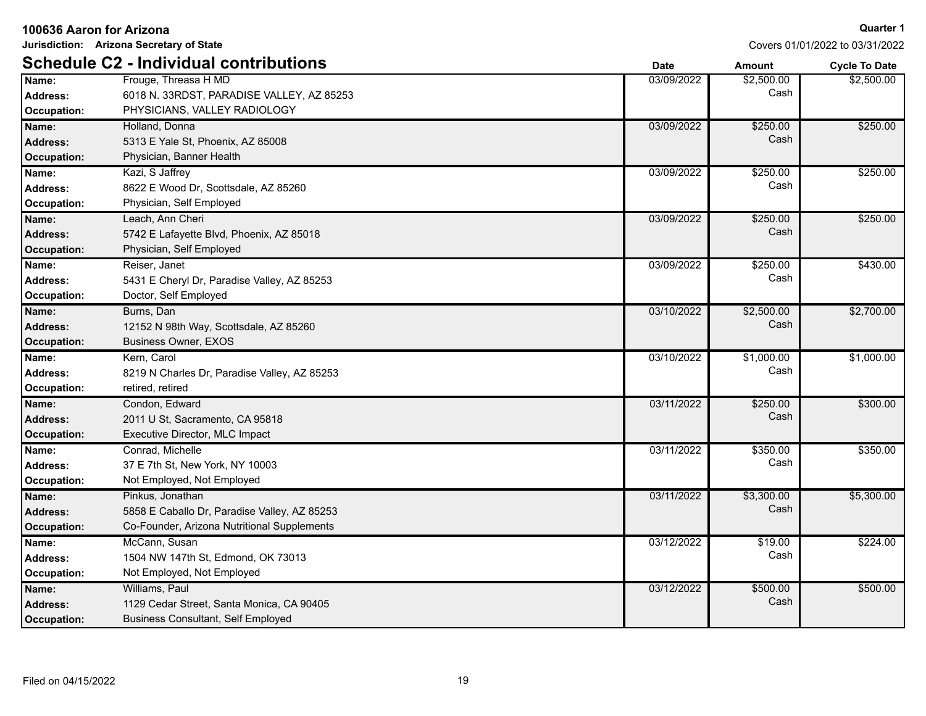| Jurisdiction: Arizona Secretary of State       |                                                                                                                 |             |                    | Covers 01/01/2022 to 03/31/2022 |
|------------------------------------------------|-----------------------------------------------------------------------------------------------------------------|-------------|--------------------|---------------------------------|
|                                                | <b>Schedule C2 - Individual contributions</b>                                                                   | <b>Date</b> | <b>Amount</b>      | <b>Cycle To Date</b>            |
| Name:<br>Address:<br>Occupation:               | Frouge, Threasa H MD<br>6018 N. 33RDST, PARADISE VALLEY, AZ 85253<br>PHYSICIANS, VALLEY RADIOLOGY               | 03/09/2022  | \$2,500.00<br>Cash | \$2,500.00                      |
| Name:<br><b>Address:</b><br><b>Occupation:</b> | Holland, Donna<br>5313 E Yale St, Phoenix, AZ 85008<br>Physician, Banner Health                                 | 03/09/2022  | \$250.00<br>Cash   | \$250.00                        |
| Name:<br>Address:<br><b>Occupation:</b>        | Kazi, S Jaffrey<br>8622 E Wood Dr, Scottsdale, AZ 85260<br>Physician, Self Employed                             | 03/09/2022  | \$250.00<br>Cash   | \$250.00                        |
| Name:<br><b>Address:</b><br><b>Occupation:</b> | Leach. Ann Cheri<br>5742 E Lafayette Blvd, Phoenix, AZ 85018<br>Physician, Self Employed                        | 03/09/2022  | \$250.00<br>Cash   | \$250.00                        |
| Name:<br><b>Address:</b><br><b>Occupation:</b> | Reiser, Janet<br>5431 E Cheryl Dr, Paradise Valley, AZ 85253<br>Doctor, Self Employed                           | 03/09/2022  | \$250.00<br>Cash   | \$430.00                        |
| Name:<br><b>Address:</b><br><b>Occupation:</b> | Burns, Dan<br>12152 N 98th Way, Scottsdale, AZ 85260<br><b>Business Owner, EXOS</b>                             | 03/10/2022  | \$2,500.00<br>Cash | \$2,700.00                      |
| Name:<br><b>Address:</b><br><b>Occupation:</b> | Kern, Carol<br>8219 N Charles Dr, Paradise Valley, AZ 85253<br>retired, retired                                 | 03/10/2022  | \$1,000.00<br>Cash | \$1,000.00                      |
| Name:<br><b>Address:</b><br><b>Occupation:</b> | Condon, Edward<br>2011 U St, Sacramento, CA 95818<br>Executive Director, MLC Impact                             | 03/11/2022  | \$250.00<br>Cash   | \$300.00                        |
| Name:<br><b>Address:</b><br><b>Occupation:</b> | Conrad, Michelle<br>37 E 7th St, New York, NY 10003<br>Not Employed, Not Employed                               | 03/11/2022  | \$350.00<br>Cash   | \$350.00                        |
| Name:<br><b>Address:</b><br><b>Occupation:</b> | Pinkus, Jonathan<br>5858 E Caballo Dr, Paradise Valley, AZ 85253<br>Co-Founder, Arizona Nutritional Supplements | 03/11/2022  | \$3,300.00<br>Cash | \$5,300.00                      |
| Name:<br>Address:<br><b>Occupation:</b>        | McCann, Susan<br>1504 NW 147th St, Edmond, OK 73013<br>Not Employed, Not Employed                               | 03/12/2022  | \$19.00<br>Cash    | \$224.00                        |
| Name:<br><b>Address:</b><br>Occupation:        | Williams, Paul<br>1129 Cedar Street, Santa Monica, CA 90405<br><b>Business Consultant, Self Employed</b>        | 03/12/2022  | \$500.00<br>Cash   | \$500.00                        |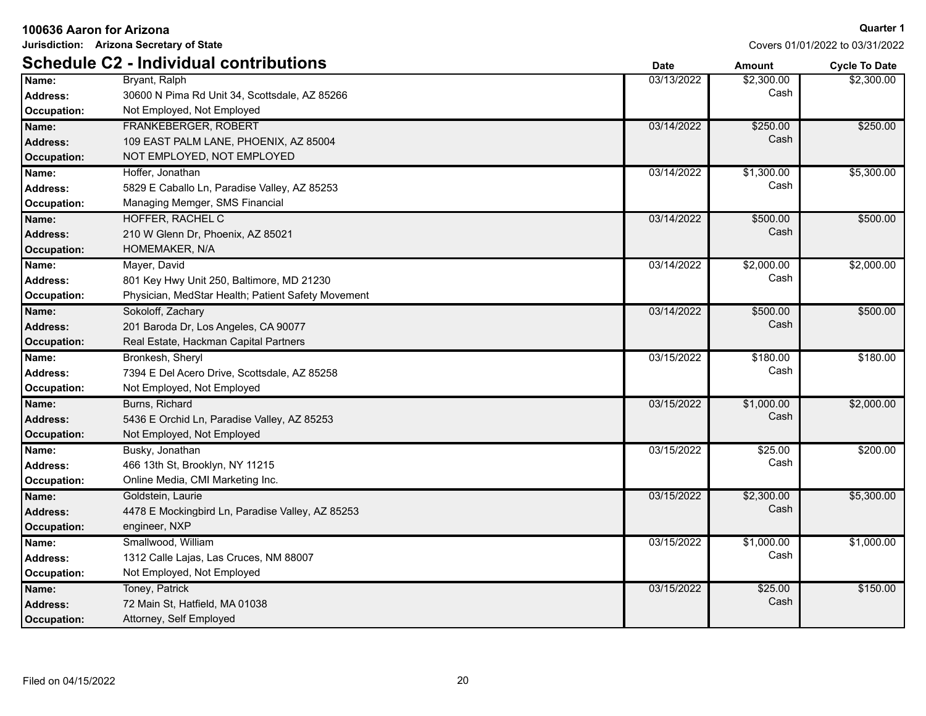| Jurisdiction: Arizona Secretary of State |                                                    | Covers 01/01/2022 to 03/31/2022 |               |                      |
|------------------------------------------|----------------------------------------------------|---------------------------------|---------------|----------------------|
|                                          | <b>Schedule C2 - Individual contributions</b>      | <b>Date</b>                     | <b>Amount</b> | <b>Cycle To Date</b> |
| Name:                                    | Bryant, Ralph                                      | 03/13/2022                      | \$2,300.00    | \$2,300.00           |
| Address:                                 | 30600 N Pima Rd Unit 34, Scottsdale, AZ 85266      |                                 | Cash          |                      |
| <b>Occupation:</b>                       | Not Employed, Not Employed                         |                                 |               |                      |
| Name:                                    | FRANKEBERGER, ROBERT                               | 03/14/2022                      | \$250.00      | \$250.00             |
| <b>Address:</b>                          | 109 EAST PALM LANE, PHOENIX, AZ 85004              |                                 | Cash          |                      |
| <b>Occupation:</b>                       | NOT EMPLOYED, NOT EMPLOYED                         |                                 |               |                      |
| Name:                                    | Hoffer, Jonathan                                   | 03/14/2022                      | \$1,300.00    | \$5,300.00           |
| <b>Address:</b>                          | 5829 E Caballo Ln, Paradise Valley, AZ 85253       |                                 | Cash          |                      |
| <b>Occupation:</b>                       | Managing Memger, SMS Financial                     |                                 |               |                      |
| Name:                                    | HOFFER, RACHEL C                                   | 03/14/2022                      | \$500.00      | \$500.00             |
| <b>Address:</b>                          | 210 W Glenn Dr, Phoenix, AZ 85021                  |                                 | Cash          |                      |
| <b>Occupation:</b>                       | HOMEMAKER, N/A                                     |                                 |               |                      |
| Name:                                    | Mayer, David                                       | 03/14/2022                      | \$2,000.00    | \$2,000.00           |
| <b>Address:</b>                          | 801 Key Hwy Unit 250, Baltimore, MD 21230          |                                 | Cash          |                      |
| Occupation:                              | Physician, MedStar Health; Patient Safety Movement |                                 |               |                      |
| Name:                                    | Sokoloff, Zachary                                  | 03/14/2022                      | \$500.00      | \$500.00             |
| <b>Address:</b>                          | 201 Baroda Dr, Los Angeles, CA 90077               |                                 | Cash          |                      |
| <b>Occupation:</b>                       | Real Estate, Hackman Capital Partners              |                                 |               |                      |
| Name:                                    | Bronkesh, Sheryl                                   | 03/15/2022                      | \$180.00      | \$180.00             |
| <b>Address:</b>                          | 7394 E Del Acero Drive, Scottsdale, AZ 85258       |                                 | Cash          |                      |
| Occupation:                              | Not Employed, Not Employed                         |                                 |               |                      |
| Name:                                    | Burns, Richard                                     | 03/15/2022                      | \$1,000.00    | \$2,000.00           |
| <b>Address:</b>                          | 5436 E Orchid Ln, Paradise Valley, AZ 85253        |                                 | Cash          |                      |
| <b>Occupation:</b>                       | Not Employed, Not Employed                         |                                 |               |                      |
| Name:                                    | Busky, Jonathan                                    | 03/15/2022                      | \$25.00       | \$200.00             |
| <b>Address:</b>                          | 466 13th St, Brooklyn, NY 11215                    |                                 | Cash          |                      |
| Occupation:                              | Online Media, CMI Marketing Inc.                   |                                 |               |                      |
| Name:                                    | Goldstein, Laurie                                  | 03/15/2022                      | \$2,300.00    | \$5,300.00           |
| <b>Address:</b>                          | 4478 E Mockingbird Ln, Paradise Valley, AZ 85253   |                                 | Cash          |                      |
| <b>Occupation:</b>                       | engineer, NXP                                      |                                 |               |                      |
| Name:                                    | Smallwood, William                                 | 03/15/2022                      | \$1,000.00    | \$1,000.00           |
| <b>Address:</b>                          | 1312 Calle Lajas, Las Cruces, NM 88007             |                                 | Cash          |                      |
| Occupation:                              | Not Employed, Not Employed                         |                                 |               |                      |
| Name:                                    | Toney, Patrick                                     | 03/15/2022                      | \$25.00       | \$150.00             |
| <b>Address:</b>                          | 72 Main St, Hatfield, MA 01038                     |                                 | Cash          |                      |
| Occupation:                              | Attorney, Self Employed                            |                                 |               |                      |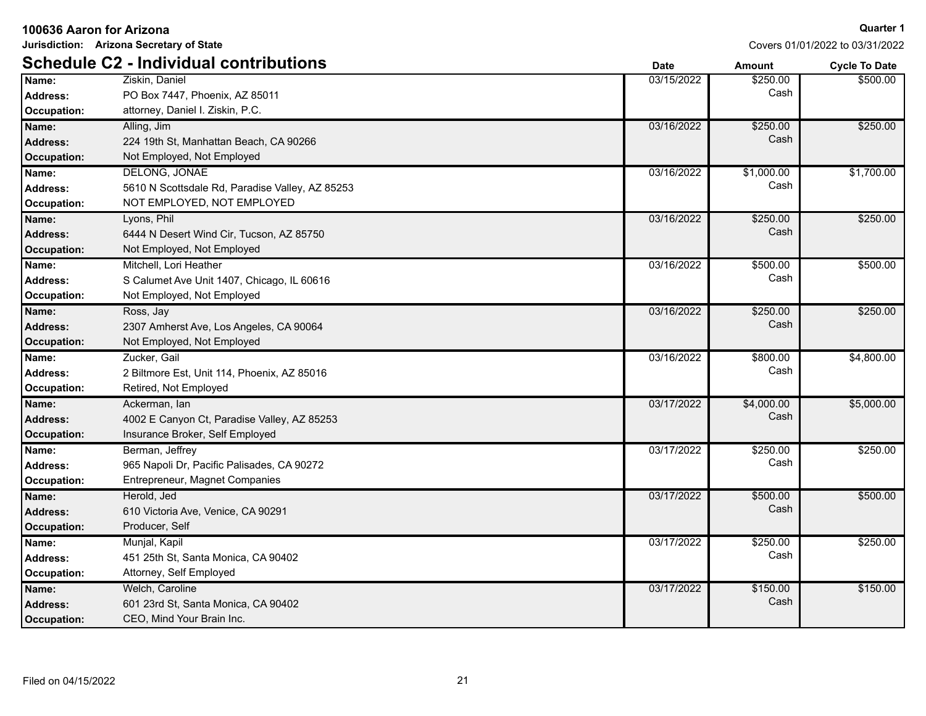| <b>Schedule C2 - Individual contributions</b><br><b>Date</b><br><b>Cycle To Date</b><br><b>Amount</b><br>Name:<br>03/15/2022<br>\$500.00<br>Ziskin, Daniel<br>\$250.00<br>Cash<br>Address:<br>PO Box 7447, Phoenix, AZ 85011<br>Occupation:<br>attorney, Daniel I. Ziskin, P.C.<br>Alling, Jim<br>\$250.00<br>Name:<br>03/16/2022<br>\$250.00<br>Cash<br><b>Address:</b><br>224 19th St, Manhattan Beach, CA 90266<br>Occupation:<br>Not Employed, Not Employed<br>\$1,000.00<br>\$1,700.00<br>DELONG, JONAE<br>03/16/2022<br>Name:<br>Cash<br>5610 N Scottsdale Rd, Paradise Valley, AZ 85253<br><b>Address:</b><br>NOT EMPLOYED, NOT EMPLOYED<br>Occupation:<br>Lyons, Phil<br>03/16/2022<br>\$250.00<br>\$250.00<br>Name:<br>Cash<br><b>Address:</b><br>6444 N Desert Wind Cir, Tucson, AZ 85750<br>Occupation:<br>Not Employed, Not Employed<br>\$500.00<br>\$500.00<br>Name:<br>Mitchell, Lori Heather<br>03/16/2022<br>Cash<br>S Calumet Ave Unit 1407, Chicago, IL 60616<br><b>Address:</b><br>Not Employed, Not Employed<br>Occupation:<br>03/16/2022<br>\$250.00<br>\$250.00<br>Name:<br>Ross, Jay<br>Cash<br>2307 Amherst Ave, Los Angeles, CA 90064<br><b>Address:</b><br><b>Occupation:</b><br>Not Employed, Not Employed<br>03/16/2022<br>\$800.00<br>\$4,800.00<br>Name:<br>Zucker, Gail<br>Cash<br><b>Address:</b><br>2 Biltmore Est, Unit 114, Phoenix, AZ 85016<br>Occupation:<br>Retired, Not Employed<br>\$4,000.00<br>\$5,000.00<br>Name:<br>Ackerman, lan<br>03/17/2022<br>Cash<br><b>Address:</b><br>4002 E Canyon Ct, Paradise Valley, AZ 85253<br><b>Occupation:</b><br>Insurance Broker, Self Employed<br>\$250.00<br>\$250.00<br>Berman, Jeffrey<br>03/17/2022<br>Name:<br>Cash<br>Address:<br>965 Napoli Dr, Pacific Palisades, CA 90272<br>Entrepreneur, Magnet Companies<br>Occupation:<br>\$500.00<br>\$500.00<br>Herold, Jed<br>03/17/2022<br>Name:<br>Cash<br>610 Victoria Ave, Venice, CA 90291<br><b>Address:</b><br><b>Occupation:</b><br>Producer, Self<br>03/17/2022<br>\$250.00<br>\$250.00<br>Name:<br>Munjal, Kapil<br>Cash<br>451 25th St, Santa Monica, CA 90402<br><b>Address:</b><br>Attorney, Self Employed<br>Occupation:<br>Welch, Caroline<br>03/17/2022<br>\$150.00<br>\$150.00<br>Name:<br>Cash<br><b>Address:</b><br>601 23rd St, Santa Monica, CA 90402<br>CEO, Mind Your Brain Inc.<br>Occupation: | Jurisdiction: Arizona Secretary of State |  | Covers 01/01/2022 to 03/31/2022 |  |
|---------------------------------------------------------------------------------------------------------------------------------------------------------------------------------------------------------------------------------------------------------------------------------------------------------------------------------------------------------------------------------------------------------------------------------------------------------------------------------------------------------------------------------------------------------------------------------------------------------------------------------------------------------------------------------------------------------------------------------------------------------------------------------------------------------------------------------------------------------------------------------------------------------------------------------------------------------------------------------------------------------------------------------------------------------------------------------------------------------------------------------------------------------------------------------------------------------------------------------------------------------------------------------------------------------------------------------------------------------------------------------------------------------------------------------------------------------------------------------------------------------------------------------------------------------------------------------------------------------------------------------------------------------------------------------------------------------------------------------------------------------------------------------------------------------------------------------------------------------------------------------------------------------------------------------------------------------------------------------------------------------------------------------------------------------------------------------------------------------------------------------------------------------------------------------------------------------------------------------------------------------------------------------------------------------------------------------------------------------|------------------------------------------|--|---------------------------------|--|
|                                                                                                                                                                                                                                                                                                                                                                                                                                                                                                                                                                                                                                                                                                                                                                                                                                                                                                                                                                                                                                                                                                                                                                                                                                                                                                                                                                                                                                                                                                                                                                                                                                                                                                                                                                                                                                                                                                                                                                                                                                                                                                                                                                                                                                                                                                                                                         |                                          |  |                                 |  |
|                                                                                                                                                                                                                                                                                                                                                                                                                                                                                                                                                                                                                                                                                                                                                                                                                                                                                                                                                                                                                                                                                                                                                                                                                                                                                                                                                                                                                                                                                                                                                                                                                                                                                                                                                                                                                                                                                                                                                                                                                                                                                                                                                                                                                                                                                                                                                         |                                          |  |                                 |  |
|                                                                                                                                                                                                                                                                                                                                                                                                                                                                                                                                                                                                                                                                                                                                                                                                                                                                                                                                                                                                                                                                                                                                                                                                                                                                                                                                                                                                                                                                                                                                                                                                                                                                                                                                                                                                                                                                                                                                                                                                                                                                                                                                                                                                                                                                                                                                                         |                                          |  |                                 |  |
|                                                                                                                                                                                                                                                                                                                                                                                                                                                                                                                                                                                                                                                                                                                                                                                                                                                                                                                                                                                                                                                                                                                                                                                                                                                                                                                                                                                                                                                                                                                                                                                                                                                                                                                                                                                                                                                                                                                                                                                                                                                                                                                                                                                                                                                                                                                                                         |                                          |  |                                 |  |
|                                                                                                                                                                                                                                                                                                                                                                                                                                                                                                                                                                                                                                                                                                                                                                                                                                                                                                                                                                                                                                                                                                                                                                                                                                                                                                                                                                                                                                                                                                                                                                                                                                                                                                                                                                                                                                                                                                                                                                                                                                                                                                                                                                                                                                                                                                                                                         |                                          |  |                                 |  |
|                                                                                                                                                                                                                                                                                                                                                                                                                                                                                                                                                                                                                                                                                                                                                                                                                                                                                                                                                                                                                                                                                                                                                                                                                                                                                                                                                                                                                                                                                                                                                                                                                                                                                                                                                                                                                                                                                                                                                                                                                                                                                                                                                                                                                                                                                                                                                         |                                          |  |                                 |  |
|                                                                                                                                                                                                                                                                                                                                                                                                                                                                                                                                                                                                                                                                                                                                                                                                                                                                                                                                                                                                                                                                                                                                                                                                                                                                                                                                                                                                                                                                                                                                                                                                                                                                                                                                                                                                                                                                                                                                                                                                                                                                                                                                                                                                                                                                                                                                                         |                                          |  |                                 |  |
|                                                                                                                                                                                                                                                                                                                                                                                                                                                                                                                                                                                                                                                                                                                                                                                                                                                                                                                                                                                                                                                                                                                                                                                                                                                                                                                                                                                                                                                                                                                                                                                                                                                                                                                                                                                                                                                                                                                                                                                                                                                                                                                                                                                                                                                                                                                                                         |                                          |  |                                 |  |
|                                                                                                                                                                                                                                                                                                                                                                                                                                                                                                                                                                                                                                                                                                                                                                                                                                                                                                                                                                                                                                                                                                                                                                                                                                                                                                                                                                                                                                                                                                                                                                                                                                                                                                                                                                                                                                                                                                                                                                                                                                                                                                                                                                                                                                                                                                                                                         |                                          |  |                                 |  |
|                                                                                                                                                                                                                                                                                                                                                                                                                                                                                                                                                                                                                                                                                                                                                                                                                                                                                                                                                                                                                                                                                                                                                                                                                                                                                                                                                                                                                                                                                                                                                                                                                                                                                                                                                                                                                                                                                                                                                                                                                                                                                                                                                                                                                                                                                                                                                         |                                          |  |                                 |  |
|                                                                                                                                                                                                                                                                                                                                                                                                                                                                                                                                                                                                                                                                                                                                                                                                                                                                                                                                                                                                                                                                                                                                                                                                                                                                                                                                                                                                                                                                                                                                                                                                                                                                                                                                                                                                                                                                                                                                                                                                                                                                                                                                                                                                                                                                                                                                                         |                                          |  |                                 |  |
|                                                                                                                                                                                                                                                                                                                                                                                                                                                                                                                                                                                                                                                                                                                                                                                                                                                                                                                                                                                                                                                                                                                                                                                                                                                                                                                                                                                                                                                                                                                                                                                                                                                                                                                                                                                                                                                                                                                                                                                                                                                                                                                                                                                                                                                                                                                                                         |                                          |  |                                 |  |
|                                                                                                                                                                                                                                                                                                                                                                                                                                                                                                                                                                                                                                                                                                                                                                                                                                                                                                                                                                                                                                                                                                                                                                                                                                                                                                                                                                                                                                                                                                                                                                                                                                                                                                                                                                                                                                                                                                                                                                                                                                                                                                                                                                                                                                                                                                                                                         |                                          |  |                                 |  |
|                                                                                                                                                                                                                                                                                                                                                                                                                                                                                                                                                                                                                                                                                                                                                                                                                                                                                                                                                                                                                                                                                                                                                                                                                                                                                                                                                                                                                                                                                                                                                                                                                                                                                                                                                                                                                                                                                                                                                                                                                                                                                                                                                                                                                                                                                                                                                         |                                          |  |                                 |  |
|                                                                                                                                                                                                                                                                                                                                                                                                                                                                                                                                                                                                                                                                                                                                                                                                                                                                                                                                                                                                                                                                                                                                                                                                                                                                                                                                                                                                                                                                                                                                                                                                                                                                                                                                                                                                                                                                                                                                                                                                                                                                                                                                                                                                                                                                                                                                                         |                                          |  |                                 |  |
|                                                                                                                                                                                                                                                                                                                                                                                                                                                                                                                                                                                                                                                                                                                                                                                                                                                                                                                                                                                                                                                                                                                                                                                                                                                                                                                                                                                                                                                                                                                                                                                                                                                                                                                                                                                                                                                                                                                                                                                                                                                                                                                                                                                                                                                                                                                                                         |                                          |  |                                 |  |
|                                                                                                                                                                                                                                                                                                                                                                                                                                                                                                                                                                                                                                                                                                                                                                                                                                                                                                                                                                                                                                                                                                                                                                                                                                                                                                                                                                                                                                                                                                                                                                                                                                                                                                                                                                                                                                                                                                                                                                                                                                                                                                                                                                                                                                                                                                                                                         |                                          |  |                                 |  |
|                                                                                                                                                                                                                                                                                                                                                                                                                                                                                                                                                                                                                                                                                                                                                                                                                                                                                                                                                                                                                                                                                                                                                                                                                                                                                                                                                                                                                                                                                                                                                                                                                                                                                                                                                                                                                                                                                                                                                                                                                                                                                                                                                                                                                                                                                                                                                         |                                          |  |                                 |  |
|                                                                                                                                                                                                                                                                                                                                                                                                                                                                                                                                                                                                                                                                                                                                                                                                                                                                                                                                                                                                                                                                                                                                                                                                                                                                                                                                                                                                                                                                                                                                                                                                                                                                                                                                                                                                                                                                                                                                                                                                                                                                                                                                                                                                                                                                                                                                                         |                                          |  |                                 |  |
|                                                                                                                                                                                                                                                                                                                                                                                                                                                                                                                                                                                                                                                                                                                                                                                                                                                                                                                                                                                                                                                                                                                                                                                                                                                                                                                                                                                                                                                                                                                                                                                                                                                                                                                                                                                                                                                                                                                                                                                                                                                                                                                                                                                                                                                                                                                                                         |                                          |  |                                 |  |
|                                                                                                                                                                                                                                                                                                                                                                                                                                                                                                                                                                                                                                                                                                                                                                                                                                                                                                                                                                                                                                                                                                                                                                                                                                                                                                                                                                                                                                                                                                                                                                                                                                                                                                                                                                                                                                                                                                                                                                                                                                                                                                                                                                                                                                                                                                                                                         |                                          |  |                                 |  |
|                                                                                                                                                                                                                                                                                                                                                                                                                                                                                                                                                                                                                                                                                                                                                                                                                                                                                                                                                                                                                                                                                                                                                                                                                                                                                                                                                                                                                                                                                                                                                                                                                                                                                                                                                                                                                                                                                                                                                                                                                                                                                                                                                                                                                                                                                                                                                         |                                          |  |                                 |  |
|                                                                                                                                                                                                                                                                                                                                                                                                                                                                                                                                                                                                                                                                                                                                                                                                                                                                                                                                                                                                                                                                                                                                                                                                                                                                                                                                                                                                                                                                                                                                                                                                                                                                                                                                                                                                                                                                                                                                                                                                                                                                                                                                                                                                                                                                                                                                                         |                                          |  |                                 |  |
|                                                                                                                                                                                                                                                                                                                                                                                                                                                                                                                                                                                                                                                                                                                                                                                                                                                                                                                                                                                                                                                                                                                                                                                                                                                                                                                                                                                                                                                                                                                                                                                                                                                                                                                                                                                                                                                                                                                                                                                                                                                                                                                                                                                                                                                                                                                                                         |                                          |  |                                 |  |
|                                                                                                                                                                                                                                                                                                                                                                                                                                                                                                                                                                                                                                                                                                                                                                                                                                                                                                                                                                                                                                                                                                                                                                                                                                                                                                                                                                                                                                                                                                                                                                                                                                                                                                                                                                                                                                                                                                                                                                                                                                                                                                                                                                                                                                                                                                                                                         |                                          |  |                                 |  |
|                                                                                                                                                                                                                                                                                                                                                                                                                                                                                                                                                                                                                                                                                                                                                                                                                                                                                                                                                                                                                                                                                                                                                                                                                                                                                                                                                                                                                                                                                                                                                                                                                                                                                                                                                                                                                                                                                                                                                                                                                                                                                                                                                                                                                                                                                                                                                         |                                          |  |                                 |  |
|                                                                                                                                                                                                                                                                                                                                                                                                                                                                                                                                                                                                                                                                                                                                                                                                                                                                                                                                                                                                                                                                                                                                                                                                                                                                                                                                                                                                                                                                                                                                                                                                                                                                                                                                                                                                                                                                                                                                                                                                                                                                                                                                                                                                                                                                                                                                                         |                                          |  |                                 |  |
|                                                                                                                                                                                                                                                                                                                                                                                                                                                                                                                                                                                                                                                                                                                                                                                                                                                                                                                                                                                                                                                                                                                                                                                                                                                                                                                                                                                                                                                                                                                                                                                                                                                                                                                                                                                                                                                                                                                                                                                                                                                                                                                                                                                                                                                                                                                                                         |                                          |  |                                 |  |
|                                                                                                                                                                                                                                                                                                                                                                                                                                                                                                                                                                                                                                                                                                                                                                                                                                                                                                                                                                                                                                                                                                                                                                                                                                                                                                                                                                                                                                                                                                                                                                                                                                                                                                                                                                                                                                                                                                                                                                                                                                                                                                                                                                                                                                                                                                                                                         |                                          |  |                                 |  |
|                                                                                                                                                                                                                                                                                                                                                                                                                                                                                                                                                                                                                                                                                                                                                                                                                                                                                                                                                                                                                                                                                                                                                                                                                                                                                                                                                                                                                                                                                                                                                                                                                                                                                                                                                                                                                                                                                                                                                                                                                                                                                                                                                                                                                                                                                                                                                         |                                          |  |                                 |  |
|                                                                                                                                                                                                                                                                                                                                                                                                                                                                                                                                                                                                                                                                                                                                                                                                                                                                                                                                                                                                                                                                                                                                                                                                                                                                                                                                                                                                                                                                                                                                                                                                                                                                                                                                                                                                                                                                                                                                                                                                                                                                                                                                                                                                                                                                                                                                                         |                                          |  |                                 |  |
|                                                                                                                                                                                                                                                                                                                                                                                                                                                                                                                                                                                                                                                                                                                                                                                                                                                                                                                                                                                                                                                                                                                                                                                                                                                                                                                                                                                                                                                                                                                                                                                                                                                                                                                                                                                                                                                                                                                                                                                                                                                                                                                                                                                                                                                                                                                                                         |                                          |  |                                 |  |
|                                                                                                                                                                                                                                                                                                                                                                                                                                                                                                                                                                                                                                                                                                                                                                                                                                                                                                                                                                                                                                                                                                                                                                                                                                                                                                                                                                                                                                                                                                                                                                                                                                                                                                                                                                                                                                                                                                                                                                                                                                                                                                                                                                                                                                                                                                                                                         |                                          |  |                                 |  |
|                                                                                                                                                                                                                                                                                                                                                                                                                                                                                                                                                                                                                                                                                                                                                                                                                                                                                                                                                                                                                                                                                                                                                                                                                                                                                                                                                                                                                                                                                                                                                                                                                                                                                                                                                                                                                                                                                                                                                                                                                                                                                                                                                                                                                                                                                                                                                         |                                          |  |                                 |  |
|                                                                                                                                                                                                                                                                                                                                                                                                                                                                                                                                                                                                                                                                                                                                                                                                                                                                                                                                                                                                                                                                                                                                                                                                                                                                                                                                                                                                                                                                                                                                                                                                                                                                                                                                                                                                                                                                                                                                                                                                                                                                                                                                                                                                                                                                                                                                                         |                                          |  |                                 |  |
|                                                                                                                                                                                                                                                                                                                                                                                                                                                                                                                                                                                                                                                                                                                                                                                                                                                                                                                                                                                                                                                                                                                                                                                                                                                                                                                                                                                                                                                                                                                                                                                                                                                                                                                                                                                                                                                                                                                                                                                                                                                                                                                                                                                                                                                                                                                                                         |                                          |  |                                 |  |
|                                                                                                                                                                                                                                                                                                                                                                                                                                                                                                                                                                                                                                                                                                                                                                                                                                                                                                                                                                                                                                                                                                                                                                                                                                                                                                                                                                                                                                                                                                                                                                                                                                                                                                                                                                                                                                                                                                                                                                                                                                                                                                                                                                                                                                                                                                                                                         |                                          |  |                                 |  |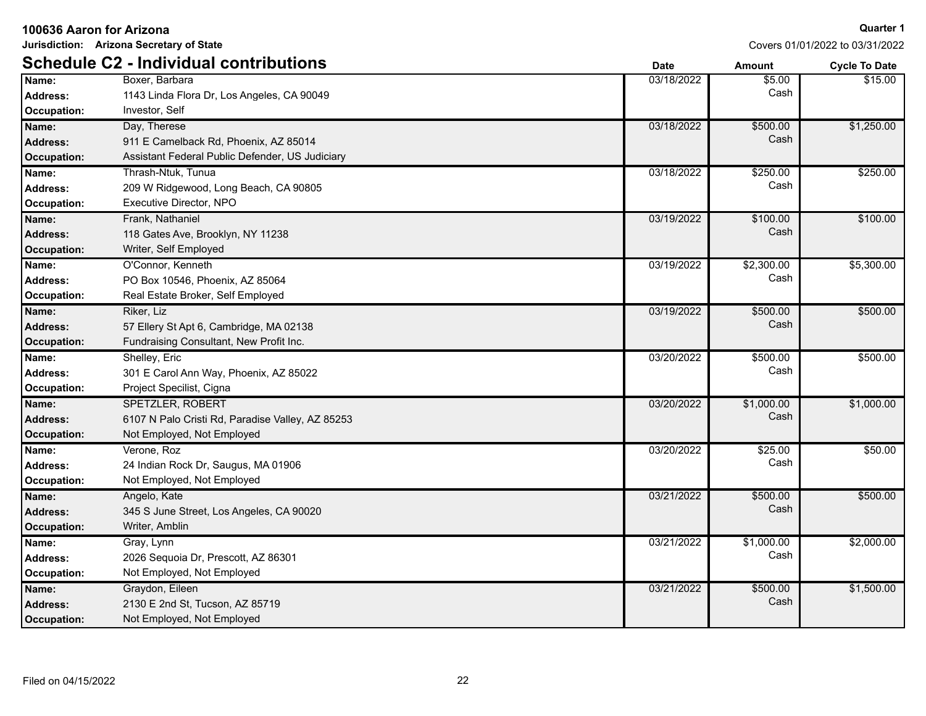**Jurisdiction: Arizona Secretary of State**

|                    | <b>Schedule C2 - Individual contributions</b>    | <b>Date</b> | <b>Amount</b> | <b>Cycle To Date</b> |
|--------------------|--------------------------------------------------|-------------|---------------|----------------------|
| Name:              | Boxer, Barbara                                   | 03/18/2022  | \$5.00        | \$15.00              |
| <b>Address:</b>    | 1143 Linda Flora Dr, Los Angeles, CA 90049       |             | Cash          |                      |
| Occupation:        | Investor, Self                                   |             |               |                      |
| Name:              | Day, Therese                                     | 03/18/2022  | \$500.00      | \$1,250.00           |
| <b>Address:</b>    | 911 E Camelback Rd, Phoenix, AZ 85014            |             | Cash          |                      |
| <b>Occupation:</b> | Assistant Federal Public Defender, US Judiciary  |             |               |                      |
| Name:              | Thrash-Ntuk, Tunua                               | 03/18/2022  | \$250.00      | \$250.00             |
| <b>Address:</b>    | 209 W Ridgewood, Long Beach, CA 90805            |             | Cash          |                      |
| Occupation:        | Executive Director, NPO                          |             |               |                      |
| Name:              | Frank, Nathaniel                                 | 03/19/2022  | \$100.00      | \$100.00             |
| <b>Address:</b>    | 118 Gates Ave, Brooklyn, NY 11238                |             | Cash          |                      |
| <b>Occupation:</b> | Writer, Self Employed                            |             |               |                      |
| Name:              | O'Connor, Kenneth                                | 03/19/2022  | \$2,300.00    | \$5,300.00           |
| <b>Address:</b>    | PO Box 10546, Phoenix, AZ 85064                  |             | Cash          |                      |
| Occupation:        | Real Estate Broker, Self Employed                |             |               |                      |
| Name:              | Riker, Liz                                       | 03/19/2022  | \$500.00      | \$500.00             |
| <b>Address:</b>    | 57 Ellery St Apt 6, Cambridge, MA 02138          |             | Cash          |                      |
| <b>Occupation:</b> | Fundraising Consultant, New Profit Inc.          |             |               |                      |
| Name:              | Shelley, Eric                                    | 03/20/2022  | \$500.00      | \$500.00             |
| <b>Address:</b>    | 301 E Carol Ann Way, Phoenix, AZ 85022           |             | Cash          |                      |
| Occupation:        | Project Specilist, Cigna                         |             |               |                      |
| Name:              | <b>SPETZLER, ROBERT</b>                          | 03/20/2022  | \$1,000.00    | \$1,000.00           |
| <b>Address:</b>    | 6107 N Palo Cristi Rd, Paradise Valley, AZ 85253 |             | Cash          |                      |
| <b>Occupation:</b> | Not Employed, Not Employed                       |             |               |                      |
| Name:              | Verone, Roz                                      | 03/20/2022  | \$25.00       | \$50.00              |
| <b>Address:</b>    | 24 Indian Rock Dr, Saugus, MA 01906              |             | Cash          |                      |
| Occupation:        | Not Employed, Not Employed                       |             |               |                      |
| Name:              | Angelo, Kate                                     | 03/21/2022  | \$500.00      | \$500.00             |
| <b>Address:</b>    | 345 S June Street, Los Angeles, CA 90020         |             | Cash          |                      |
| <b>Occupation:</b> | Writer, Amblin                                   |             |               |                      |
| Name:              | Gray, Lynn                                       | 03/21/2022  | \$1,000.00    | \$2,000.00           |
| <b>Address:</b>    | 2026 Sequoia Dr, Prescott, AZ 86301              |             | Cash          |                      |
| <b>Occupation:</b> | Not Employed, Not Employed                       |             |               |                      |
| Name:              | Graydon, Eileen                                  | 03/21/2022  | \$500.00      | \$1,500.00           |
| <b>Address:</b>    | 2130 E 2nd St, Tucson, AZ 85719                  |             | Cash          |                      |
| Occupation:        | Not Employed, Not Employed                       |             |               |                      |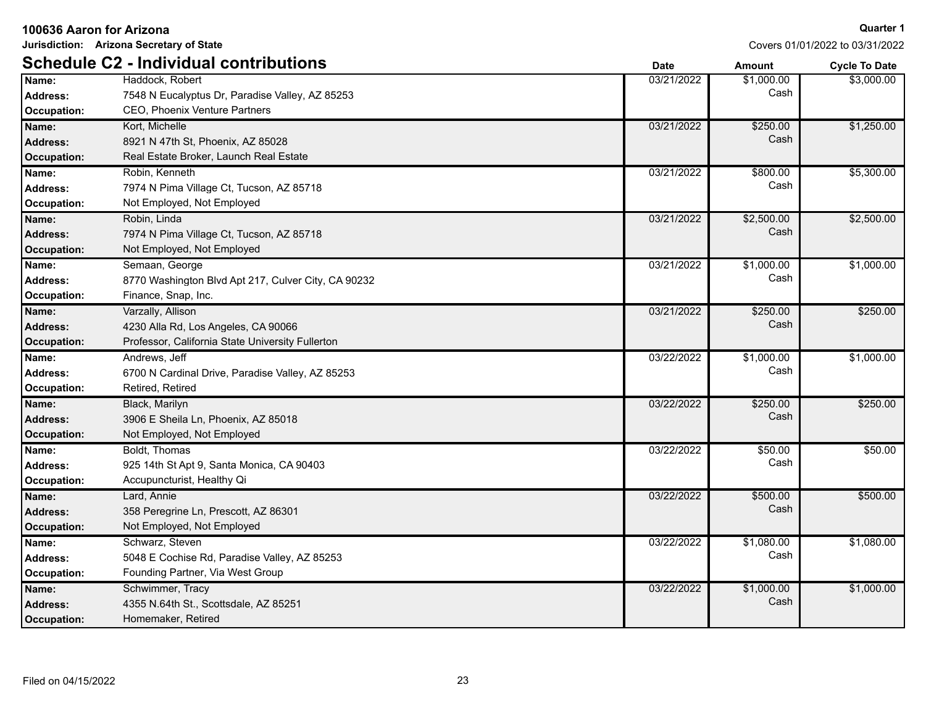|  | 100636 Aaron for Arizona |  |
|--|--------------------------|--|
|--|--------------------------|--|

**Jurisdiction: Arizona Secretary of State**

|                    | <b>Schedule C2 - Individual contributions</b>       | <b>Date</b> | <b>Amount</b> | <b>Cycle To Date</b> |
|--------------------|-----------------------------------------------------|-------------|---------------|----------------------|
| Name:              | Haddock, Robert                                     | 03/21/2022  | \$1,000.00    | \$3,000.00           |
| <b>Address:</b>    | 7548 N Eucalyptus Dr, Paradise Valley, AZ 85253     |             | Cash          |                      |
| Occupation:        | CEO, Phoenix Venture Partners                       |             |               |                      |
| Name:              | Kort, Michelle                                      | 03/21/2022  | \$250.00      | \$1,250.00           |
| <b>Address:</b>    | 8921 N 47th St, Phoenix, AZ 85028                   |             | Cash          |                      |
| <b>Occupation:</b> | Real Estate Broker, Launch Real Estate              |             |               |                      |
| Name:              | Robin, Kenneth                                      | 03/21/2022  | \$800.00      | \$5,300.00           |
| <b>Address:</b>    | 7974 N Pima Village Ct, Tucson, AZ 85718            |             | Cash          |                      |
| Occupation:        | Not Employed, Not Employed                          |             |               |                      |
| Name:              | Robin, Linda                                        | 03/21/2022  | \$2,500.00    | \$2,500.00           |
| <b>Address:</b>    | 7974 N Pima Village Ct, Tucson, AZ 85718            |             | Cash          |                      |
| Occupation:        | Not Employed, Not Employed                          |             |               |                      |
| Name:              | Semaan, George                                      | 03/21/2022  | \$1,000.00    | \$1,000.00           |
| Address:           | 8770 Washington Blvd Apt 217, Culver City, CA 90232 |             | Cash          |                      |
| Occupation:        | Finance, Snap, Inc.                                 |             |               |                      |
| Name:              | Varzally, Allison                                   | 03/21/2022  | \$250.00      | \$250.00             |
| Address:           | 4230 Alla Rd, Los Angeles, CA 90066                 |             | Cash          |                      |
| Occupation:        | Professor, California State University Fullerton    |             |               |                      |
| Name:              | Andrews, Jeff                                       | 03/22/2022  | \$1,000.00    | \$1,000.00           |
| <b>Address:</b>    | 6700 N Cardinal Drive, Paradise Valley, AZ 85253    |             | Cash          |                      |
| Occupation:        | Retired, Retired                                    |             |               |                      |
| Name:              | Black, Marilyn                                      | 03/22/2022  | \$250.00      | \$250.00             |
| Address:           | 3906 E Sheila Ln, Phoenix, AZ 85018                 |             | Cash          |                      |
| Occupation:        | Not Employed, Not Employed                          |             |               |                      |
| Name:              | Boldt, Thomas                                       | 03/22/2022  | \$50.00       | \$50.00              |
| <b>Address:</b>    | 925 14th St Apt 9, Santa Monica, CA 90403           |             | Cash          |                      |
| Occupation:        | Accupuncturist, Healthy Qi                          |             |               |                      |
| Name:              | Lard, Annie                                         | 03/22/2022  | \$500.00      | \$500.00             |
| Address:           | 358 Peregrine Ln, Prescott, AZ 86301                |             | Cash          |                      |
| Occupation:        | Not Employed, Not Employed                          |             |               |                      |
| Name:              | Schwarz, Steven                                     | 03/22/2022  | \$1,080.00    | \$1,080.00           |
| <b>Address:</b>    | 5048 E Cochise Rd, Paradise Valley, AZ 85253        |             | Cash          |                      |
| Occupation:        | Founding Partner, Via West Group                    |             |               |                      |
| Name:              | Schwimmer, Tracy                                    | 03/22/2022  | \$1,000.00    | \$1,000.00           |
| <b>Address:</b>    | 4355 N.64th St., Scottsdale, AZ 85251               |             | Cash          |                      |
| Occupation:        | Homemaker, Retired                                  |             |               |                      |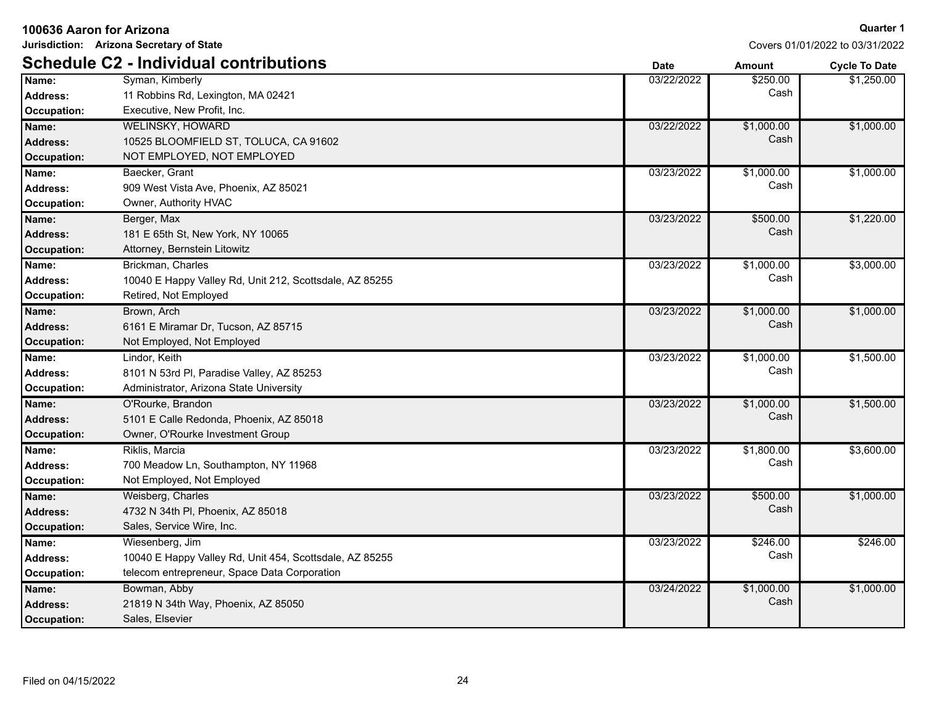|                    | Jurisdiction: Arizona Secretary of State                |             | Covers 01/01/2022 to 03/31/2022 |                      |
|--------------------|---------------------------------------------------------|-------------|---------------------------------|----------------------|
|                    | <b>Schedule C2 - Individual contributions</b>           | <b>Date</b> | <b>Amount</b>                   | <b>Cycle To Date</b> |
| Name:              | Syman, Kimberly                                         | 03/22/2022  | \$250.00                        | \$1,250.00           |
| <b>Address:</b>    | 11 Robbins Rd, Lexington, MA 02421                      |             | Cash                            |                      |
| <b>Occupation:</b> | Executive, New Profit, Inc.                             |             |                                 |                      |
| Name:              | <b>WELINSKY, HOWARD</b>                                 | 03/22/2022  | \$1,000.00                      | \$1,000.00           |
| Address:           | 10525 BLOOMFIELD ST, TOLUCA, CA 91602                   |             | Cash                            |                      |
| Occupation:        | NOT EMPLOYED, NOT EMPLOYED                              |             |                                 |                      |
| Name:              | Baecker, Grant                                          | 03/23/2022  | \$1,000.00                      | \$1,000.00           |
| <b>Address:</b>    | 909 West Vista Ave, Phoenix, AZ 85021                   |             | Cash                            |                      |
| <b>Occupation:</b> | Owner, Authority HVAC                                   |             |                                 |                      |
| Name:              | Berger, Max                                             | 03/23/2022  | \$500.00                        | \$1,220.00           |
| Address:           | 181 E 65th St, New York, NY 10065                       |             | Cash                            |                      |
| <b>Occupation:</b> | Attorney, Bernstein Litowitz                            |             |                                 |                      |
| Name:              | Brickman, Charles                                       | 03/23/2022  | \$1,000.00                      | \$3,000.00           |
| <b>Address:</b>    | 10040 E Happy Valley Rd, Unit 212, Scottsdale, AZ 85255 |             | Cash                            |                      |
| Occupation:        | Retired, Not Employed                                   |             |                                 |                      |
| Name:              | Brown, Arch                                             | 03/23/2022  | \$1,000.00                      | \$1,000.00           |
| <b>Address:</b>    | 6161 E Miramar Dr, Tucson, AZ 85715                     |             | Cash                            |                      |
| Occupation:        | Not Employed, Not Employed                              |             |                                 |                      |
| Name:              | Lindor, Keith                                           | 03/23/2022  | \$1,000.00                      | \$1,500.00           |
| <b>Address:</b>    | 8101 N 53rd Pl, Paradise Valley, AZ 85253               |             | Cash                            |                      |
| <b>Occupation:</b> | Administrator, Arizona State University                 |             |                                 |                      |
| Name:              | O'Rourke, Brandon                                       | 03/23/2022  | \$1,000.00                      | \$1,500.00           |
| <b>Address:</b>    | 5101 E Calle Redonda, Phoenix, AZ 85018                 |             | Cash                            |                      |
| <b>Occupation:</b> | Owner, O'Rourke Investment Group                        |             |                                 |                      |
| Name:              | Riklis, Marcia                                          | 03/23/2022  | \$1,800.00                      | \$3,600.00           |
| <b>Address:</b>    | 700 Meadow Ln, Southampton, NY 11968                    |             | Cash                            |                      |
| <b>Occupation:</b> | Not Employed, Not Employed                              |             |                                 |                      |
| Name:              | Weisberg, Charles                                       | 03/23/2022  | \$500.00                        | \$1,000.00           |
| Address:           | 4732 N 34th PI, Phoenix, AZ 85018                       |             | Cash                            |                      |
| Occupation:        | Sales, Service Wire, Inc.                               |             |                                 |                      |
| Name:              | Wiesenberg, Jim                                         | 03/23/2022  | \$246.00                        | \$246.00             |
| <b>Address:</b>    | 10040 E Happy Valley Rd, Unit 454, Scottsdale, AZ 85255 |             | Cash                            |                      |
| Occupation:        | telecom entrepreneur, Space Data Corporation            |             |                                 |                      |
| Name:              | Bowman, Abby                                            | 03/24/2022  | \$1,000.00                      | \$1,000.00           |
| Address:           | 21819 N 34th Way, Phoenix, AZ 85050                     |             | Cash                            |                      |
| Occupation:        | Sales, Elsevier                                         |             |                                 |                      |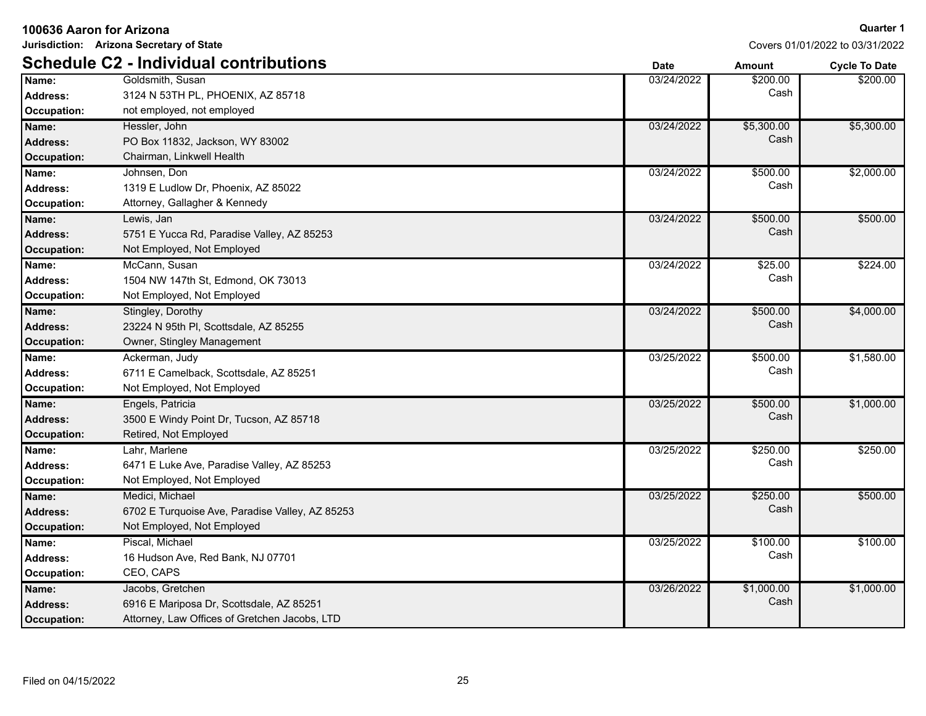| 100636 Aaron for Arizona |                                                 |             |               | <b>Quarter 1</b>                |
|--------------------------|-------------------------------------------------|-------------|---------------|---------------------------------|
|                          | Jurisdiction: Arizona Secretary of State        |             |               | Covers 01/01/2022 to 03/31/2022 |
|                          | <b>Schedule C2 - Individual contributions</b>   | <b>Date</b> | <b>Amount</b> | <b>Cycle To Date</b>            |
| Name:                    | Goldsmith, Susan                                | 03/24/2022  | \$200.00      | \$200.00                        |
| <b>Address:</b>          | 3124 N 53TH PL, PHOENIX, AZ 85718               |             | Cash          |                                 |
| Occupation:              | not employed, not employed                      |             |               |                                 |
| Name:                    | Hessler, John                                   | 03/24/2022  | \$5,300.00    | \$5,300.00                      |
| <b>Address:</b>          | PO Box 11832, Jackson, WY 83002                 |             | Cash          |                                 |
| Occupation:              | Chairman, Linkwell Health                       |             |               |                                 |
| Name:                    | Johnsen, Don                                    | 03/24/2022  | \$500.00      | \$2,000.00                      |
| <b>Address:</b>          | 1319 E Ludlow Dr, Phoenix, AZ 85022             |             | Cash          |                                 |
| Occupation:              | Attorney, Gallagher & Kennedy                   |             |               |                                 |
| Name:                    | Lewis, Jan                                      | 03/24/2022  | \$500.00      | \$500.00                        |
| <b>Address:</b>          | 5751 E Yucca Rd, Paradise Valley, AZ 85253      |             | Cash          |                                 |
| <b>Occupation:</b>       | Not Employed, Not Employed                      |             |               |                                 |
| Name:                    | McCann, Susan                                   | 03/24/2022  | \$25.00       | \$224.00                        |
| <b>Address:</b>          | 1504 NW 147th St. Edmond, OK 73013              |             | Cash          |                                 |
| Occupation:              | Not Employed, Not Employed                      |             |               |                                 |
| Name:                    | Stingley, Dorothy                               | 03/24/2022  | \$500.00      | \$4,000.00                      |
| Address:                 | 23224 N 95th PI, Scottsdale, AZ 85255           |             | Cash          |                                 |
| Occupation:              | Owner, Stingley Management                      |             |               |                                 |
| Name:                    | Ackerman, Judy                                  | 03/25/2022  | \$500.00      | \$1,580.00                      |
| Address:                 | 6711 E Camelback, Scottsdale, AZ 85251          |             | Cash          |                                 |
| Occupation:              | Not Employed, Not Employed                      |             |               |                                 |
| Name:                    | Engels, Patricia                                | 03/25/2022  | \$500.00      | \$1,000.00                      |
| <b>Address:</b>          | 3500 E Windy Point Dr. Tucson, AZ 85718         |             | Cash          |                                 |
| <b>Occupation:</b>       | Retired, Not Employed                           |             |               |                                 |
| Name:                    | Lahr, Marlene                                   | 03/25/2022  | \$250.00      | \$250.00                        |
| <b>Address:</b>          | 6471 E Luke Ave, Paradise Valley, AZ 85253      |             | Cash          |                                 |
| Occupation:              | Not Employed, Not Employed                      |             |               |                                 |
| Name:                    | Medici, Michael                                 | 03/25/2022  | \$250.00      | \$500.00                        |
| <b>Address:</b>          | 6702 E Turquoise Ave, Paradise Valley, AZ 85253 |             | Cash          |                                 |
| Occupation:              | Not Employed, Not Employed                      |             |               |                                 |
| Name:                    | Piscal, Michael                                 | 03/25/2022  | \$100.00      | \$100.00                        |
| <b>Address:</b>          | 16 Hudson Ave, Red Bank, NJ 07701               |             | Cash          |                                 |
| Occupation:              | CEO, CAPS                                       |             |               |                                 |
| Name:                    | Jacobs, Gretchen                                | 03/26/2022  | \$1,000.00    | \$1,000.00                      |
| <b>Address:</b>          | 6916 E Mariposa Dr, Scottsdale, AZ 85251        |             | Cash          |                                 |
| Occupation:              | Attorney, Law Offices of Gretchen Jacobs, LTD   |             |               |                                 |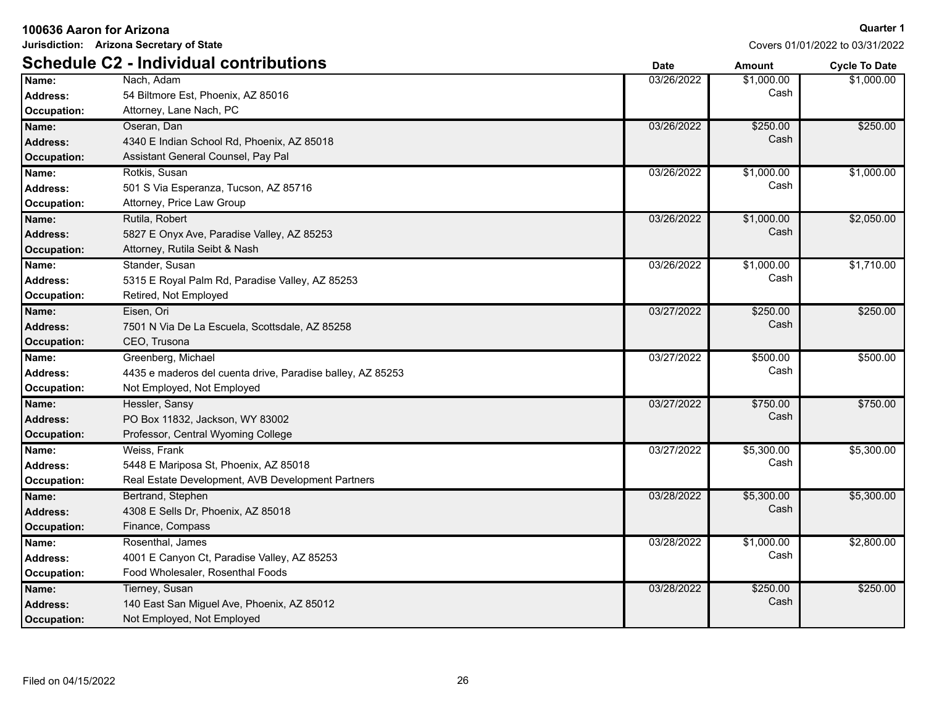| 100636 Aaron for Arizona |                                                            |             |               | <b>Quarter 1</b>                |
|--------------------------|------------------------------------------------------------|-------------|---------------|---------------------------------|
|                          | Jurisdiction: Arizona Secretary of State                   |             |               | Covers 01/01/2022 to 03/31/2022 |
|                          | <b>Schedule C2 - Individual contributions</b>              | <b>Date</b> | <b>Amount</b> | <b>Cycle To Date</b>            |
| Name:                    | Nach. Adam                                                 | 03/26/2022  | \$1,000.00    | \$1,000.00                      |
| <b>Address:</b>          | 54 Biltmore Est, Phoenix, AZ 85016                         |             | Cash          |                                 |
| Occupation:              | Attorney, Lane Nach, PC                                    |             |               |                                 |
| Name:                    | Oseran, Dan                                                | 03/26/2022  | \$250.00      | \$250.00                        |
| <b>Address:</b>          | 4340 E Indian School Rd, Phoenix, AZ 85018                 |             | Cash          |                                 |
| Occupation:              | Assistant General Counsel, Pay Pal                         |             |               |                                 |
| Name:                    | Rotkis, Susan                                              | 03/26/2022  | \$1,000.00    | \$1,000.00                      |
| <b>Address:</b>          | 501 S Via Esperanza, Tucson, AZ 85716                      |             | Cash          |                                 |
| Occupation:              | Attorney, Price Law Group                                  |             |               |                                 |
| Name:                    | Rutila, Robert                                             | 03/26/2022  | \$1,000.00    | \$2,050.00                      |
| <b>Address:</b>          | 5827 E Onyx Ave, Paradise Valley, AZ 85253                 |             | Cash          |                                 |
| <b>Occupation:</b>       | Attorney, Rutila Seibt & Nash                              |             |               |                                 |
| Name:                    | Stander, Susan                                             | 03/26/2022  | \$1,000.00    | \$1,710.00                      |
| <b>Address:</b>          | 5315 E Royal Palm Rd, Paradise Valley, AZ 85253            |             | Cash          |                                 |
| Occupation:              | Retired, Not Employed                                      |             |               |                                 |
| Name:                    | Eisen, Ori                                                 | 03/27/2022  | \$250.00      | \$250.00                        |
| <b>Address:</b>          | 7501 N Via De La Escuela, Scottsdale, AZ 85258             |             | Cash          |                                 |
| Occupation:              | CEO, Trusona                                               |             |               |                                 |
| Name:                    | Greenberg, Michael                                         | 03/27/2022  | \$500.00      | \$500.00                        |
| <b>Address:</b>          | 4435 e maderos del cuenta drive, Paradise balley, AZ 85253 |             | Cash          |                                 |
| <b>Occupation:</b>       | Not Employed, Not Employed                                 |             |               |                                 |
| Name:                    | Hessler, Sansy                                             | 03/27/2022  | \$750.00      | \$750.00                        |
| <b>Address:</b>          | PO Box 11832, Jackson, WY 83002                            |             | Cash          |                                 |
| <b>Occupation:</b>       | Professor, Central Wyoming College                         |             |               |                                 |
| Name:                    | Weiss, Frank                                               | 03/27/2022  | \$5,300.00    | \$5,300.00                      |
| <b>Address:</b>          | 5448 E Mariposa St, Phoenix, AZ 85018                      |             | Cash          |                                 |
| Occupation:              | Real Estate Development, AVB Development Partners          |             |               |                                 |
| Name:                    | Bertrand, Stephen                                          | 03/28/2022  | \$5,300.00    | \$5,300.00                      |
| <b>Address:</b>          | 4308 E Sells Dr, Phoenix, AZ 85018                         |             | Cash          |                                 |
| Occupation:              | Finance, Compass                                           |             |               |                                 |
| Name:                    | Rosenthal, James                                           | 03/28/2022  | \$1,000.00    | \$2,800.00                      |
| <b>Address:</b>          | 4001 E Canyon Ct, Paradise Valley, AZ 85253                |             | Cash          |                                 |
| Occupation:              | Food Wholesaler, Rosenthal Foods                           |             |               |                                 |
| Name:                    | Tierney, Susan                                             | 03/28/2022  | \$250.00      | \$250.00                        |
| <b>Address:</b>          | 140 East San Miguel Ave, Phoenix, AZ 85012                 |             | Cash          |                                 |
| Occupation:              | Not Employed, Not Employed                                 |             |               |                                 |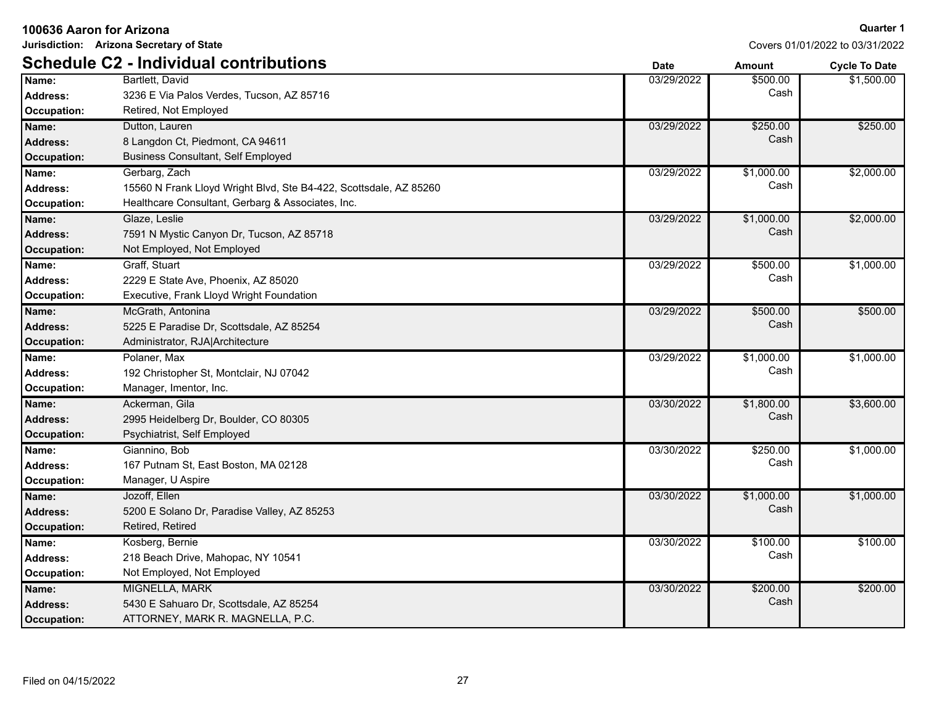**Jurisdiction: Arizona Secretary of State**

|                    | <b>Schedule C2 - Individual contributions</b>                     | <b>Date</b> | Amount     | <b>Cycle To Date</b> |
|--------------------|-------------------------------------------------------------------|-------------|------------|----------------------|
| Name:              | Bartlett, David                                                   | 03/29/2022  | \$500.00   | \$1,500.00           |
| <b>Address:</b>    | 3236 E Via Palos Verdes, Tucson, AZ 85716                         |             | Cash       |                      |
| <b>Occupation:</b> | Retired, Not Employed                                             |             |            |                      |
| Name:              | Dutton, Lauren                                                    | 03/29/2022  | \$250.00   | \$250.00             |
| <b>Address:</b>    | 8 Langdon Ct, Piedmont, CA 94611                                  |             | Cash       |                      |
| Occupation:        | <b>Business Consultant, Self Employed</b>                         |             |            |                      |
| Name:              | Gerbarg, Zach                                                     | 03/29/2022  | \$1,000.00 | \$2,000.00           |
| <b>Address:</b>    | 15560 N Frank Lloyd Wright Blvd, Ste B4-422, Scottsdale, AZ 85260 |             | Cash       |                      |
| <b>Occupation:</b> | Healthcare Consultant, Gerbarg & Associates, Inc.                 |             |            |                      |
| Name:              | Glaze, Leslie                                                     | 03/29/2022  | \$1,000.00 | \$2,000.00           |
| <b>Address:</b>    | 7591 N Mystic Canyon Dr, Tucson, AZ 85718                         |             | Cash       |                      |
| Occupation:        | Not Employed, Not Employed                                        |             |            |                      |
| Name:              | Graff, Stuart                                                     | 03/29/2022  | \$500.00   | \$1,000.00           |
| <b>Address:</b>    | 2229 E State Ave, Phoenix, AZ 85020                               |             | Cash       |                      |
| <b>Occupation:</b> | Executive, Frank Lloyd Wright Foundation                          |             |            |                      |
| Name:              | McGrath, Antonina                                                 | 03/29/2022  | \$500.00   | \$500.00             |
| <b>Address:</b>    | 5225 E Paradise Dr, Scottsdale, AZ 85254                          |             | Cash       |                      |
| Occupation:        | Administrator, RJA Architecture                                   |             |            |                      |
| Name:              | Polaner, Max                                                      | 03/29/2022  | \$1,000.00 | \$1,000.00           |
| <b>Address:</b>    | 192 Christopher St, Montclair, NJ 07042                           |             | Cash       |                      |
| Occupation:        | Manager, Imentor, Inc.                                            |             |            |                      |
| Name:              | Ackerman, Gila                                                    | 03/30/2022  | \$1,800.00 | \$3,600.00           |
| <b>Address:</b>    | 2995 Heidelberg Dr, Boulder, CO 80305                             |             | Cash       |                      |
| Occupation:        | Psychiatrist, Self Employed                                       |             |            |                      |
| Name:              | Giannino, Bob                                                     | 03/30/2022  | \$250.00   | \$1,000.00           |
| <b>Address:</b>    | 167 Putnam St, East Boston, MA 02128                              |             | Cash       |                      |
| Occupation:        | Manager, U Aspire                                                 |             |            |                      |
| Name:              | Jozoff, Ellen                                                     | 03/30/2022  | \$1,000.00 | \$1,000.00           |
| Address:           | 5200 E Solano Dr, Paradise Valley, AZ 85253                       |             | Cash       |                      |
| Occupation:        | Retired, Retired                                                  |             |            |                      |
| Name:              | Kosberg, Bernie                                                   | 03/30/2022  | \$100.00   | \$100.00             |
| Address:           | 218 Beach Drive, Mahopac, NY 10541                                |             | Cash       |                      |
| Occupation:        | Not Employed, Not Employed                                        |             |            |                      |
| Name:              | <b>MIGNELLA, MARK</b>                                             | 03/30/2022  | \$200.00   | \$200.00             |
| Address:           | 5430 E Sahuaro Dr, Scottsdale, AZ 85254                           |             | Cash       |                      |
| Occupation:        | ATTORNEY, MARK R. MAGNELLA, P.C.                                  |             |            |                      |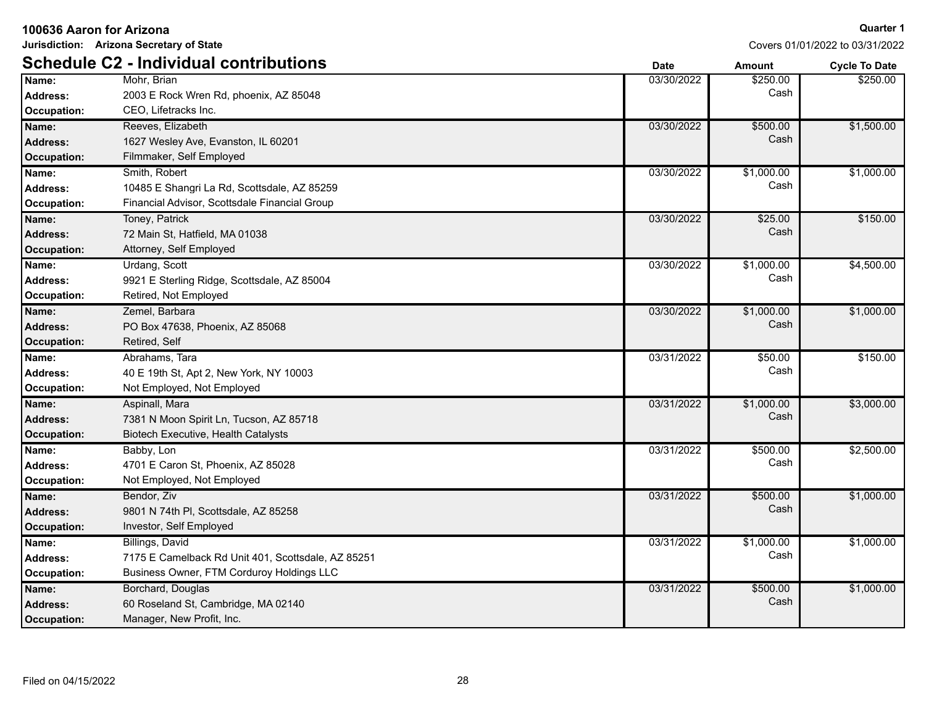|  |  |  | 100636 Aaron for Arizona |
|--|--|--|--------------------------|
|--|--|--|--------------------------|

**Jurisdiction: Arizona Secretary of State**

|                    | <b>Schedule C2 - Individual contributions</b>      | <b>Date</b> | <b>Amount</b> | <b>Cycle To Date</b> |
|--------------------|----------------------------------------------------|-------------|---------------|----------------------|
| Name:              | Mohr, Brian                                        | 03/30/2022  | \$250.00      | \$250.00             |
| <b>Address:</b>    | 2003 E Rock Wren Rd, phoenix, AZ 85048             |             | Cash          |                      |
| Occupation:        | CEO, Lifetracks Inc.                               |             |               |                      |
| Name:              | Reeves, Elizabeth                                  | 03/30/2022  | \$500.00      | \$1,500.00           |
| <b>Address:</b>    | 1627 Wesley Ave, Evanston, IL 60201                |             | Cash          |                      |
| <b>Occupation:</b> | Filmmaker, Self Employed                           |             |               |                      |
| Name:              | Smith, Robert                                      | 03/30/2022  | \$1,000.00    | \$1,000.00           |
| Address:           | 10485 E Shangri La Rd, Scottsdale, AZ 85259        |             | Cash          |                      |
| <b>Occupation:</b> | Financial Advisor, Scottsdale Financial Group      |             |               |                      |
| Name:              | Toney, Patrick                                     | 03/30/2022  | \$25.00       | \$150.00             |
| <b>Address:</b>    | 72 Main St, Hatfield, MA 01038                     |             | Cash          |                      |
| <b>Occupation:</b> | Attorney, Self Employed                            |             |               |                      |
| Name:              | Urdang, Scott                                      | 03/30/2022  | \$1,000.00    | \$4,500.00           |
| <b>Address:</b>    | 9921 E Sterling Ridge, Scottsdale, AZ 85004        |             | Cash          |                      |
| <b>Occupation:</b> | Retired, Not Employed                              |             |               |                      |
| Name:              | Zemel, Barbara                                     | 03/30/2022  | \$1,000.00    | \$1,000.00           |
| <b>Address:</b>    | PO Box 47638, Phoenix, AZ 85068                    |             | Cash          |                      |
| <b>Occupation:</b> | Retired, Self                                      |             |               |                      |
| Name:              | Abrahams, Tara                                     | 03/31/2022  | \$50.00       | \$150.00             |
| <b>Address:</b>    | 40 E 19th St, Apt 2, New York, NY 10003            |             | Cash          |                      |
| <b>Occupation:</b> | Not Employed, Not Employed                         |             |               |                      |
| Name:              | Aspinall, Mara                                     | 03/31/2022  | \$1,000.00    | \$3,000.00           |
| <b>Address:</b>    | 7381 N Moon Spirit Ln, Tucson, AZ 85718            |             | Cash          |                      |
| <b>Occupation:</b> | Biotech Executive, Health Catalysts                |             |               |                      |
| Name:              | Babby, Lon                                         | 03/31/2022  | \$500.00      | \$2,500.00           |
| <b>Address:</b>    | 4701 E Caron St, Phoenix, AZ 85028                 |             | Cash          |                      |
| <b>Occupation:</b> | Not Employed, Not Employed                         |             |               |                      |
| Name:              | Bendor, Ziv                                        | 03/31/2022  | \$500.00      | \$1,000.00           |
| <b>Address:</b>    | 9801 N 74th PI, Scottsdale, AZ 85258               |             | Cash          |                      |
| <b>Occupation:</b> | Investor, Self Employed                            |             |               |                      |
| Name:              | Billings, David                                    | 03/31/2022  | \$1,000.00    | \$1,000.00           |
| Address:           | 7175 E Camelback Rd Unit 401, Scottsdale, AZ 85251 |             | Cash          |                      |
| <b>Occupation:</b> | Business Owner, FTM Corduroy Holdings LLC          |             |               |                      |
| Name:              | Borchard, Douglas                                  | 03/31/2022  | \$500.00      | \$1,000.00           |
| <b>Address:</b>    | 60 Roseland St, Cambridge, MA 02140                |             | Cash          |                      |
| <b>Occupation:</b> | Manager, New Profit, Inc.                          |             |               |                      |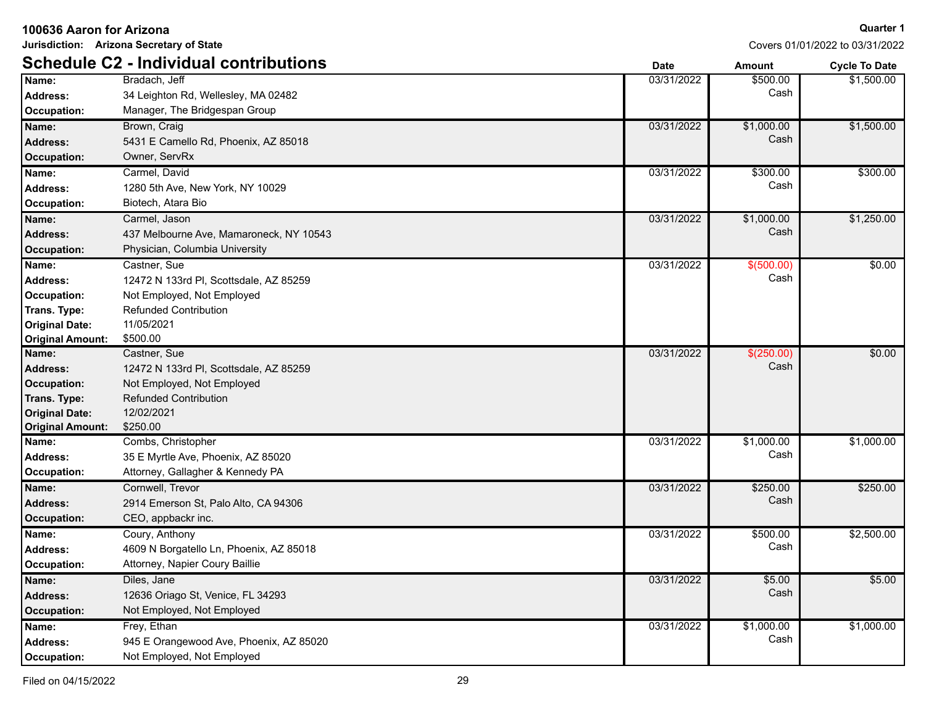| Jurisdiction: Arizona Secretary of State |                                               |             | Covers 01/01/2022 to 03/31/2022 |                      |
|------------------------------------------|-----------------------------------------------|-------------|---------------------------------|----------------------|
|                                          | <b>Schedule C2 - Individual contributions</b> | <b>Date</b> | Amount                          | <b>Cycle To Date</b> |
| Name:                                    | Bradach, Jeff                                 | 03/31/2022  | \$500.00                        | \$1,500.00           |
| <b>Address:</b>                          | 34 Leighton Rd, Wellesley, MA 02482           |             | Cash                            |                      |
| Occupation:                              | Manager, The Bridgespan Group                 |             |                                 |                      |
| Name:                                    | Brown, Craig                                  | 03/31/2022  | \$1,000.00                      | \$1,500.00           |
| <b>Address:</b>                          | 5431 E Camello Rd, Phoenix, AZ 85018          |             | Cash                            |                      |
| <b>Occupation:</b>                       | Owner, ServRx                                 |             |                                 |                      |
| Name:                                    | Carmel, David                                 | 03/31/2022  | \$300.00                        | \$300.00             |
| Address:                                 | 1280 5th Ave, New York, NY 10029              |             | Cash                            |                      |
| Occupation:                              | Biotech, Atara Bio                            |             |                                 |                      |
| Name:                                    | Carmel, Jason                                 | 03/31/2022  | \$1,000.00                      | \$1,250.00           |
| <b>Address:</b>                          | 437 Melbourne Ave, Mamaroneck, NY 10543       |             | Cash                            |                      |
| <b>Occupation:</b>                       | Physician, Columbia University                |             |                                 |                      |
| Name:                                    | Castner, Sue                                  | 03/31/2022  | \$(500.00)                      | \$0.00               |
| <b>Address:</b>                          | 12472 N 133rd PI, Scottsdale, AZ 85259        |             | Cash                            |                      |
| Occupation:                              | Not Employed, Not Employed                    |             |                                 |                      |
| Trans. Type:                             | <b>Refunded Contribution</b>                  |             |                                 |                      |
| <b>Original Date:</b>                    | 11/05/2021                                    |             |                                 |                      |
| <b>Original Amount:</b>                  | \$500.00                                      |             |                                 |                      |
| Name:                                    | Castner, Sue                                  | 03/31/2022  | \$(250.00)                      | \$0.00               |
| <b>Address:</b>                          | 12472 N 133rd Pl, Scottsdale, AZ 85259        |             | Cash                            |                      |
| <b>Occupation:</b>                       | Not Employed, Not Employed                    |             |                                 |                      |
| Trans. Type:                             | <b>Refunded Contribution</b>                  |             |                                 |                      |
| <b>Original Date:</b>                    | 12/02/2021                                    |             |                                 |                      |
| <b>Original Amount:</b>                  | \$250.00                                      |             |                                 |                      |
| Name:                                    | Combs, Christopher                            | 03/31/2022  | \$1,000.00                      | \$1,000.00           |
| <b>Address:</b>                          | 35 E Myrtle Ave, Phoenix, AZ 85020            |             | Cash                            |                      |
| Occupation:                              | Attorney, Gallagher & Kennedy PA              |             |                                 |                      |
| Name:                                    | Cornwell, Trevor                              | 03/31/2022  | \$250.00                        | \$250.00             |
| <b>Address:</b>                          | 2914 Emerson St, Palo Alto, CA 94306          |             | Cash                            |                      |
| <b>Occupation:</b>                       | CEO, appbackr inc.                            |             |                                 |                      |
| Name:                                    | Coury, Anthony                                | 03/31/2022  | \$500.00                        | \$2,500.00           |
| Address:                                 | 4609 N Borgatello Ln, Phoenix, AZ 85018       |             | Cash                            |                      |
| Occupation:                              | Attorney, Napier Coury Baillie                |             |                                 |                      |
| Name:                                    | Diles, Jane                                   | 03/31/2022  | \$5.00                          | \$5.00               |
| <b>Address:</b>                          | 12636 Oriago St, Venice, FL 34293             |             | Cash                            |                      |
| <b>Occupation:</b>                       | Not Employed, Not Employed                    |             |                                 |                      |
| Name:                                    | Frey, Ethan                                   | 03/31/2022  | \$1,000.00                      | \$1,000.00           |
| <b>Address:</b>                          | 945 E Orangewood Ave, Phoenix, AZ 85020       |             | Cash                            |                      |
| Occupation:                              | Not Employed, Not Employed                    |             |                                 |                      |

Filed on 04/15/2022 29

#### **Quarter 1**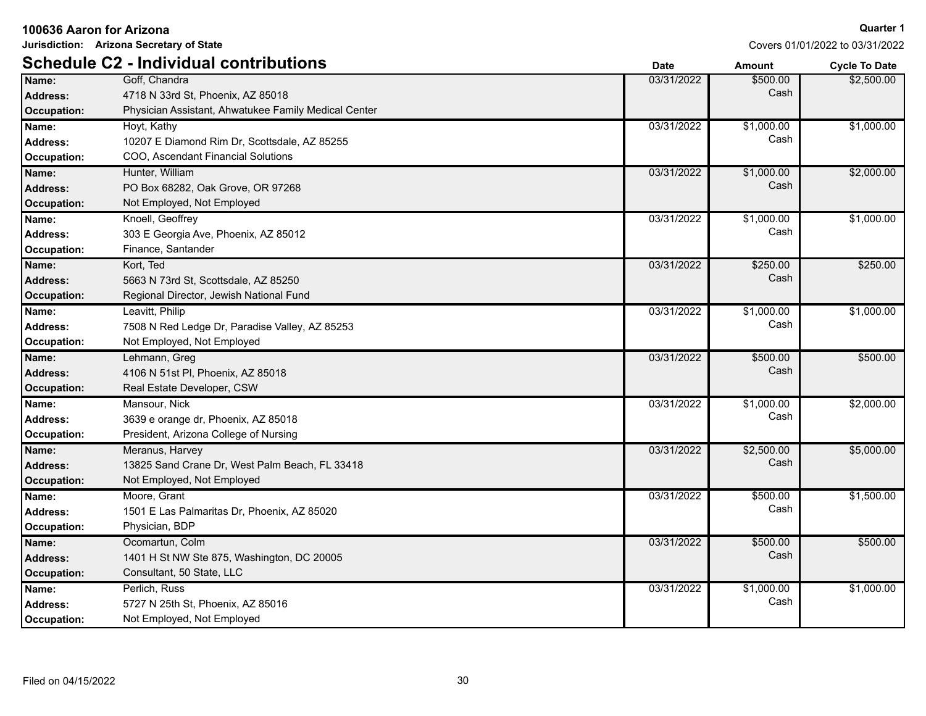| Jurisdiction: Arizona Secretary of State |                                                      | Covers 01/01/2022 to 03/31/2022 |               |                      |
|------------------------------------------|------------------------------------------------------|---------------------------------|---------------|----------------------|
|                                          | <b>Schedule C2 - Individual contributions</b>        | <b>Date</b>                     | <b>Amount</b> | <b>Cycle To Date</b> |
| Name:                                    | Goff, Chandra                                        | 03/31/2022                      | \$500.00      | \$2,500.00           |
| <b>Address:</b>                          | 4718 N 33rd St, Phoenix, AZ 85018                    |                                 | Cash          |                      |
| <b>Occupation:</b>                       | Physician Assistant, Ahwatukee Family Medical Center |                                 |               |                      |
| Name:                                    | Hoyt, Kathy                                          | 03/31/2022                      | \$1,000.00    | \$1,000.00           |
| <b>Address:</b>                          | 10207 E Diamond Rim Dr, Scottsdale, AZ 85255         |                                 | Cash          |                      |
| Occupation:                              | COO, Ascendant Financial Solutions                   |                                 |               |                      |
| Name:                                    | Hunter, William                                      | 03/31/2022                      | \$1,000.00    | \$2,000.00           |
| <b>Address:</b>                          | PO Box 68282, Oak Grove, OR 97268                    |                                 | Cash          |                      |
| <b>Occupation:</b>                       | Not Employed, Not Employed                           |                                 |               |                      |
| Name:                                    | Knoell, Geoffrey                                     | 03/31/2022                      | \$1,000.00    | \$1,000.00           |
| <b>Address:</b>                          | 303 E Georgia Ave, Phoenix, AZ 85012                 |                                 | Cash          |                      |
| <b>Occupation:</b>                       | Finance, Santander                                   |                                 |               |                      |
| Name:                                    | Kort, Ted                                            | 03/31/2022                      | \$250.00      | \$250.00             |
| <b>Address:</b>                          | 5663 N 73rd St, Scottsdale, AZ 85250                 |                                 | Cash          |                      |
| <b>Occupation:</b>                       | Regional Director, Jewish National Fund              |                                 |               |                      |
| Name:                                    | Leavitt, Philip                                      | 03/31/2022                      | \$1,000.00    | \$1,000.00           |
| <b>Address:</b>                          | 7508 N Red Ledge Dr, Paradise Valley, AZ 85253       |                                 | Cash          |                      |
| Occupation:                              | Not Employed, Not Employed                           |                                 |               |                      |
| Name:                                    | Lehmann, Greg                                        | 03/31/2022                      | \$500.00      | \$500.00             |
| <b>Address:</b>                          | 4106 N 51st PI, Phoenix, AZ 85018                    |                                 | Cash          |                      |
| <b>Occupation:</b>                       | Real Estate Developer, CSW                           |                                 |               |                      |
| Name:                                    | Mansour, Nick                                        | 03/31/2022                      | \$1,000.00    | \$2,000.00           |
| <b>Address:</b>                          | 3639 e orange dr, Phoenix, AZ 85018                  |                                 | Cash          |                      |
| Occupation:                              | President, Arizona College of Nursing                |                                 |               |                      |
| Name:                                    | Meranus, Harvey                                      | 03/31/2022                      | \$2,500.00    | \$5,000.00           |
| <b>Address:</b>                          | 13825 Sand Crane Dr, West Palm Beach, FL 33418       |                                 | Cash          |                      |
| <b>Occupation:</b>                       | Not Employed, Not Employed                           |                                 |               |                      |
| Name:                                    | Moore, Grant                                         | 03/31/2022                      | \$500.00      | \$1,500.00           |
| <b>Address:</b>                          | 1501 E Las Palmaritas Dr, Phoenix, AZ 85020          |                                 | Cash          |                      |
| <b>Occupation:</b>                       | Physician, BDP                                       |                                 |               |                      |
| Name:                                    | Ocomartun, Colm                                      | 03/31/2022                      | \$500.00      | \$500.00             |
| <b>Address:</b>                          | 1401 H St NW Ste 875, Washington, DC 20005           |                                 | Cash          |                      |
| <b>Occupation:</b>                       | Consultant, 50 State, LLC                            |                                 |               |                      |
| Name:                                    | Perlich, Russ                                        | 03/31/2022                      | \$1,000.00    | \$1,000.00           |
| <b>Address:</b>                          | 5727 N 25th St, Phoenix, AZ 85016                    |                                 | Cash          |                      |
| <b>Occupation:</b>                       | Not Employed, Not Employed                           |                                 |               |                      |

Covers 01/01/2022 to 03/31/2022

#### **100636 Aaron for Arizona**

**Jurisdiction: Arizona Secretary of State**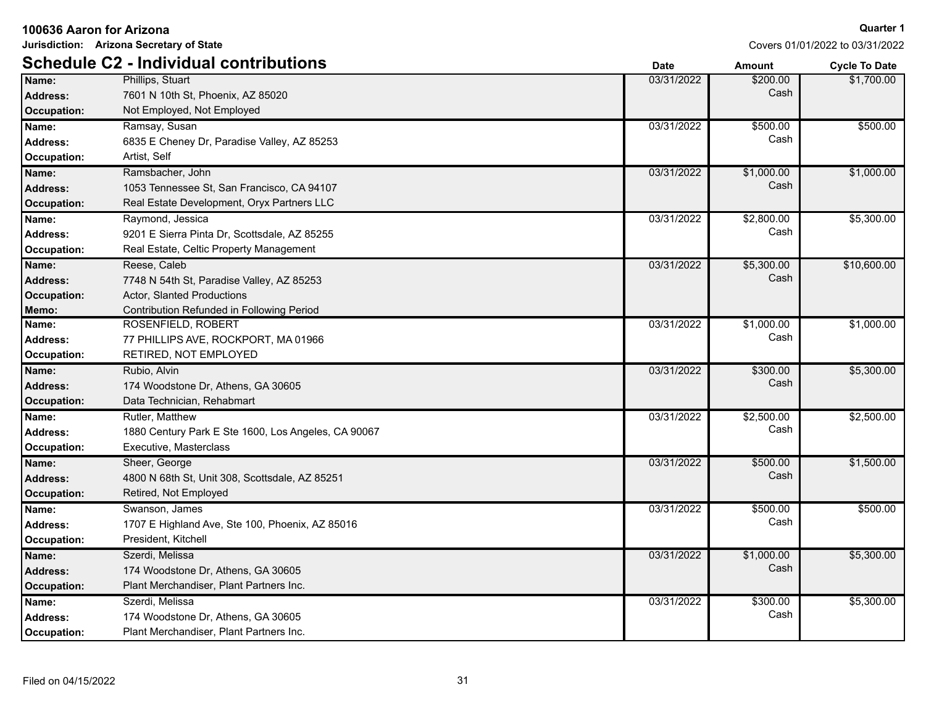| 100636 Aaron for Arizona |                                                     |             |            | <b>Quarter 1</b>                |
|--------------------------|-----------------------------------------------------|-------------|------------|---------------------------------|
|                          | Jurisdiction: Arizona Secretary of State            |             |            | Covers 01/01/2022 to 03/31/2022 |
|                          | <b>Schedule C2 - Individual contributions</b>       | <b>Date</b> | Amount     | <b>Cycle To Date</b>            |
| Name:                    | Phillips, Stuart                                    | 03/31/2022  | \$200.00   | \$1,700.00                      |
| <b>Address:</b>          | 7601 N 10th St, Phoenix, AZ 85020                   |             | Cash       |                                 |
| <b>Occupation:</b>       | Not Employed, Not Employed                          |             |            |                                 |
| Name:                    | Ramsay, Susan                                       | 03/31/2022  | \$500.00   | \$500.00                        |
| <b>Address:</b>          | 6835 E Cheney Dr, Paradise Valley, AZ 85253         |             | Cash       |                                 |
| Occupation:              | Artist, Self                                        |             |            |                                 |
| Name:                    | Ramsbacher, John                                    | 03/31/2022  | \$1,000.00 | \$1,000.00                      |
| <b>Address:</b>          | 1053 Tennessee St, San Francisco, CA 94107          |             | Cash       |                                 |
| <b>Occupation:</b>       | Real Estate Development, Oryx Partners LLC          |             |            |                                 |
| Name:                    | Raymond, Jessica                                    | 03/31/2022  | \$2,800.00 | \$5,300.00                      |
| <b>Address:</b>          | 9201 E Sierra Pinta Dr, Scottsdale, AZ 85255        |             | Cash       |                                 |
| Occupation:              | Real Estate, Celtic Property Management             |             |            |                                 |
| Name:                    | Reese, Caleb                                        | 03/31/2022  | \$5,300.00 | \$10,600.00                     |
| <b>Address:</b>          | 7748 N 54th St, Paradise Valley, AZ 85253           |             | Cash       |                                 |
| <b>Occupation:</b>       | Actor, Slanted Productions                          |             |            |                                 |
| Memo:                    | Contribution Refunded in Following Period           |             |            |                                 |
| Name:                    | ROSENFIELD, ROBERT                                  | 03/31/2022  | \$1,000.00 | \$1,000.00                      |
| <b>Address:</b>          | 77 PHILLIPS AVE, ROCKPORT, MA 01966                 |             | Cash       |                                 |
| Occupation:              | RETIRED, NOT EMPLOYED                               |             |            |                                 |
| Name:                    | Rubio, Alvin                                        | 03/31/2022  | \$300.00   | \$5,300.00                      |
| <b>Address:</b>          | 174 Woodstone Dr, Athens, GA 30605                  |             | Cash       |                                 |
| <b>Occupation:</b>       | Data Technician, Rehabmart                          |             |            |                                 |
| Name:                    | Rutler, Matthew                                     | 03/31/2022  | \$2,500.00 | \$2,500.00                      |
| <b>Address:</b>          | 1880 Century Park E Ste 1600, Los Angeles, CA 90067 |             | Cash       |                                 |
| Occupation:              | Executive, Masterclass                              |             |            |                                 |
| Name:                    | Sheer, George                                       | 03/31/2022  | \$500.00   | \$1,500.00                      |
| <b>Address:</b>          | 4800 N 68th St, Unit 308, Scottsdale, AZ 85251      |             | Cash       |                                 |
| <b>Occupation:</b>       | Retired, Not Employed                               |             |            |                                 |
| Name:                    | Swanson, James                                      | 03/31/2022  | \$500.00   | \$500.00                        |
| Address:                 | 1707 E Highland Ave, Ste 100, Phoenix, AZ 85016     |             | Cash       |                                 |
| Occupation:              | President, Kitchell                                 |             |            |                                 |
| Name:                    | Szerdi, Melissa                                     | 03/31/2022  | \$1,000.00 | \$5,300.00                      |
| <b>Address:</b>          | 174 Woodstone Dr, Athens, GA 30605                  |             | Cash       |                                 |
| Occupation:              | Plant Merchandiser, Plant Partners Inc.             |             |            |                                 |
| Name:                    | Szerdi, Melissa                                     | 03/31/2022  | \$300.00   | \$5,300.00                      |
| <b>Address:</b>          | 174 Woodstone Dr, Athens, GA 30605                  |             | Cash       |                                 |
| Occupation:              | Plant Merchandiser, Plant Partners Inc.             |             |            |                                 |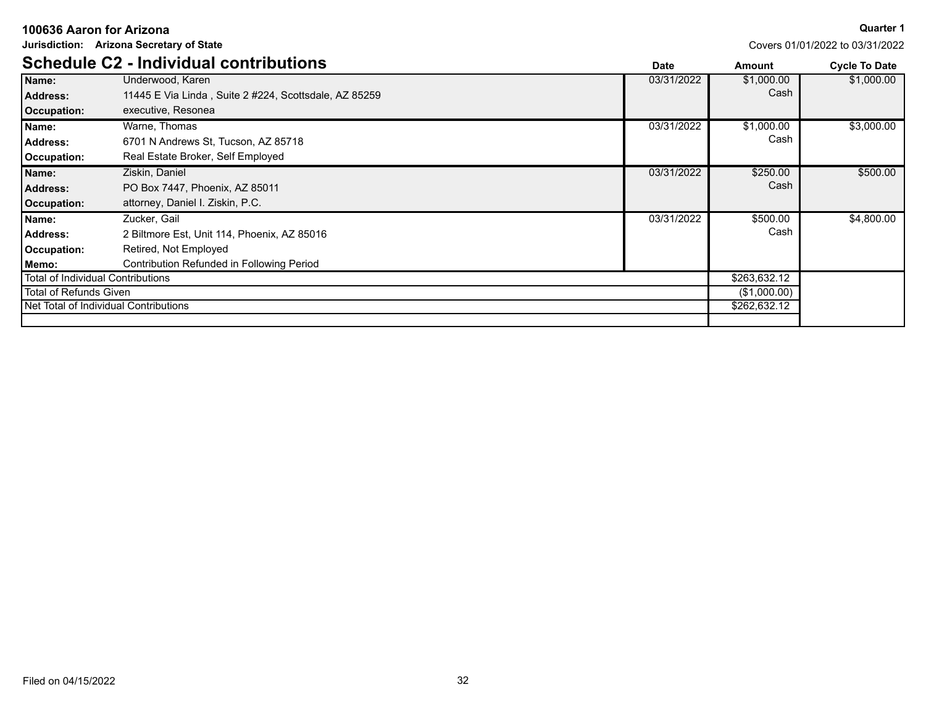|                        | Jurisdiction: Arizona Secretary of State              |             |              | Covers 01/01/2022 to 03/31/2022 |
|------------------------|-------------------------------------------------------|-------------|--------------|---------------------------------|
|                        | <b>Schedule C2 - Individual contributions</b>         | <b>Date</b> | Amount       | <b>Cycle To Date</b>            |
| Name:                  | Underwood, Karen                                      | 03/31/2022  | \$1,000.00   | \$1,000.00                      |
| <b>Address:</b>        | 11445 E Via Linda, Suite 2 #224, Scottsdale, AZ 85259 |             | Cash         |                                 |
| <b>Occupation:</b>     | executive, Resonea                                    |             |              |                                 |
| Name:                  | Warne, Thomas                                         | 03/31/2022  | \$1,000.00   | \$3,000.00                      |
| <b>Address:</b>        | 6701 N Andrews St. Tucson, AZ 85718                   |             | Cash         |                                 |
| Occupation:            | Real Estate Broker, Self Employed                     |             |              |                                 |
| Name:                  | Ziskin, Daniel                                        | 03/31/2022  | \$250.00     | \$500.00                        |
| Address:               | PO Box 7447, Phoenix, AZ 85011                        |             | Cash         |                                 |
| <b>Occupation:</b>     | attorney, Daniel I. Ziskin, P.C.                      |             |              |                                 |
| Name:                  | Zucker, Gail                                          | 03/31/2022  | \$500.00     | \$4,800.00                      |
| <b>Address:</b>        | 2 Biltmore Est, Unit 114, Phoenix, AZ 85016           |             | Cash         |                                 |
| Occupation:            | Retired, Not Employed                                 |             |              |                                 |
| Memo:                  | Contribution Refunded in Following Period             |             |              |                                 |
|                        | <b>Total of Individual Contributions</b>              |             | \$263,632.12 |                                 |
| Total of Refunds Given |                                                       |             | (\$1,000.00) |                                 |
|                        | Net Total of Individual Contributions                 |             | \$262,632.12 |                                 |
|                        |                                                       |             |              |                                 |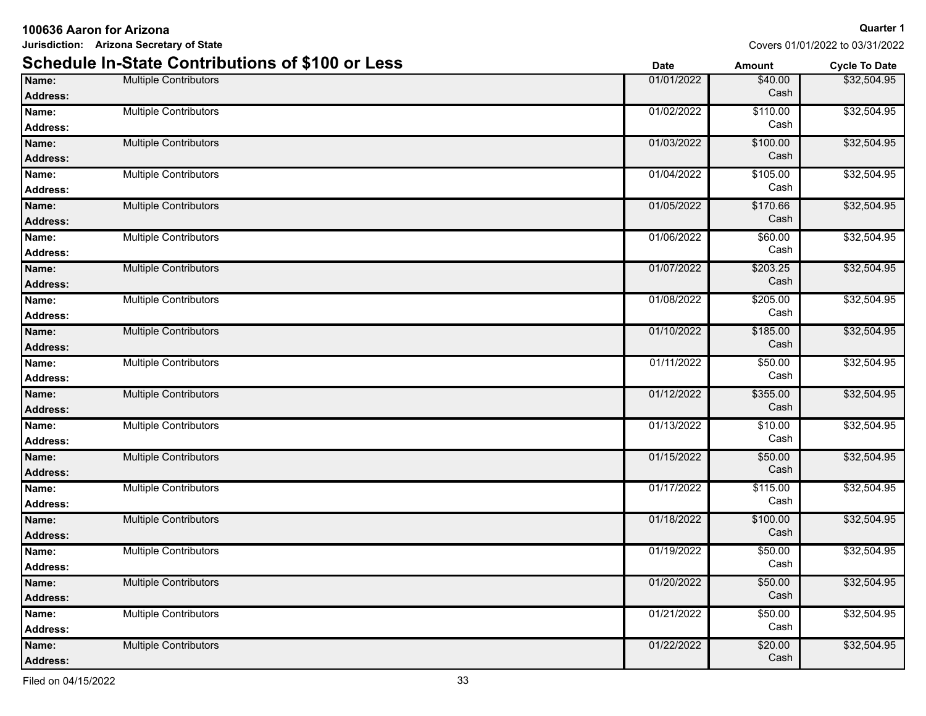|                          | <b>Schedule In-State Contributions of \$100 or Less</b> | <b>Date</b> | <b>Amount</b>    | <b>Cycle To Date</b> |
|--------------------------|---------------------------------------------------------|-------------|------------------|----------------------|
| Name:<br><b>Address:</b> | <b>Multiple Contributors</b>                            | 01/01/2022  | \$40.00<br>Cash  | \$32,504.95          |
| Name:<br><b>Address:</b> | <b>Multiple Contributors</b>                            | 01/02/2022  | \$110.00<br>Cash | \$32,504.95          |
| Name:<br><b>Address:</b> | <b>Multiple Contributors</b>                            | 01/03/2022  | \$100.00<br>Cash | \$32,504.95          |
| Name:<br>Address:        | <b>Multiple Contributors</b>                            | 01/04/2022  | \$105.00<br>Cash | \$32,504.95          |
| Name:<br>Address:        | <b>Multiple Contributors</b>                            | 01/05/2022  | \$170.66<br>Cash | \$32,504.95          |
| Name:<br><b>Address:</b> | <b>Multiple Contributors</b>                            | 01/06/2022  | \$60.00<br>Cash  | \$32,504.95          |
| Name:<br>Address:        | <b>Multiple Contributors</b>                            | 01/07/2022  | \$203.25<br>Cash | \$32,504.95          |
| Name:<br><b>Address:</b> | <b>Multiple Contributors</b>                            | 01/08/2022  | \$205.00<br>Cash | \$32,504.95          |
| Name:<br>Address:        | <b>Multiple Contributors</b>                            | 01/10/2022  | \$185.00<br>Cash | \$32,504.95          |
| Name:<br><b>Address:</b> | <b>Multiple Contributors</b>                            | 01/11/2022  | \$50.00<br>Cash  | \$32,504.95          |
| Name:<br><b>Address:</b> | <b>Multiple Contributors</b>                            | 01/12/2022  | \$355.00<br>Cash | \$32,504.95          |
| Name:<br>Address:        | <b>Multiple Contributors</b>                            | 01/13/2022  | \$10.00<br>Cash  | \$32,504.95          |
| Name:<br>Address:        | <b>Multiple Contributors</b>                            | 01/15/2022  | \$50.00<br>Cash  | \$32,504.95          |
| Name:<br><b>Address:</b> | <b>Multiple Contributors</b>                            | 01/17/2022  | \$115.00<br>Cash | \$32,504.95          |
| Name:<br><b>Address:</b> | <b>Multiple Contributors</b>                            | 01/18/2022  | \$100.00<br>Cash | \$32,504.95          |
| Name:<br><b>Address:</b> | <b>Multiple Contributors</b>                            | 01/19/2022  | \$50.00<br>Cash  | \$32,504.95          |
| Name:<br><b>Address:</b> | Multiple Contributors                                   | 01/20/2022  | \$50.00<br>Cash  | \$32,504.95          |
| Name:<br><b>Address:</b> | <b>Multiple Contributors</b>                            | 01/21/2022  | \$50.00<br>Cash  | \$32,504.95          |
| Name:<br><b>Address:</b> | <b>Multiple Contributors</b>                            | 01/22/2022  | \$20.00<br>Cash  | \$32,504.95          |

#### **Jurisdiction: Arizona Secretary of State**

**100636 Aaron for Arizona**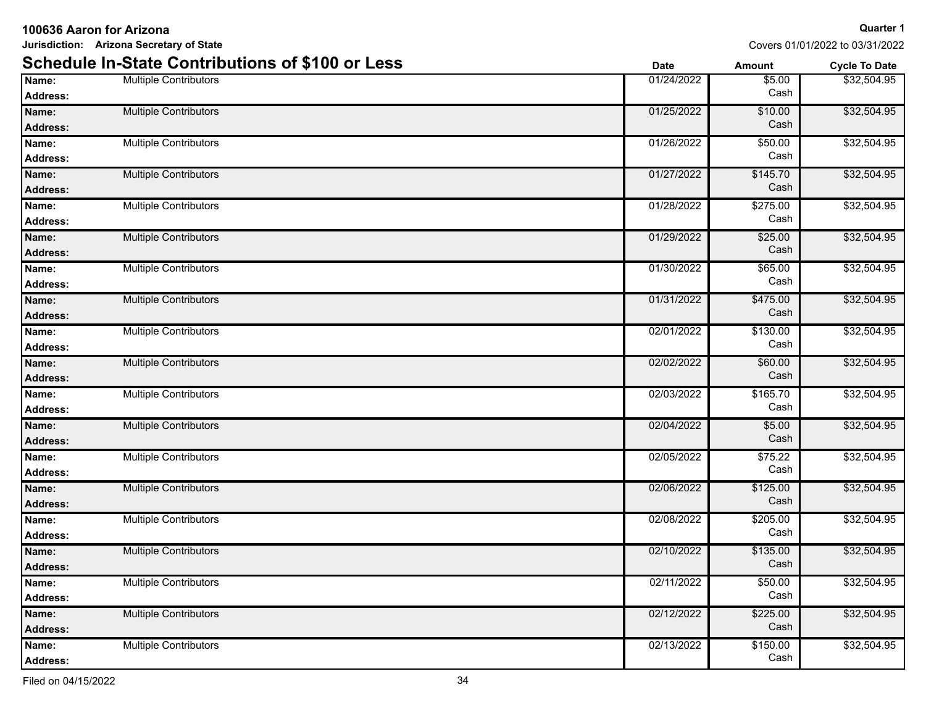|                          | <b>Schedule In-State Contributions of \$100 or Less</b> | <b>Date</b> | <b>Amount</b>    | <b>Cycle To Date</b> |
|--------------------------|---------------------------------------------------------|-------------|------------------|----------------------|
| Name:<br><b>Address:</b> | <b>Multiple Contributors</b>                            | 01/24/2022  | \$5.00<br>Cash   | \$32,504.95          |
| Name:<br><b>Address:</b> | <b>Multiple Contributors</b>                            | 01/25/2022  | \$10.00<br>Cash  | \$32,504.95          |
| Name:<br><b>Address:</b> | <b>Multiple Contributors</b>                            | 01/26/2022  | \$50.00<br>Cash  | \$32,504.95          |
| Name:<br><b>Address:</b> | <b>Multiple Contributors</b>                            | 01/27/2022  | \$145.70<br>Cash | \$32,504.95          |
| Name:<br><b>Address:</b> | <b>Multiple Contributors</b>                            | 01/28/2022  | \$275.00<br>Cash | \$32,504.95          |
| Name:<br><b>Address:</b> | <b>Multiple Contributors</b>                            | 01/29/2022  | \$25.00<br>Cash  | \$32,504.95          |
| Name:<br><b>Address:</b> | <b>Multiple Contributors</b>                            | 01/30/2022  | \$65.00<br>Cash  | \$32,504.95          |
| Name:<br>Address:        | <b>Multiple Contributors</b>                            | 01/31/2022  | \$475.00<br>Cash | \$32,504.95          |
| Name:<br><b>Address:</b> | <b>Multiple Contributors</b>                            | 02/01/2022  | \$130.00<br>Cash | \$32,504.95          |
| Name:<br><b>Address:</b> | <b>Multiple Contributors</b>                            | 02/02/2022  | \$60.00<br>Cash  | \$32,504.95          |
| Name:<br><b>Address:</b> | <b>Multiple Contributors</b>                            | 02/03/2022  | \$165.70<br>Cash | \$32,504.95          |
| Name:<br><b>Address:</b> | <b>Multiple Contributors</b>                            | 02/04/2022  | \$5.00<br>Cash   | \$32,504.95          |
| Name:<br><b>Address:</b> | <b>Multiple Contributors</b>                            | 02/05/2022  | \$75.22<br>Cash  | \$32,504.95          |
| Name:<br><b>Address:</b> | <b>Multiple Contributors</b>                            | 02/06/2022  | \$125.00<br>Cash | \$32,504.95          |
| Name:<br>Address:        | <b>Multiple Contributors</b>                            | 02/08/2022  | \$205.00<br>Cash | \$32,504.95          |
| Name:<br>Address:        | <b>Multiple Contributors</b>                            | 02/10/2022  | \$135.00<br>Cash | \$32,504.95          |
| Name:<br><b>Address:</b> | <b>Multiple Contributors</b>                            | 02/11/2022  | \$50.00<br>Cash  | \$32,504.95          |
| Name:<br><b>Address:</b> | <b>Multiple Contributors</b>                            | 02/12/2022  | \$225.00<br>Cash | \$32,504.95          |
| Name:<br>Address:        | <b>Multiple Contributors</b>                            | 02/13/2022  | \$150.00<br>Cash | \$32,504.95          |

Covers 01/01/2022 to 03/31/2022

### **100636 Aaron for Arizona**

**Jurisdiction: Arizona Secretary of State**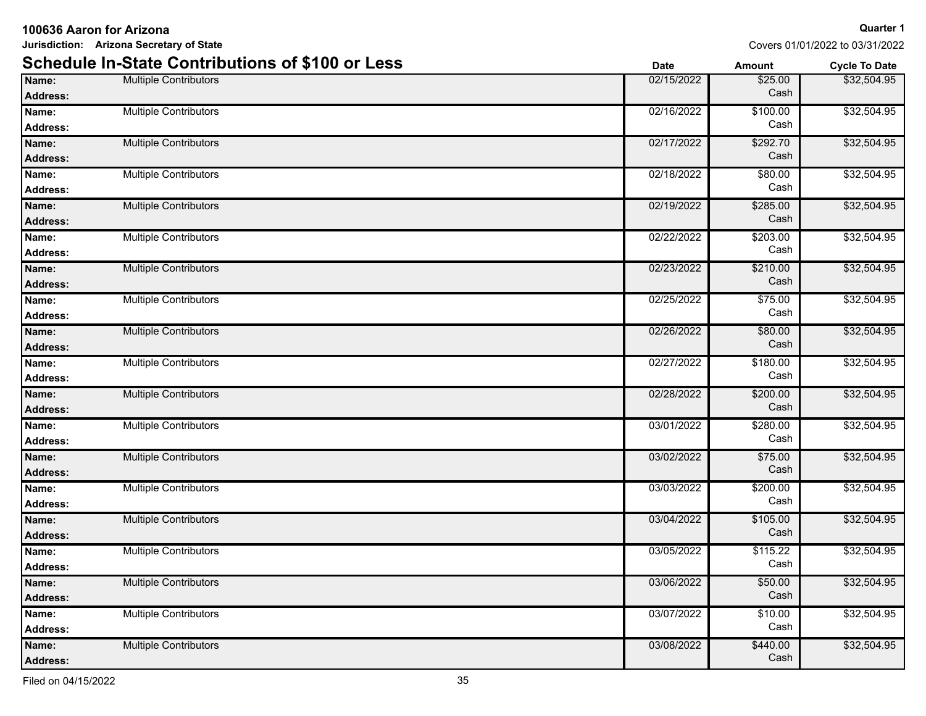|                          | <b>Schedule In-State Contributions of \$100 or Less</b> | <b>Date</b> | <b>Amount</b>    | <b>Cycle To Date</b> |
|--------------------------|---------------------------------------------------------|-------------|------------------|----------------------|
| Name:<br><b>Address:</b> | <b>Multiple Contributors</b>                            | 02/15/2022  | \$25.00<br>Cash  | \$32,504.95          |
| Name:<br><b>Address:</b> | <b>Multiple Contributors</b>                            | 02/16/2022  | \$100.00<br>Cash | \$32,504.95          |
| Name:<br><b>Address:</b> | <b>Multiple Contributors</b>                            | 02/17/2022  | \$292.70<br>Cash | \$32,504.95          |
| Name:<br><b>Address:</b> | <b>Multiple Contributors</b>                            | 02/18/2022  | Cash             | \$32,504.95          |
| Name:<br><b>Address:</b> | <b>Multiple Contributors</b>                            | 02/19/2022  | \$285.00<br>Cash | \$32,504.95          |
| Name:<br><b>Address:</b> | <b>Multiple Contributors</b>                            | 02/22/2022  | \$203.00<br>Cash | \$32,504.95          |
| Name:<br><b>Address:</b> | <b>Multiple Contributors</b>                            | 02/23/2022  | \$210.00<br>Cash | \$32,504.95          |
| Name:<br><b>Address:</b> | <b>Multiple Contributors</b>                            | 02/25/2022  | \$75.00<br>Cash  | \$32,504.95          |
| Name:<br><b>Address:</b> | <b>Multiple Contributors</b>                            | 02/26/2022  | \$80.00<br>Cash  | \$32,504.95          |
| Name:<br><b>Address:</b> | <b>Multiple Contributors</b>                            | 02/27/2022  | \$180.00<br>Cash | \$32,504.95          |
| Name:<br><b>Address:</b> | <b>Multiple Contributors</b>                            | 02/28/2022  | \$200.00<br>Cash | \$32,504.95          |
| Name:<br><b>Address:</b> | <b>Multiple Contributors</b>                            | 03/01/2022  | \$280.00<br>Cash | \$32,504.95          |
| Name:<br><b>Address:</b> | <b>Multiple Contributors</b>                            | 03/02/2022  | \$75.00<br>Cash  | \$32,504.95          |
| Name:<br><b>Address:</b> | <b>Multiple Contributors</b>                            | 03/03/2022  | \$200.00<br>Cash | \$32,504.95          |
| Name:<br><b>Address:</b> | <b>Multiple Contributors</b>                            | 03/04/2022  | \$105.00<br>Cash | \$32,504.95          |
| Name:<br><b>Address:</b> | <b>Multiple Contributors</b>                            | 03/05/2022  | \$115.22<br>Cash | \$32,504.95          |
| Name:<br><b>Address:</b> | Multiple Contributors                                   | 03/06/2022  | \$50.00<br>Cash  | \$32,504.95          |
| Name:<br><b>Address:</b> | <b>Multiple Contributors</b>                            | 03/07/2022  | \$10.00<br>Cash  | \$32,504.95          |
| Name:<br>Address:        | <b>Multiple Contributors</b>                            | 03/08/2022  | \$440.00<br>Cash | \$32,504.95          |

Covers 01/01/2022 to 03/31/2022

**100636 Aaron for Arizona Jurisdiction: Arizona Secretary of State**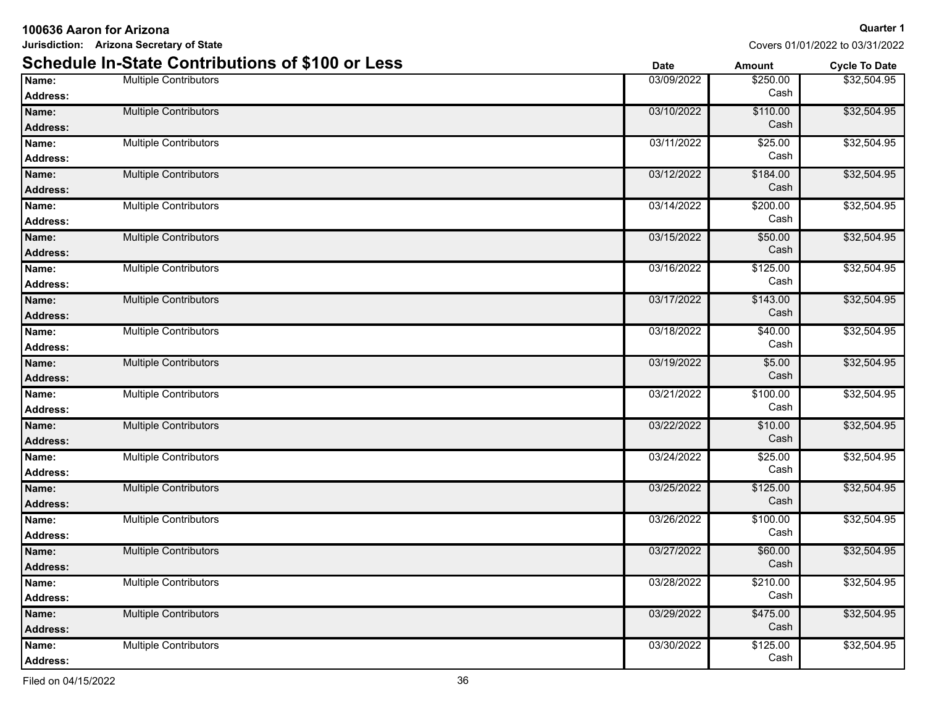|                          | <b>Schedule In-State Contributions of \$100 or Less</b> | <b>Date</b> | <b>Amount</b>    | <b>Cycle To Date</b> |
|--------------------------|---------------------------------------------------------|-------------|------------------|----------------------|
| Name:<br><b>Address:</b> | <b>Multiple Contributors</b>                            | 03/09/2022  | \$250.00<br>Cash | \$32,504.95          |
| Name:<br><b>Address:</b> | <b>Multiple Contributors</b>                            | 03/10/2022  | \$110.00<br>Cash | \$32,504.95          |
| Name:<br><b>Address:</b> | <b>Multiple Contributors</b>                            | 03/11/2022  | \$25.00<br>Cash  | \$32,504.95          |
| Name:<br><b>Address:</b> | <b>Multiple Contributors</b>                            | 03/12/2022  | \$184.00<br>Cash | \$32,504.95          |
| Name:<br><b>Address:</b> | <b>Multiple Contributors</b>                            | 03/14/2022  | \$200.00<br>Cash | \$32,504.95          |
| Name:<br><b>Address:</b> | <b>Multiple Contributors</b>                            | 03/15/2022  | \$50.00<br>Cash  | \$32,504.95          |
| Name:<br><b>Address:</b> | <b>Multiple Contributors</b>                            | 03/16/2022  | \$125.00<br>Cash | \$32,504.95          |
| Name:<br>Address:        | <b>Multiple Contributors</b>                            | 03/17/2022  | \$143.00<br>Cash | \$32,504.95          |
| Name:<br><b>Address:</b> | <b>Multiple Contributors</b>                            | 03/18/2022  | \$40.00<br>Cash  | \$32,504.95          |
| Name:<br>Address:        | <b>Multiple Contributors</b>                            | 03/19/2022  | \$5.00<br>Cash   | \$32,504.95          |
| Name:<br>Address:        | <b>Multiple Contributors</b>                            | 03/21/2022  | \$100.00<br>Cash | \$32,504.95          |
| Name:<br>Address:        | <b>Multiple Contributors</b>                            | 03/22/2022  | \$10.00<br>Cash  | \$32,504.95          |
| Name:<br>Address:        | <b>Multiple Contributors</b>                            | 03/24/2022  | \$25.00<br>Cash  | \$32,504.95          |
| Name:<br><b>Address:</b> | <b>Multiple Contributors</b>                            | 03/25/2022  | \$125.00<br>Cash | \$32,504.95          |
| Name:<br><b>Address:</b> | <b>Multiple Contributors</b>                            | 03/26/2022  | \$100.00<br>Cash | \$32,504.95          |
| Name:<br><b>Address:</b> | <b>Multiple Contributors</b>                            | 03/27/2022  | \$60.00<br>Cash  | \$32,504.95          |
| Name:<br><b>Address:</b> | <b>Multiple Contributors</b>                            | 03/28/2022  | \$210.00<br>Cash | \$32,504.95          |
| Name:<br><b>Address:</b> | <b>Multiple Contributors</b>                            | 03/29/2022  | \$475.00<br>Cash | \$32,504.95          |
| Name:<br>Address:        | <b>Multiple Contributors</b>                            | 03/30/2022  | \$125.00<br>Cash | \$32,504.95          |

**100636 Aaron for Arizona Jurisdiction: Arizona Secretary of State**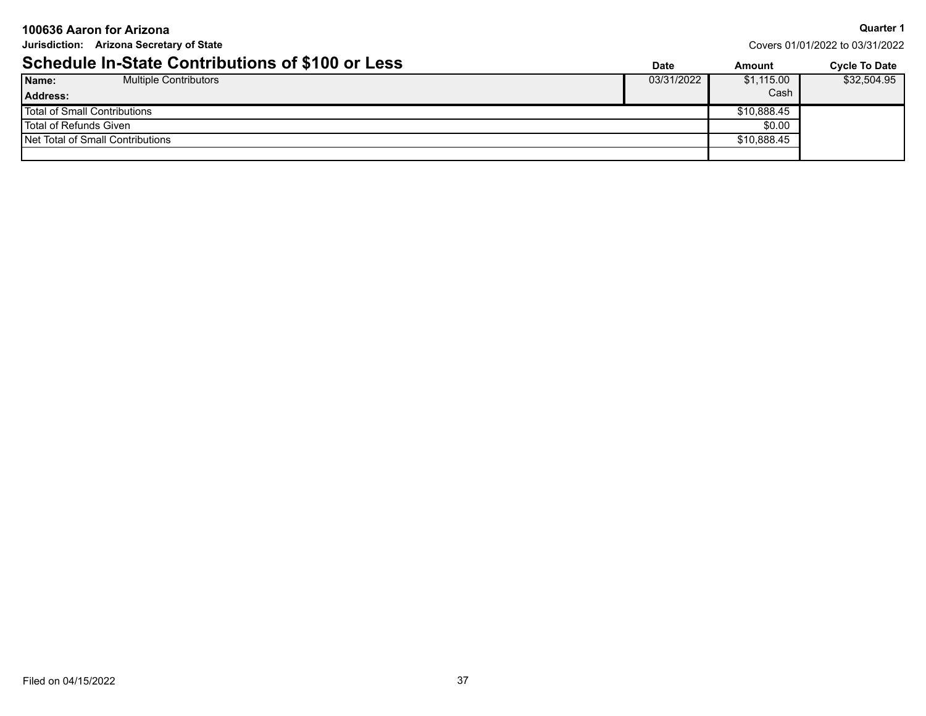| 100636 Aaron for Arizona                                |            |                                 | <b>Quarter 1</b>     |
|---------------------------------------------------------|------------|---------------------------------|----------------------|
| Jurisdiction: Arizona Secretary of State                |            | Covers 01/01/2022 to 03/31/2022 |                      |
| <b>Schedule In-State Contributions of \$100 or Less</b> | Date       | Amount                          | <b>Cycle To Date</b> |
| Name:<br><b>Multiple Contributors</b>                   | 03/31/2022 | \$1,115.00                      | \$32,504.95          |
| <b>Address:</b>                                         |            | Cash                            |                      |
| <b>Total of Small Contributions</b>                     |            | \$10,888.45                     |                      |
| Total of Refunds Given                                  |            | \$0.00                          |                      |
| Net Total of Small Contributions                        |            | \$10,888.45                     |                      |
|                                                         |            |                                 |                      |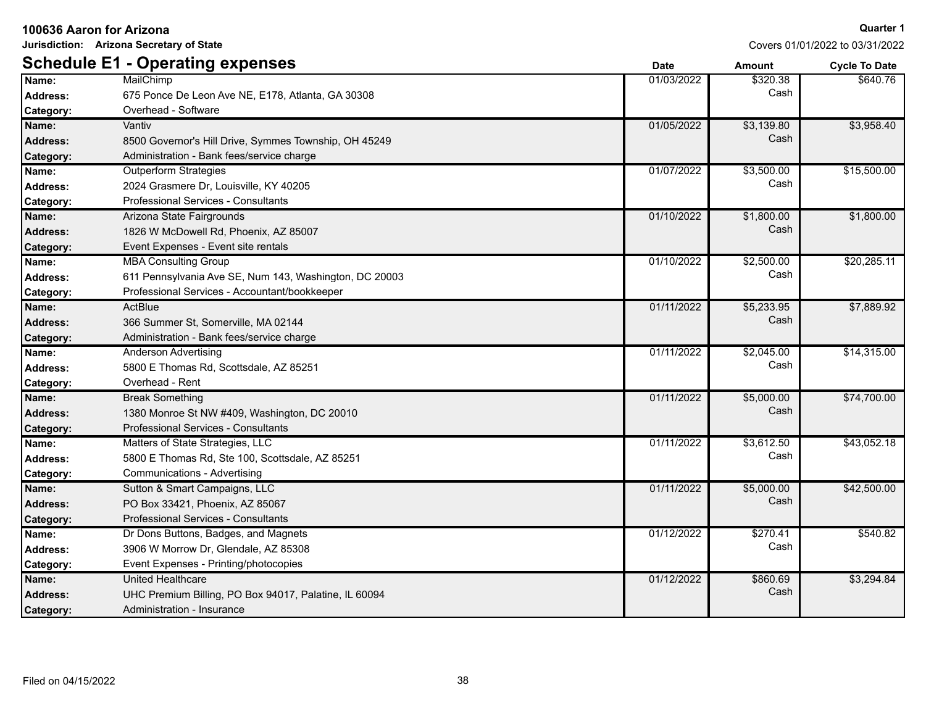**Jurisdiction: Arizona Secretary of State**

|                  | <b>Schedule E1 - Operating expenses</b>                | <b>Date</b> | <b>Amount</b> | <b>Cycle To Date</b> |
|------------------|--------------------------------------------------------|-------------|---------------|----------------------|
| Name:            | MailChimp                                              | 01/03/2022  | \$320.38      | \$640.76             |
| <b>Address:</b>  | 675 Ponce De Leon Ave NE, E178, Atlanta, GA 30308      |             | Cash          |                      |
| <b>Category:</b> | Overhead - Software                                    |             |               |                      |
| Name:            | Vantiv                                                 | 01/05/2022  | \$3,139.80    | \$3,958.40           |
| Address:         | 8500 Governor's Hill Drive, Symmes Township, OH 45249  |             | Cash          |                      |
| Category:        | Administration - Bank fees/service charge              |             |               |                      |
| Name:            | <b>Outperform Strategies</b>                           | 01/07/2022  | \$3,500.00    | \$15,500.00          |
| <b>Address:</b>  | 2024 Grasmere Dr, Louisville, KY 40205                 |             | Cash          |                      |
| Category:        | Professional Services - Consultants                    |             |               |                      |
| Name:            | Arizona State Fairgrounds                              | 01/10/2022  | \$1,800.00    | \$1,800.00           |
| Address:         | 1826 W McDowell Rd, Phoenix, AZ 85007                  |             | Cash          |                      |
| <b>Category:</b> | Event Expenses - Event site rentals                    |             |               |                      |
| Name:            | <b>MBA Consulting Group</b>                            | 01/10/2022  | \$2,500.00    | \$20,285.11          |
| Address:         | 611 Pennsylvania Ave SE, Num 143, Washington, DC 20003 |             | Cash          |                      |
| Category:        | Professional Services - Accountant/bookkeeper          |             |               |                      |
| Name:            | ActBlue                                                | 01/11/2022  | \$5,233.95    | \$7,889.92           |
| Address:         | 366 Summer St, Somerville, MA 02144                    |             | Cash          |                      |
| <b>Category:</b> | Administration - Bank fees/service charge              |             |               |                      |
| Name:            | Anderson Advertising                                   | 01/11/2022  | \$2,045.00    | \$14,315.00          |
| Address:         | 5800 E Thomas Rd, Scottsdale, AZ 85251                 |             | Cash          |                      |
| Category:        | Overhead - Rent                                        |             |               |                      |
| Name:            | <b>Break Something</b>                                 | 01/11/2022  | \$5,000.00    | \$74,700.00          |
| <b>Address:</b>  | 1380 Monroe St NW #409, Washington, DC 20010           |             | Cash          |                      |
| Category:        | Professional Services - Consultants                    |             |               |                      |
| Name:            | Matters of State Strategies, LLC                       | 01/11/2022  | \$3,612.50    | \$43,052.18          |
| <b>Address:</b>  | 5800 E Thomas Rd, Ste 100, Scottsdale, AZ 85251        |             | Cash          |                      |
| Category:        | Communications - Advertising                           |             |               |                      |
| Name:            | Sutton & Smart Campaigns, LLC                          | 01/11/2022  | \$5,000.00    | \$42,500.00          |
| <b>Address:</b>  | PO Box 33421, Phoenix, AZ 85067                        |             | Cash          |                      |
| Category:        | Professional Services - Consultants                    |             |               |                      |
| Name:            | Dr Dons Buttons, Badges, and Magnets                   | 01/12/2022  | \$270.41      | \$540.82             |
| <b>Address:</b>  | 3906 W Morrow Dr, Glendale, AZ 85308                   |             | Cash          |                      |
| Category:        | Event Expenses - Printing/photocopies                  |             |               |                      |
| Name:            | <b>United Healthcare</b>                               | 01/12/2022  | \$860.69      | \$3,294.84           |
| <b>Address:</b>  | UHC Premium Billing, PO Box 94017, Palatine, IL 60094  |             | Cash          |                      |
| Category:        | Administration - Insurance                             |             |               |                      |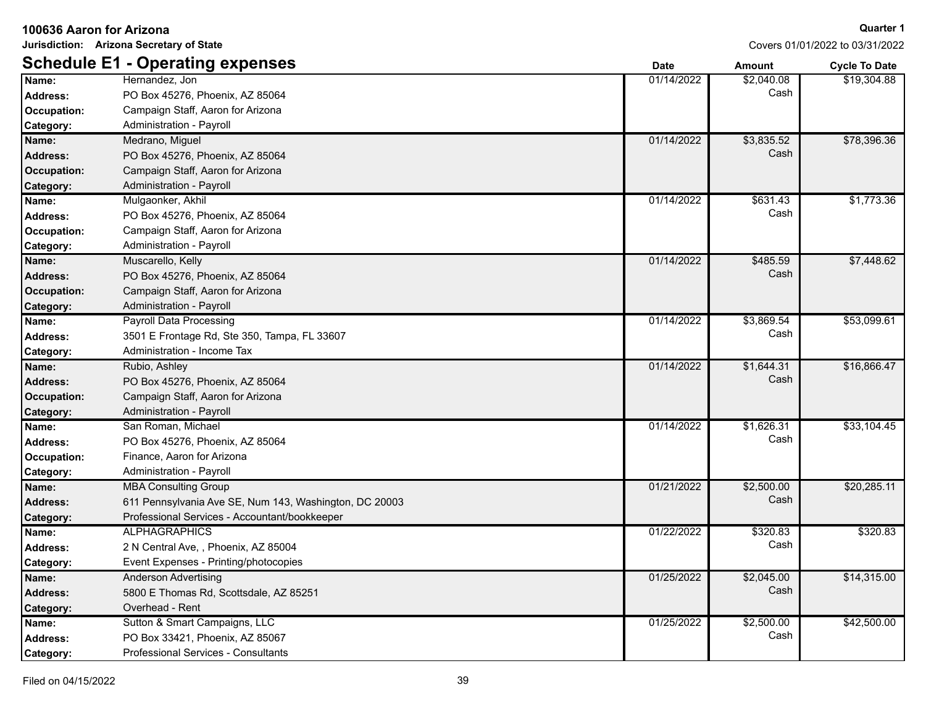| Jurisdiction: Arizona Secretary of State |                                                        | Covers 01/01/2022 to 03/31/2022 |               |                      |
|------------------------------------------|--------------------------------------------------------|---------------------------------|---------------|----------------------|
|                                          | <b>Schedule E1 - Operating expenses</b>                | <b>Date</b>                     | <b>Amount</b> | <b>Cycle To Date</b> |
| Name:                                    | Hernandez, Jon                                         | 01/14/2022                      | \$2,040.08    | \$19,304.88          |
| <b>Address:</b>                          | PO Box 45276, Phoenix, AZ 85064                        |                                 | Cash          |                      |
| Occupation:                              | Campaign Staff, Aaron for Arizona                      |                                 |               |                      |
| Category:                                | Administration - Payroll                               |                                 |               |                      |
| Name:                                    | Medrano, Miguel                                        | 01/14/2022                      | \$3,835.52    | \$78,396.36          |
| <b>Address:</b>                          | PO Box 45276, Phoenix, AZ 85064                        |                                 | Cash          |                      |
| Occupation:                              | Campaign Staff, Aaron for Arizona                      |                                 |               |                      |
| Category:                                | Administration - Payroll                               |                                 |               |                      |
| Name:                                    | Mulgaonker, Akhil                                      | 01/14/2022                      | \$631.43      | \$1,773.36           |
| <b>Address:</b>                          | PO Box 45276, Phoenix, AZ 85064                        |                                 | Cash          |                      |
| Occupation:                              | Campaign Staff, Aaron for Arizona                      |                                 |               |                      |
| <b>Category:</b>                         | Administration - Payroll                               |                                 |               |                      |
| Name:                                    | Muscarello, Kelly                                      | 01/14/2022                      | \$485.59      | \$7,448.62           |
| <b>Address:</b>                          | PO Box 45276, Phoenix, AZ 85064                        |                                 | Cash          |                      |
| Occupation:                              | Campaign Staff, Aaron for Arizona                      |                                 |               |                      |
| Category:                                | Administration - Payroll                               |                                 |               |                      |
| Name:                                    | Payroll Data Processing                                | 01/14/2022                      | \$3,869.54    | \$53,099.61          |
| <b>Address:</b>                          | 3501 E Frontage Rd, Ste 350, Tampa, FL 33607           |                                 | Cash          |                      |
| Category:                                | Administration - Income Tax                            |                                 |               |                      |
| Name:                                    | Rubio, Ashley                                          | 01/14/2022                      | \$1,644.31    | \$16,866.47          |
| <b>Address:</b>                          | PO Box 45276, Phoenix, AZ 85064                        |                                 | Cash          |                      |
| Occupation:                              | Campaign Staff, Aaron for Arizona                      |                                 |               |                      |
| Category:                                | Administration - Payroll                               |                                 |               |                      |
| Name:                                    | San Roman, Michael                                     | 01/14/2022                      | \$1,626.31    | \$33,104.45          |
| <b>Address:</b>                          | PO Box 45276, Phoenix, AZ 85064                        |                                 | Cash          |                      |
| Occupation:                              | Finance, Aaron for Arizona                             |                                 |               |                      |
| Category:                                | Administration - Payroll                               |                                 |               |                      |
| Name:                                    | <b>MBA Consulting Group</b>                            | 01/21/2022                      | \$2,500.00    | \$20,285.11          |
| <b>Address:</b>                          | 611 Pennsylvania Ave SE, Num 143, Washington, DC 20003 |                                 | Cash          |                      |
| <b>Category:</b>                         | Professional Services - Accountant/bookkeeper          |                                 |               |                      |
| Name:                                    | <b>ALPHAGRAPHICS</b>                                   | 01/22/2022                      | \$320.83      | \$320.83             |
| <b>Address:</b>                          | 2 N Central Ave, , Phoenix, AZ 85004                   |                                 | Cash          |                      |
| Category:                                | Event Expenses - Printing/photocopies                  |                                 |               |                      |
| Name:                                    | Anderson Advertising                                   | 01/25/2022                      | \$2,045.00    | \$14,315.00          |
| <b>Address:</b>                          | 5800 E Thomas Rd, Scottsdale, AZ 85251                 |                                 | Cash          |                      |
| Category:                                | Overhead - Rent                                        |                                 |               |                      |
| Name:                                    | Sutton & Smart Campaigns, LLC                          | 01/25/2022                      | \$2,500.00    | \$42,500.00          |
| <b>Address:</b>                          | PO Box 33421, Phoenix, AZ 85067                        |                                 | Cash          |                      |
| Category:                                | Professional Services - Consultants                    |                                 |               |                      |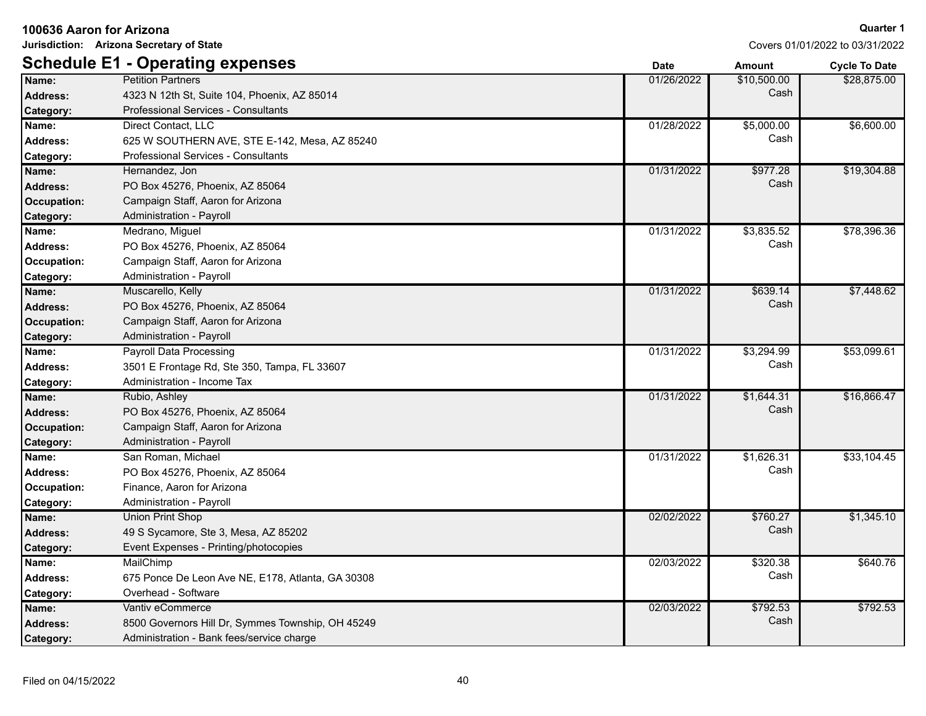|                    | Jurisdiction: Arizona Secretary of State          |             |               | Covers 01/01/2022 to 03/31/2022 |
|--------------------|---------------------------------------------------|-------------|---------------|---------------------------------|
|                    | <b>Schedule E1 - Operating expenses</b>           | <b>Date</b> | <b>Amount</b> | <b>Cycle To Date</b>            |
| Name:              | <b>Petition Partners</b>                          | 01/26/2022  | \$10,500.00   | \$28,875.00                     |
| <b>Address:</b>    | 4323 N 12th St, Suite 104, Phoenix, AZ 85014      |             | Cash          |                                 |
| Category:          | <b>Professional Services - Consultants</b>        |             |               |                                 |
| Name:              | Direct Contact, LLC                               | 01/28/2022  | \$5,000.00    | \$6,600.00                      |
| <b>Address:</b>    | 625 W SOUTHERN AVE, STE E-142, Mesa, AZ 85240     |             | Cash          |                                 |
| Category:          | Professional Services - Consultants               |             |               |                                 |
| Name:              | Hernandez, Jon                                    | 01/31/2022  | \$977.28      | \$19,304.88                     |
| <b>Address:</b>    | PO Box 45276, Phoenix, AZ 85064                   |             | Cash          |                                 |
| <b>Occupation:</b> | Campaign Staff, Aaron for Arizona                 |             |               |                                 |
| Category:          | Administration - Payroll                          |             |               |                                 |
| Name:              | Medrano, Miguel                                   | 01/31/2022  | \$3,835.52    | \$78,396.36                     |
| <b>Address:</b>    | PO Box 45276, Phoenix, AZ 85064                   |             | Cash          |                                 |
| Occupation:        | Campaign Staff, Aaron for Arizona                 |             |               |                                 |
| Category:          | Administration - Payroll                          |             |               |                                 |
| Name:              | Muscarello, Kelly                                 | 01/31/2022  | \$639.14      | \$7,448.62                      |
| <b>Address:</b>    | PO Box 45276, Phoenix, AZ 85064                   |             | Cash          |                                 |
| Occupation:        | Campaign Staff, Aaron for Arizona                 |             |               |                                 |
| Category:          | Administration - Payroll                          |             |               |                                 |
| Name:              | <b>Payroll Data Processing</b>                    | 01/31/2022  | \$3,294.99    | \$53,099.61                     |
| Address:           | 3501 E Frontage Rd, Ste 350, Tampa, FL 33607      |             | Cash          |                                 |
| Category:          | Administration - Income Tax                       |             |               |                                 |
| Name:              | Rubio, Ashley                                     | 01/31/2022  | \$1,644.31    | \$16,866.47                     |
| <b>Address:</b>    | PO Box 45276, Phoenix, AZ 85064                   |             | Cash          |                                 |
| <b>Occupation:</b> | Campaign Staff, Aaron for Arizona                 |             |               |                                 |
| Category:          | Administration - Payroll                          |             |               |                                 |
| Name:              | San Roman, Michael                                | 01/31/2022  | \$1,626.31    | \$33,104.45                     |
| <b>Address:</b>    | PO Box 45276, Phoenix, AZ 85064                   |             | Cash          |                                 |
| Occupation:        | Finance, Aaron for Arizona                        |             |               |                                 |
| Category:          | Administration - Payroll                          |             |               |                                 |
| Name:              | Union Print Shop                                  | 02/02/2022  | \$760.27      | \$1,345.10                      |
| <b>Address:</b>    | 49 S Sycamore, Ste 3, Mesa, AZ 85202              |             | Cash          |                                 |
| Category:          | Event Expenses - Printing/photocopies             |             |               |                                 |
| Name:              | MailChimp                                         | 02/03/2022  | \$320.38      | \$640.76                        |
| <b>Address:</b>    | 675 Ponce De Leon Ave NE, E178, Atlanta, GA 30308 |             | Cash          |                                 |
| Category:          | Overhead - Software                               |             |               |                                 |
| Name:              | Vantiv eCommerce                                  | 02/03/2022  | \$792.53      | \$792.53                        |
| <b>Address:</b>    | 8500 Governors Hill Dr, Symmes Township, OH 45249 |             | Cash          |                                 |
| Category:          | Administration - Bank fees/service charge         |             |               |                                 |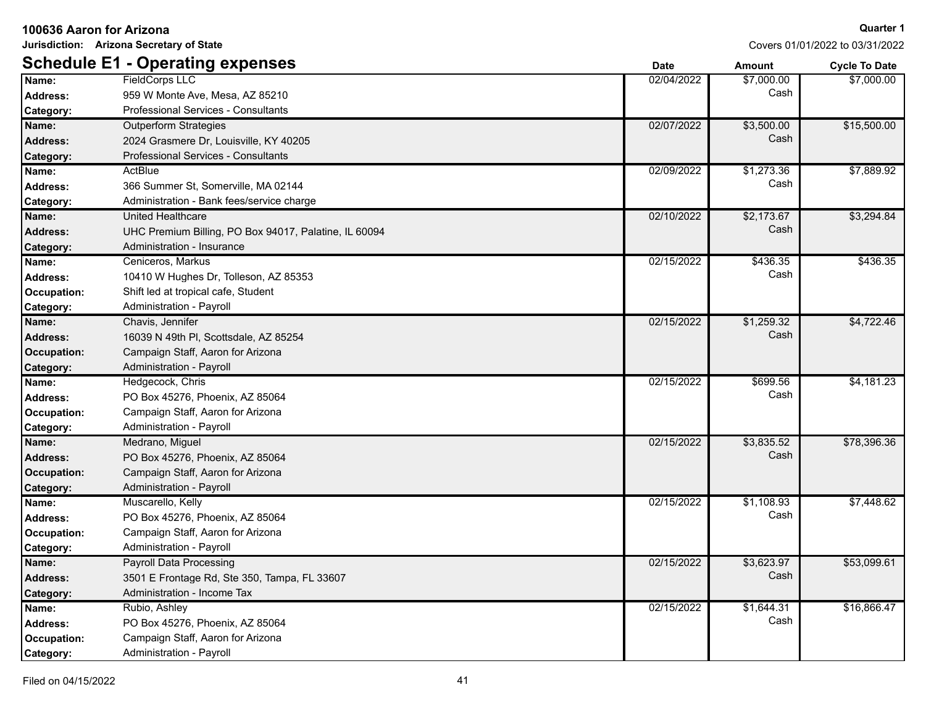|                 | Jurisdiction: Arizona Secretary of State              |             |            | Covers 01/01/2022 to 03/31/2022 |
|-----------------|-------------------------------------------------------|-------------|------------|---------------------------------|
|                 | <b>Schedule E1 - Operating expenses</b>               | <b>Date</b> | Amount     | <b>Cycle To Date</b>            |
| Name:           | <b>FieldCorps LLC</b>                                 | 02/04/2022  | \$7,000.00 | \$7,000.00                      |
| Address:        | 959 W Monte Ave, Mesa, AZ 85210                       |             | Cash       |                                 |
| Category:       | Professional Services - Consultants                   |             |            |                                 |
| Name:           | <b>Outperform Strategies</b>                          | 02/07/2022  | \$3,500.00 | \$15,500.00                     |
| <b>Address:</b> | 2024 Grasmere Dr, Louisville, KY 40205                |             | Cash       |                                 |
| Category:       | Professional Services - Consultants                   |             |            |                                 |
| Name:           | ActBlue                                               | 02/09/2022  | \$1,273.36 | \$7,889.92                      |
| <b>Address:</b> | 366 Summer St, Somerville, MA 02144                   |             | Cash       |                                 |
| Category:       | Administration - Bank fees/service charge             |             |            |                                 |
| Name:           | <b>United Healthcare</b>                              | 02/10/2022  | \$2,173.67 | \$3,294.84                      |
| <b>Address:</b> | UHC Premium Billing, PO Box 94017, Palatine, IL 60094 |             | Cash       |                                 |
| Category:       | Administration - Insurance                            |             |            |                                 |
| Name:           | Ceniceros, Markus                                     | 02/15/2022  | \$436.35   | \$436.35                        |
| <b>Address:</b> | 10410 W Hughes Dr, Tolleson, AZ 85353                 |             | Cash       |                                 |
| Occupation:     | Shift led at tropical cafe, Student                   |             |            |                                 |
| Category:       | Administration - Payroll                              |             |            |                                 |
| Name:           | Chavis, Jennifer                                      | 02/15/2022  | \$1,259.32 | \$4,722.46                      |
| <b>Address:</b> | 16039 N 49th PI, Scottsdale, AZ 85254                 |             | Cash       |                                 |
| Occupation:     | Campaign Staff, Aaron for Arizona                     |             |            |                                 |
| Category:       | Administration - Payroll                              |             |            |                                 |
| Name:           | Hedgecock, Chris                                      | 02/15/2022  | \$699.56   | \$4,181.23                      |
| <b>Address:</b> | PO Box 45276, Phoenix, AZ 85064                       |             | Cash       |                                 |
| Occupation:     | Campaign Staff, Aaron for Arizona                     |             |            |                                 |
| Category:       | Administration - Payroll                              |             |            |                                 |
| Name:           | Medrano, Miguel                                       | 02/15/2022  | \$3,835.52 | \$78,396.36                     |
| <b>Address:</b> | PO Box 45276, Phoenix, AZ 85064                       |             | Cash       |                                 |
| Occupation:     | Campaign Staff, Aaron for Arizona                     |             |            |                                 |
| Category:       | Administration - Payroll                              |             |            |                                 |
| Name:           | Muscarello, Kelly                                     | 02/15/2022  | \$1,108.93 | \$7,448.62                      |
| <b>Address:</b> | PO Box 45276, Phoenix, AZ 85064                       |             | Cash       |                                 |
| Occupation:     | Campaign Staff, Aaron for Arizona                     |             |            |                                 |
| Category:       | Administration - Payroll                              |             |            |                                 |
| Name:           | Payroll Data Processing                               | 02/15/2022  | \$3,623.97 | \$53,099.61                     |
| <b>Address:</b> | 3501 E Frontage Rd, Ste 350, Tampa, FL 33607          |             | Cash       |                                 |
| Category:       | Administration - Income Tax                           |             |            |                                 |
| Name:           | Rubio, Ashley                                         | 02/15/2022  | \$1,644.31 | \$16,866.47                     |
| <b>Address:</b> | PO Box 45276, Phoenix, AZ 85064                       |             | Cash       |                                 |
| Occupation:     | Campaign Staff, Aaron for Arizona                     |             |            |                                 |
| Category:       | Administration - Payroll                              |             |            |                                 |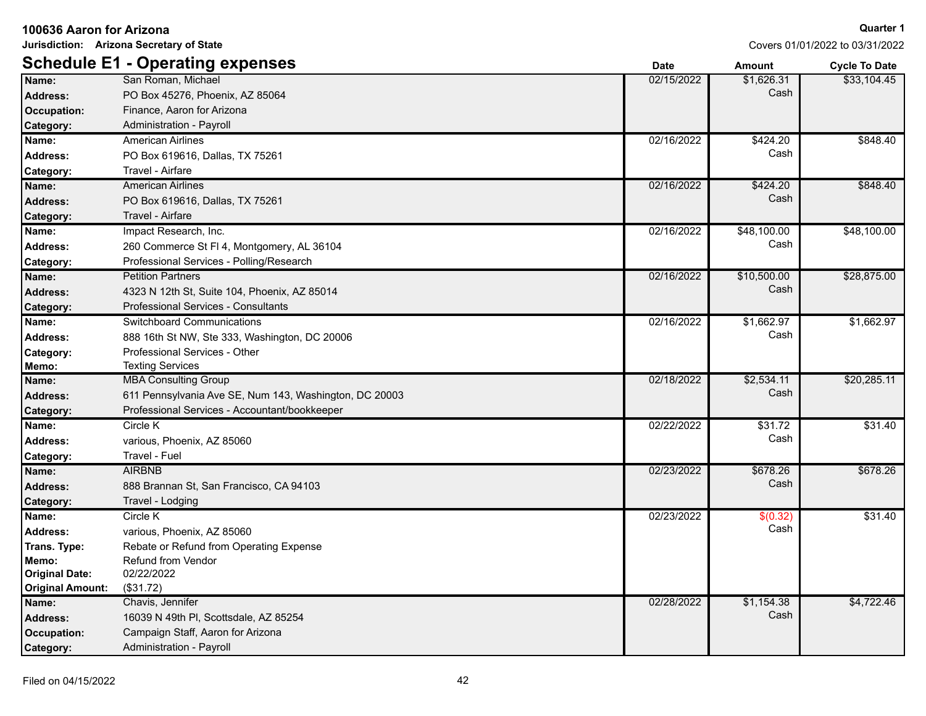|                         | Jurisdiction: Arizona Secretary of State               |             |             | Covers 01/01/2022 to 03/31/2022 |
|-------------------------|--------------------------------------------------------|-------------|-------------|---------------------------------|
|                         | <b>Schedule E1 - Operating expenses</b>                | <b>Date</b> | Amount      | <b>Cycle To Date</b>            |
| Name:                   | San Roman, Michael                                     | 02/15/2022  | \$1,626.31  | \$33,104.45                     |
| Address:                | PO Box 45276, Phoenix, AZ 85064                        |             | Cash        |                                 |
| <b>Occupation:</b>      | Finance, Aaron for Arizona                             |             |             |                                 |
| Category:               | Administration - Payroll                               |             |             |                                 |
| Name:                   | <b>American Airlines</b>                               | 02/16/2022  | \$424.20    | \$848.40                        |
| Address:                | PO Box 619616, Dallas, TX 75261                        |             | Cash        |                                 |
| Category:               | Travel - Airfare                                       |             |             |                                 |
| Name:                   | <b>American Airlines</b>                               | 02/16/2022  | \$424.20    | \$848.40                        |
| <b>Address:</b>         | PO Box 619616, Dallas, TX 75261                        |             | Cash        |                                 |
| Category:               | Travel - Airfare                                       |             |             |                                 |
| Name:                   | Impact Research, Inc.                                  | 02/16/2022  | \$48,100.00 | \$48,100.00                     |
| <b>Address:</b>         | 260 Commerce St FI 4, Montgomery, AL 36104             |             | Cash        |                                 |
| Category:               | Professional Services - Polling/Research               |             |             |                                 |
| Name:                   | <b>Petition Partners</b>                               | 02/16/2022  | \$10,500.00 | \$28,875.00                     |
| <b>Address:</b>         | 4323 N 12th St, Suite 104, Phoenix, AZ 85014           |             | Cash        |                                 |
| Category:               | Professional Services - Consultants                    |             |             |                                 |
| Name:                   | Switchboard Communications                             | 02/16/2022  | \$1,662.97  | \$1,662.97                      |
| <b>Address:</b>         | 888 16th St NW, Ste 333, Washington, DC 20006          |             | Cash        |                                 |
| Category:               | Professional Services - Other                          |             |             |                                 |
| Memo:                   | <b>Texting Services</b>                                |             |             |                                 |
| Name:                   | <b>MBA Consulting Group</b>                            | 02/18/2022  | \$2,534.11  | \$20,285.11                     |
| <b>Address:</b>         | 611 Pennsylvania Ave SE, Num 143, Washington, DC 20003 |             | Cash        |                                 |
| Category:               | Professional Services - Accountant/bookkeeper          |             |             |                                 |
| Name:                   | Circle K                                               | 02/22/2022  | \$31.72     | \$31.40                         |
| <b>Address:</b>         | various, Phoenix, AZ 85060                             |             | Cash        |                                 |
| Category:               | Travel - Fuel                                          |             |             |                                 |
| Name:                   | <b>AIRBNB</b>                                          | 02/23/2022  | \$678.26    | \$678.26                        |
| <b>Address:</b>         | 888 Brannan St, San Francisco, CA 94103                |             | Cash        |                                 |
| Category:               | Travel - Lodging                                       |             |             |                                 |
| Name:                   | Circle K                                               | 02/23/2022  | \$(0.32)    | \$31.40                         |
| <b>Address:</b>         | various, Phoenix, AZ 85060                             |             | Cash        |                                 |
| Trans. Type:            | Rebate or Refund from Operating Expense                |             |             |                                 |
| Memo:                   | Refund from Vendor                                     |             |             |                                 |
| <b>Original Date:</b>   | 02/22/2022                                             |             |             |                                 |
| <b>Original Amount:</b> | (\$31.72)                                              |             |             |                                 |
| Name:                   | Chavis, Jennifer                                       | 02/28/2022  | \$1,154.38  | \$4,722.46                      |
| <b>Address:</b>         | 16039 N 49th PI, Scottsdale, AZ 85254                  |             | Cash        |                                 |
| <b>Occupation:</b>      | Campaign Staff, Aaron for Arizona                      |             |             |                                 |
| Category:               | Administration - Payroll                               |             |             |                                 |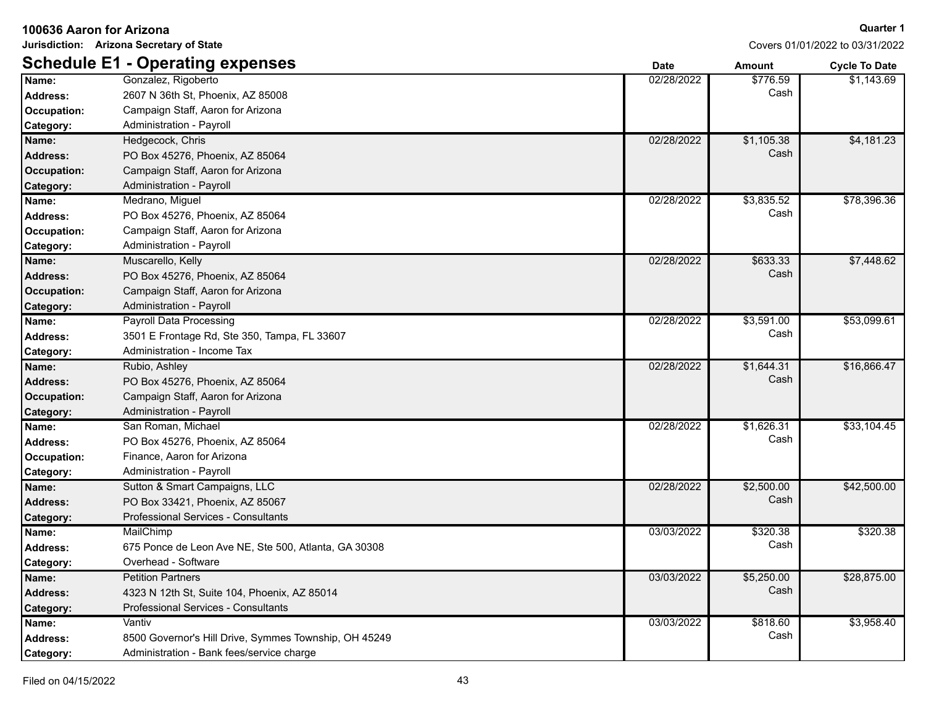| Jurisdiction: Arizona Secretary of State |                                                       |             | Covers 01/01/2022 to 03/31/2022 |                      |
|------------------------------------------|-------------------------------------------------------|-------------|---------------------------------|----------------------|
|                                          | <b>Schedule E1 - Operating expenses</b>               | <b>Date</b> | Amount                          | <b>Cycle To Date</b> |
| Name:                                    | Gonzalez, Rigoberto                                   | 02/28/2022  | \$776.59                        | \$1,143.69           |
| <b>Address:</b>                          | 2607 N 36th St, Phoenix, AZ 85008                     |             | Cash                            |                      |
| Occupation:                              | Campaign Staff, Aaron for Arizona                     |             |                                 |                      |
| Category:                                | Administration - Payroll                              |             |                                 |                      |
| Name:                                    | Hedgecock, Chris                                      | 02/28/2022  | \$1,105.38                      | \$4,181.23           |
| <b>Address:</b>                          | PO Box 45276, Phoenix, AZ 85064                       |             | Cash                            |                      |
| Occupation:                              | Campaign Staff, Aaron for Arizona                     |             |                                 |                      |
| Category:                                | Administration - Payroll                              |             |                                 |                      |
| Name:                                    | Medrano, Miguel                                       | 02/28/2022  | \$3,835.52                      | \$78,396.36          |
| <b>Address:</b>                          | PO Box 45276, Phoenix, AZ 85064                       |             | Cash                            |                      |
| Occupation:                              | Campaign Staff, Aaron for Arizona                     |             |                                 |                      |
| Category:                                | Administration - Payroll                              |             |                                 |                      |
| Name:                                    | Muscarello, Kelly                                     | 02/28/2022  | \$633.33                        | \$7,448.62           |
| <b>Address:</b>                          | PO Box 45276, Phoenix, AZ 85064                       |             | Cash                            |                      |
| Occupation:                              | Campaign Staff, Aaron for Arizona                     |             |                                 |                      |
| <b>Category:</b>                         | Administration - Payroll                              |             |                                 |                      |
| Name:                                    | Payroll Data Processing                               | 02/28/2022  | \$3,591.00                      | \$53,099.61          |
| <b>Address:</b>                          | 3501 E Frontage Rd, Ste 350, Tampa, FL 33607          |             | Cash                            |                      |
| Category:                                | Administration - Income Tax                           |             |                                 |                      |
| Name:                                    | Rubio, Ashley                                         | 02/28/2022  | \$1,644.31                      | \$16,866.47          |
| <b>Address:</b>                          | PO Box 45276, Phoenix, AZ 85064                       |             | Cash                            |                      |
| Occupation:                              | Campaign Staff, Aaron for Arizona                     |             |                                 |                      |
| <b>Category:</b>                         | Administration - Payroll                              |             |                                 |                      |
| Name:                                    | San Roman, Michael                                    | 02/28/2022  | \$1,626.31                      | \$33,104.45          |
| <b>Address:</b>                          | PO Box 45276, Phoenix, AZ 85064                       |             | Cash                            |                      |
| Occupation:                              | Finance, Aaron for Arizona                            |             |                                 |                      |
| Category:                                | Administration - Payroll                              |             |                                 |                      |
| Name:                                    | Sutton & Smart Campaigns, LLC                         | 02/28/2022  | \$2,500.00                      | \$42,500.00          |
| <b>Address:</b>                          | PO Box 33421, Phoenix, AZ 85067                       |             | Cash                            |                      |
| <b>Category:</b>                         | Professional Services - Consultants                   |             |                                 |                      |
| Name:                                    | MailChimp                                             | 03/03/2022  | \$320.38                        | \$320.38             |
| <b>Address:</b>                          | 675 Ponce de Leon Ave NE, Ste 500, Atlanta, GA 30308  |             | Cash                            |                      |
| Category:                                | Overhead - Software                                   |             |                                 |                      |
| Name:                                    | <b>Petition Partners</b>                              | 03/03/2022  | \$5,250.00                      | \$28,875.00          |
| <b>Address:</b>                          | 4323 N 12th St, Suite 104, Phoenix, AZ 85014          |             | Cash                            |                      |
| Category:                                | Professional Services - Consultants                   |             |                                 |                      |
| Name:                                    | Vantiv                                                | 03/03/2022  | \$818.60                        | \$3,958.40           |
| Address:                                 | 8500 Governor's Hill Drive, Symmes Township, OH 45249 |             | Cash                            |                      |
| Category:                                | Administration - Bank fees/service charge             |             |                                 |                      |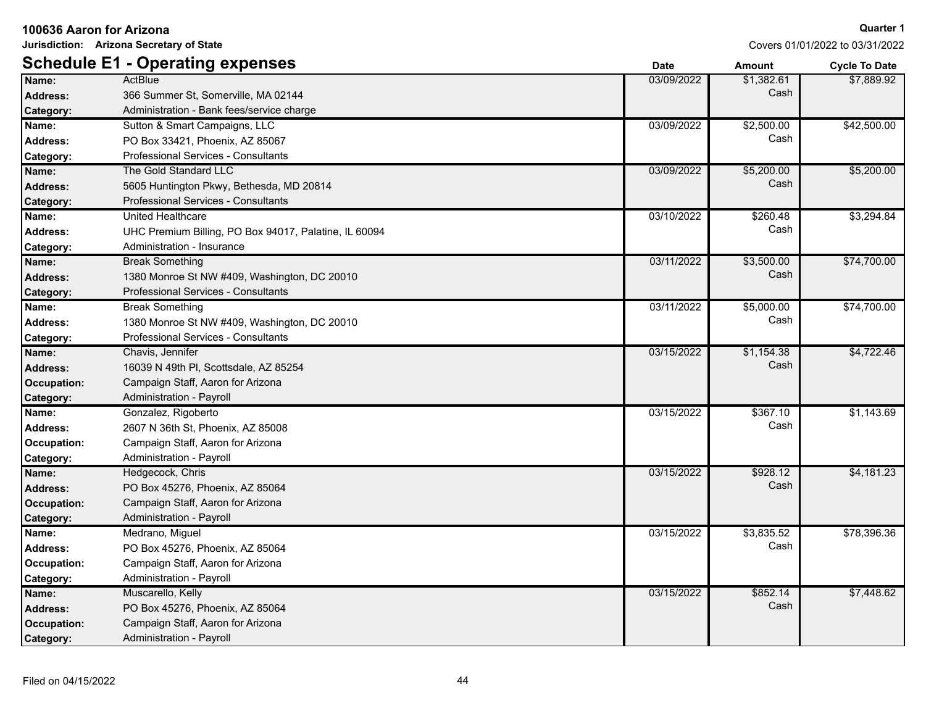| Jurisdiction: Arizona Secretary of State |                                                       | Covers 01/01/2022 to 03/31/2022 |               |                      |
|------------------------------------------|-------------------------------------------------------|---------------------------------|---------------|----------------------|
|                                          | <b>Schedule E1 - Operating expenses</b>               | <b>Date</b>                     | <b>Amount</b> | <b>Cycle To Date</b> |
| Name:                                    | ActBlue                                               | 03/09/2022                      | \$1,382.61    | \$7,889.92           |
| <b>Address:</b>                          | 366 Summer St, Somerville, MA 02144                   |                                 | Cash          |                      |
| Category:                                | Administration - Bank fees/service charge             |                                 |               |                      |
| Name:                                    | Sutton & Smart Campaigns, LLC                         | 03/09/2022                      | \$2,500.00    | \$42,500.00          |
| <b>Address:</b>                          | PO Box 33421, Phoenix, AZ 85067                       |                                 | Cash          |                      |
| Category:                                | Professional Services - Consultants                   |                                 |               |                      |
| Name:                                    | The Gold Standard LLC                                 | 03/09/2022                      | \$5,200.00    | \$5,200.00           |
| <b>Address:</b>                          | 5605 Huntington Pkwy, Bethesda, MD 20814              |                                 | Cash          |                      |
| Category:                                | Professional Services - Consultants                   |                                 |               |                      |
| Name:                                    | United Healthcare                                     | 03/10/2022                      | \$260.48      | \$3,294.84           |
| <b>Address:</b>                          | UHC Premium Billing, PO Box 94017, Palatine, IL 60094 |                                 | Cash          |                      |
| Category:                                | Administration - Insurance                            |                                 |               |                      |
| Name:                                    | <b>Break Something</b>                                | 03/11/2022                      | \$3,500.00    | \$74,700.00          |
| <b>Address:</b>                          | 1380 Monroe St NW #409, Washington, DC 20010          |                                 | Cash          |                      |
| Category:                                | Professional Services - Consultants                   |                                 |               |                      |
| Name:                                    | <b>Break Something</b>                                | 03/11/2022                      | \$5,000.00    | \$74,700.00          |
| <b>Address:</b>                          | 1380 Monroe St NW #409, Washington, DC 20010          |                                 | Cash          |                      |
| Category:                                | Professional Services - Consultants                   |                                 |               |                      |
| Name:                                    | Chavis, Jennifer                                      | 03/15/2022                      | \$1,154.38    | \$4,722.46           |
| <b>Address:</b>                          | 16039 N 49th PI, Scottsdale, AZ 85254                 |                                 | Cash          |                      |
| Occupation:                              | Campaign Staff, Aaron for Arizona                     |                                 |               |                      |
| Category:                                | Administration - Payroll                              |                                 |               |                      |
| Name:                                    | Gonzalez, Rigoberto                                   | 03/15/2022                      | \$367.10      | \$1,143.69           |
| <b>Address:</b>                          | 2607 N 36th St, Phoenix, AZ 85008                     |                                 | Cash          |                      |
| Occupation:                              | Campaign Staff, Aaron for Arizona                     |                                 |               |                      |
| Category:                                | Administration - Payroll                              |                                 |               |                      |
| Name:                                    | Hedgecock, Chris                                      | 03/15/2022                      | \$928.12      | \$4,181.23           |
| <b>Address:</b>                          | PO Box 45276, Phoenix, AZ 85064                       |                                 | Cash          |                      |
| Occupation:                              | Campaign Staff, Aaron for Arizona                     |                                 |               |                      |
| Category:                                | Administration - Payroll                              |                                 |               |                      |
| Name:                                    | Medrano, Miguel                                       | 03/15/2022                      | \$3,835.52    | \$78,396.36          |
| <b>Address:</b>                          | PO Box 45276, Phoenix, AZ 85064                       |                                 | Cash          |                      |
| Occupation:                              | Campaign Staff, Aaron for Arizona                     |                                 |               |                      |
| Category:                                | Administration - Payroll                              |                                 |               |                      |
| Name:                                    | Muscarello, Kelly                                     | 03/15/2022                      | \$852.14      | \$7,448.62           |
| <b>Address:</b>                          | PO Box 45276, Phoenix, AZ 85064                       |                                 | Cash          |                      |
| Occupation:                              | Campaign Staff, Aaron for Arizona                     |                                 |               |                      |
| Category:                                | Administration - Payroll                              |                                 |               |                      |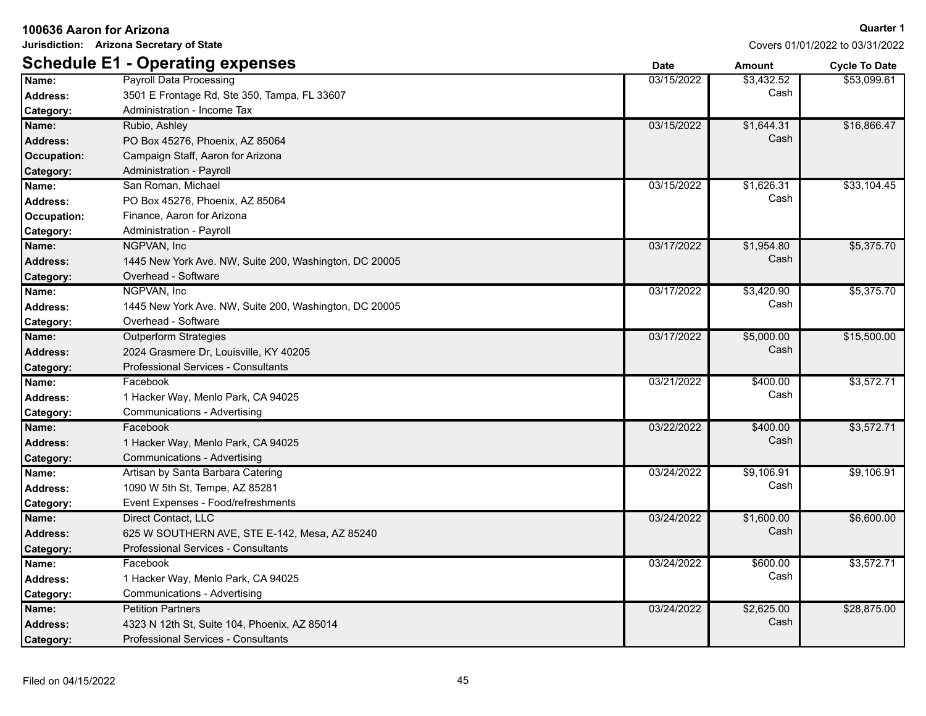| Jurisdiction: Arizona Secretary of State |                                                        |             | Covers 01/01/2022 to 03/31/2022 |                      |  |
|------------------------------------------|--------------------------------------------------------|-------------|---------------------------------|----------------------|--|
|                                          | <b>Schedule E1 - Operating expenses</b>                | <b>Date</b> | <b>Amount</b>                   | <b>Cycle To Date</b> |  |
| Name:                                    | <b>Payroll Data Processing</b>                         | 03/15/2022  | \$3,432.52                      | \$53,099.61          |  |
| <b>Address:</b>                          | 3501 E Frontage Rd, Ste 350, Tampa, FL 33607           |             | Cash                            |                      |  |
| Category:                                | Administration - Income Tax                            |             |                                 |                      |  |
| Name:                                    | Rubio, Ashley                                          | 03/15/2022  | \$1,644.31                      | \$16,866.47          |  |
| <b>Address:</b>                          | PO Box 45276, Phoenix, AZ 85064                        |             | Cash                            |                      |  |
| Occupation:                              | Campaign Staff, Aaron for Arizona                      |             |                                 |                      |  |
| Category:                                | Administration - Payroll                               |             |                                 |                      |  |
| Name:                                    | San Roman, Michael                                     | 03/15/2022  | \$1,626.31                      | \$33,104.45          |  |
| <b>Address:</b>                          | PO Box 45276, Phoenix, AZ 85064                        |             | Cash                            |                      |  |
| <b>Occupation:</b>                       | Finance, Aaron for Arizona                             |             |                                 |                      |  |
| Category:                                | Administration - Payroll                               |             |                                 |                      |  |
| Name:                                    | NGPVAN, Inc                                            | 03/17/2022  | \$1,954.80                      | \$5,375.70           |  |
| <b>Address:</b>                          | 1445 New York Ave. NW, Suite 200, Washington, DC 20005 |             | Cash                            |                      |  |
| Category:                                | Overhead - Software                                    |             |                                 |                      |  |
| Name:                                    | NGPVAN, Inc                                            | 03/17/2022  | \$3,420.90                      | \$5,375.70           |  |
| <b>Address:</b>                          | 1445 New York Ave. NW, Suite 200, Washington, DC 20005 |             | Cash                            |                      |  |
| Category:                                | Overhead - Software                                    |             |                                 |                      |  |
| Name:                                    | <b>Outperform Strategies</b>                           | 03/17/2022  | \$5,000.00                      | \$15,500.00          |  |
| <b>Address:</b>                          | 2024 Grasmere Dr, Louisville, KY 40205                 |             | Cash                            |                      |  |
| Category:                                | <b>Professional Services - Consultants</b>             |             |                                 |                      |  |
| Name:                                    | Facebook                                               | 03/21/2022  | \$400.00                        | \$3,572.71           |  |
| <b>Address:</b>                          | 1 Hacker Way, Menlo Park, CA 94025                     |             | Cash                            |                      |  |
| Category:                                | Communications - Advertising                           |             |                                 |                      |  |
| Name:                                    | Facebook                                               | 03/22/2022  | \$400.00                        | \$3,572.71           |  |
| <b>Address:</b>                          | 1 Hacker Way, Menlo Park, CA 94025                     |             | Cash                            |                      |  |
| Category:                                | Communications - Advertising                           |             |                                 |                      |  |
| Name:                                    | Artisan by Santa Barbara Catering                      | 03/24/2022  | \$9,106.91                      | \$9,106.91           |  |
| <b>Address:</b>                          | 1090 W 5th St. Tempe, AZ 85281                         |             | Cash                            |                      |  |
| Category:                                | Event Expenses - Food/refreshments                     |             |                                 |                      |  |
| Name:                                    | Direct Contact, LLC                                    | 03/24/2022  | \$1,600.00                      | \$6,600.00           |  |
| <b>Address:</b>                          | 625 W SOUTHERN AVE, STE E-142, Mesa, AZ 85240          |             | Cash                            |                      |  |
| Category:                                | Professional Services - Consultants                    |             |                                 |                      |  |
| Name:                                    | Facebook                                               | 03/24/2022  | \$600.00                        | \$3,572.71           |  |
| <b>Address:</b>                          | 1 Hacker Way, Menlo Park, CA 94025                     |             | Cash                            |                      |  |
| Category:                                | Communications - Advertising                           |             |                                 |                      |  |
| Name:                                    | <b>Petition Partners</b>                               | 03/24/2022  | \$2,625.00                      | \$28,875.00          |  |
| <b>Address:</b>                          | 4323 N 12th St, Suite 104, Phoenix, AZ 85014           |             | Cash                            |                      |  |
| Category:                                | Professional Services - Consultants                    |             |                                 |                      |  |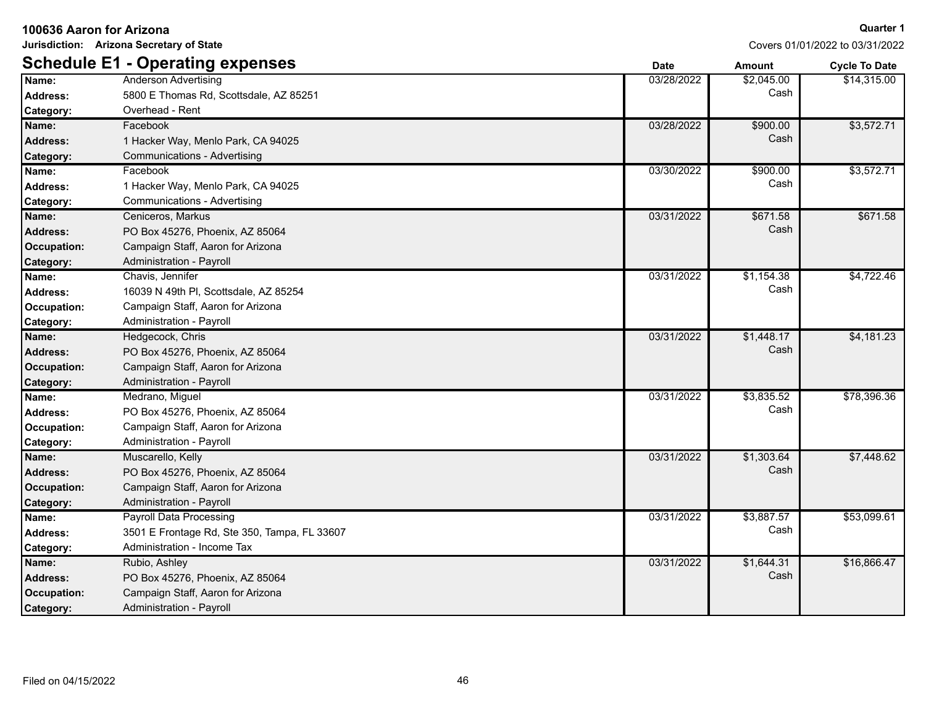| Jurisdiction: Arizona Secretary of State |                                              |             | Covers 01/01/2022 to 03/31/2022 |                      |
|------------------------------------------|----------------------------------------------|-------------|---------------------------------|----------------------|
|                                          | <b>Schedule E1 - Operating expenses</b>      | <b>Date</b> | Amount                          | <b>Cycle To Date</b> |
| Name:                                    | <b>Anderson Advertising</b>                  | 03/28/2022  | \$2,045.00                      | \$14,315.00          |
| <b>Address:</b>                          | 5800 E Thomas Rd, Scottsdale, AZ 85251       |             | Cash                            |                      |
| Category:                                | Overhead - Rent                              |             |                                 |                      |
| Name:                                    | Facebook                                     | 03/28/2022  | \$900.00                        | \$3,572.71           |
| <b>Address:</b>                          | 1 Hacker Way, Menlo Park, CA 94025           |             | Cash                            |                      |
| Category:                                | <b>Communications - Advertising</b>          |             |                                 |                      |
| Name:                                    | Facebook                                     | 03/30/2022  | \$900.00                        | \$3,572.71           |
| <b>Address:</b>                          | 1 Hacker Way, Menlo Park, CA 94025           |             | Cash                            |                      |
| Category:                                | Communications - Advertising                 |             |                                 |                      |
| Name:                                    | Ceniceros, Markus                            | 03/31/2022  | \$671.58                        | \$671.58             |
| <b>Address:</b>                          | PO Box 45276, Phoenix, AZ 85064              |             | Cash                            |                      |
| <b>Occupation:</b>                       | Campaign Staff, Aaron for Arizona            |             |                                 |                      |
| Category:                                | Administration - Payroll                     |             |                                 |                      |
| Name:                                    | Chavis, Jennifer                             | 03/31/2022  | \$1,154.38                      | \$4,722.46           |
| <b>Address:</b>                          | 16039 N 49th PI, Scottsdale, AZ 85254        |             | Cash                            |                      |
| Occupation:                              | Campaign Staff, Aaron for Arizona            |             |                                 |                      |
| Category:                                | Administration - Payroll                     |             |                                 |                      |
| Name:                                    | Hedgecock, Chris                             | 03/31/2022  | \$1,448.17                      | \$4,181.23           |
| Address:                                 | PO Box 45276, Phoenix, AZ 85064              |             | Cash                            |                      |
| <b>Occupation:</b>                       | Campaign Staff, Aaron for Arizona            |             |                                 |                      |
| Category:                                | Administration - Payroll                     |             |                                 |                      |
| Name:                                    | Medrano, Miguel                              | 03/31/2022  | \$3,835.52                      | \$78,396.36          |
| <b>Address:</b>                          | PO Box 45276, Phoenix, AZ 85064              |             | Cash                            |                      |
| Occupation:                              | Campaign Staff, Aaron for Arizona            |             |                                 |                      |
| Category:                                | Administration - Payroll                     |             |                                 |                      |
| Name:                                    | Muscarello, Kelly                            | 03/31/2022  | \$1,303.64                      | \$7,448.62           |
| <b>Address:</b>                          | PO Box 45276, Phoenix, AZ 85064              |             | Cash                            |                      |
| <b>Occupation:</b>                       | Campaign Staff, Aaron for Arizona            |             |                                 |                      |
| Category:                                | Administration - Payroll                     |             |                                 |                      |
| Name:                                    | Payroll Data Processing                      | 03/31/2022  | \$3,887.57                      | \$53,099.61          |
| <b>Address:</b>                          | 3501 E Frontage Rd, Ste 350, Tampa, FL 33607 |             | Cash                            |                      |
| Category:                                | Administration - Income Tax                  |             |                                 |                      |
| Name:                                    | Rubio, Ashley                                | 03/31/2022  | \$1,644.31                      | \$16,866.47          |
| <b>Address:</b>                          | PO Box 45276, Phoenix, AZ 85064              |             | Cash                            |                      |
| <b>Occupation:</b>                       | Campaign Staff, Aaron for Arizona            |             |                                 |                      |
| Category:                                | Administration - Payroll                     |             |                                 |                      |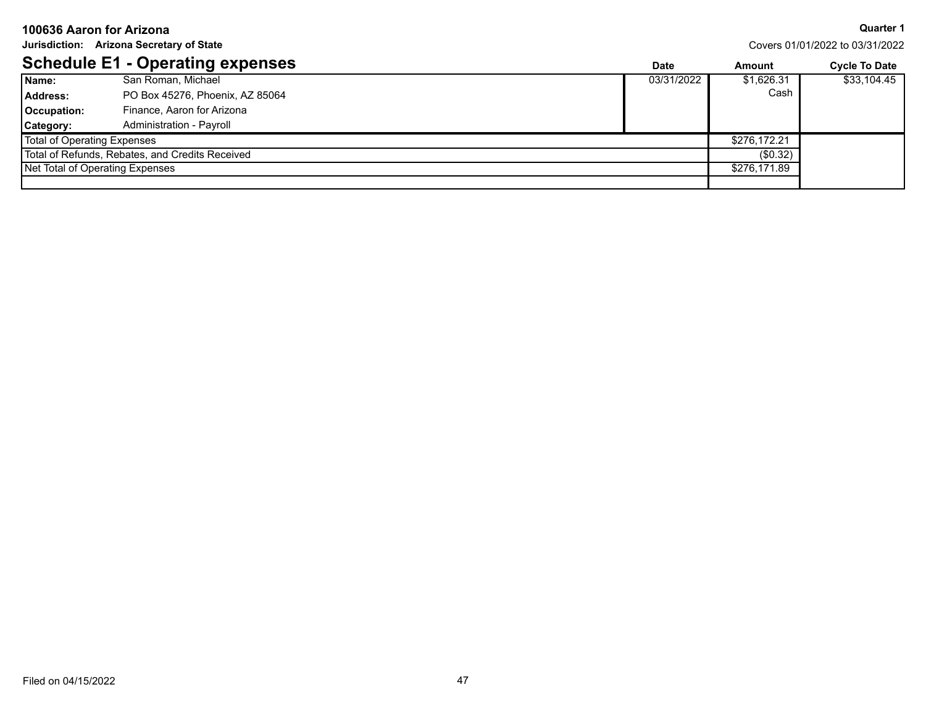| 100636 Aaron for Arizona                 |                                                 |            |                                 | <b>Quarter 1</b>     |
|------------------------------------------|-------------------------------------------------|------------|---------------------------------|----------------------|
| Jurisdiction: Arizona Secretary of State |                                                 |            | Covers 01/01/2022 to 03/31/2022 |                      |
|                                          | <b>Schedule E1 - Operating expenses</b>         | Date       | Amount                          | <b>Cycle To Date</b> |
| Name:                                    | San Roman, Michael                              | 03/31/2022 | \$1,626.31                      | \$33,104.45          |
| Address:                                 | PO Box 45276, Phoenix, AZ 85064                 |            | Cash                            |                      |
| Occupation:                              | Finance, Aaron for Arizona                      |            |                                 |                      |
| Category:                                | Administration - Payroll                        |            |                                 |                      |
| <b>Total of Operating Expenses</b>       |                                                 |            | \$276,172.21                    |                      |
|                                          | Total of Refunds, Rebates, and Credits Received |            | (\$0.32)                        |                      |
|                                          | Net Total of Operating Expenses                 |            | \$276,171.89                    |                      |
|                                          |                                                 |            |                                 |                      |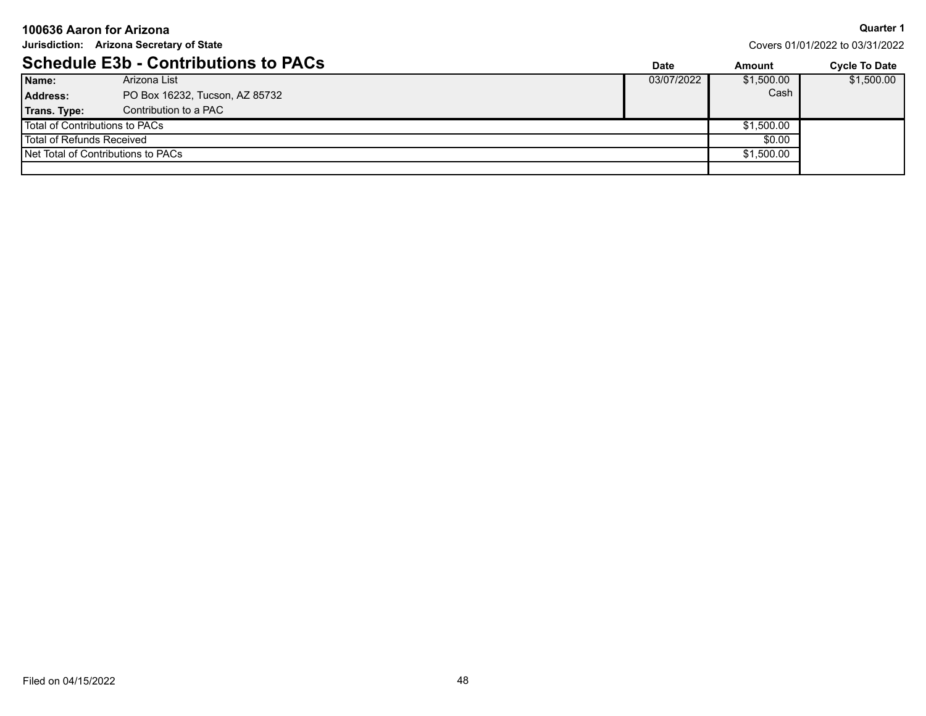| 100636 Aaron for Arizona                 |                                             |  |             |                                 | <b>Quarter 1</b>     |
|------------------------------------------|---------------------------------------------|--|-------------|---------------------------------|----------------------|
| Jurisdiction: Arizona Secretary of State |                                             |  |             | Covers 01/01/2022 to 03/31/2022 |                      |
|                                          | <b>Schedule E3b - Contributions to PACs</b> |  | <b>Date</b> | Amount                          | <b>Cycle To Date</b> |
| Name:                                    | Arizona List                                |  | 03/07/2022  | \$1,500.00                      | \$1,500.00           |
| <b>Address:</b>                          | PO Box 16232, Tucson, AZ 85732              |  |             | Cash                            |                      |
| Trans. Type:                             | Contribution to a PAC                       |  |             |                                 |                      |
| Total of Contributions to PACs           |                                             |  |             | \$1,500.00                      |                      |
| Total of Refunds Received                |                                             |  |             | \$0.00                          |                      |
| Net Total of Contributions to PACs       |                                             |  |             | \$1,500.00                      |                      |
|                                          |                                             |  |             |                                 |                      |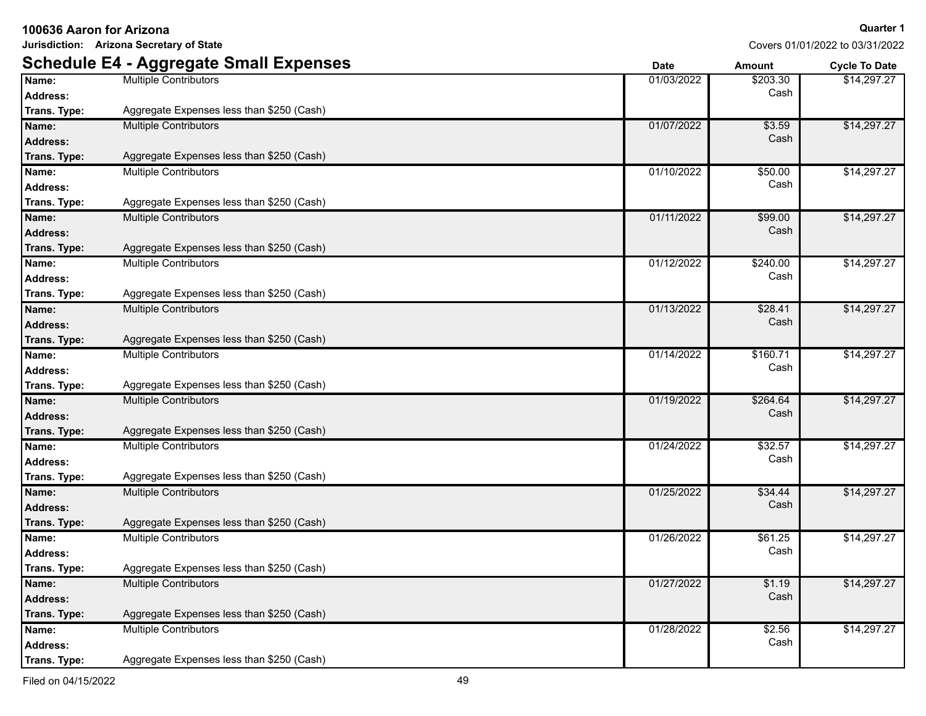**Jurisdiction: Arizona Secretary of State**

|                 | <b>Schedule E4 - Aggregate Small Expenses</b> | <b>Date</b> | Amount   | <b>Cycle To Date</b> |
|-----------------|-----------------------------------------------|-------------|----------|----------------------|
| Name:           | <b>Multiple Contributors</b>                  | 01/03/2022  | \$203.30 | \$14,297.27          |
| Address:        |                                               |             | Cash     |                      |
| Trans. Type:    | Aggregate Expenses less than \$250 (Cash)     |             |          |                      |
| Name:           | <b>Multiple Contributors</b>                  | 01/07/2022  | \$3.59   | \$14,297.27          |
| <b>Address:</b> |                                               |             | Cash     |                      |
| Trans. Type:    | Aggregate Expenses less than \$250 (Cash)     |             |          |                      |
| Name:           | <b>Multiple Contributors</b>                  | 01/10/2022  | \$50.00  | \$14,297.27          |
| <b>Address:</b> |                                               |             | Cash     |                      |
| Trans. Type:    | Aggregate Expenses less than \$250 (Cash)     |             |          |                      |
| Name:           | <b>Multiple Contributors</b>                  | 01/11/2022  | \$99.00  | \$14,297.27          |
| <b>Address:</b> |                                               |             | Cash     |                      |
| Trans. Type:    | Aggregate Expenses less than \$250 (Cash)     |             |          |                      |
| Name:           | <b>Multiple Contributors</b>                  | 01/12/2022  | \$240.00 | \$14,297.27          |
| <b>Address:</b> |                                               |             | Cash     |                      |
| Trans. Type:    | Aggregate Expenses less than \$250 (Cash)     |             |          |                      |
| Name:           | <b>Multiple Contributors</b>                  | 01/13/2022  | \$28.41  | \$14,297.27          |
| <b>Address:</b> |                                               |             | Cash     |                      |
| Trans. Type:    | Aggregate Expenses less than \$250 (Cash)     |             |          |                      |
| Name:           | <b>Multiple Contributors</b>                  | 01/14/2022  | \$160.71 | \$14,297.27          |
| <b>Address:</b> |                                               |             | Cash     |                      |
| Trans. Type:    | Aggregate Expenses less than \$250 (Cash)     |             |          |                      |
| Name:           | <b>Multiple Contributors</b>                  | 01/19/2022  | \$264.64 | \$14,297.27          |
| <b>Address:</b> |                                               |             | Cash     |                      |
| Trans. Type:    | Aggregate Expenses less than \$250 (Cash)     |             |          |                      |
| Name:           | <b>Multiple Contributors</b>                  | 01/24/2022  | \$32.57  | \$14,297.27          |
| <b>Address:</b> |                                               |             | Cash     |                      |
| Trans. Type:    | Aggregate Expenses less than \$250 (Cash)     |             |          |                      |
| Name:           | <b>Multiple Contributors</b>                  | 01/25/2022  | \$34.44  | \$14,297.27          |
| <b>Address:</b> |                                               |             | Cash     |                      |
| Trans. Type:    | Aggregate Expenses less than \$250 (Cash)     |             |          |                      |
| Name:           | <b>Multiple Contributors</b>                  | 01/26/2022  | \$61.25  | \$14,297.27          |
| <b>Address:</b> |                                               |             | Cash     |                      |
| Trans. Type:    | Aggregate Expenses less than \$250 (Cash)     |             |          |                      |
| Name:           | <b>Multiple Contributors</b>                  | 01/27/2022  | \$1.19   | \$14,297.27          |
| <b>Address:</b> |                                               |             | Cash     |                      |
| Trans. Type:    | Aggregate Expenses less than \$250 (Cash)     |             |          |                      |
| Name:           | <b>Multiple Contributors</b>                  | 01/28/2022  | \$2.56   | \$14,297.27          |
| Address:        |                                               |             | Cash     |                      |
| Trans. Type:    | Aggregate Expenses less than \$250 (Cash)     |             |          |                      |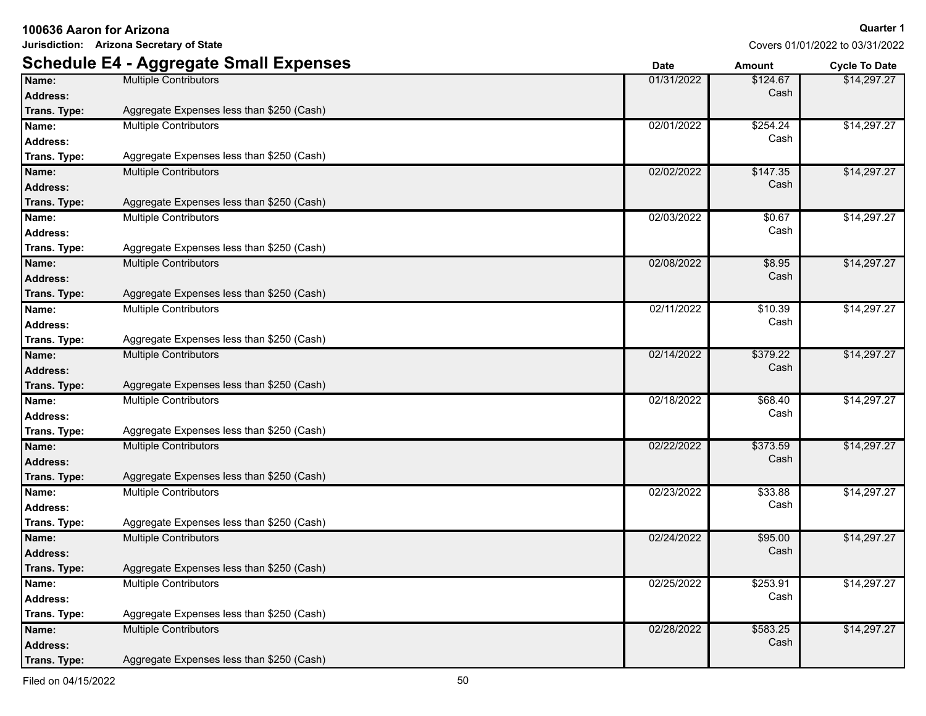**Jurisdiction: Arizona Secretary of State**

|                 | <b>Schedule E4 - Aggregate Small Expenses</b> | <b>Date</b> | Amount   | <b>Cycle To Date</b> |
|-----------------|-----------------------------------------------|-------------|----------|----------------------|
| Name:           | <b>Multiple Contributors</b>                  | 01/31/2022  | \$124.67 | \$14,297.27          |
| <b>Address:</b> |                                               |             | Cash     |                      |
| Trans. Type:    | Aggregate Expenses less than \$250 (Cash)     |             |          |                      |
| Name:           | <b>Multiple Contributors</b>                  | 02/01/2022  | \$254.24 | \$14,297.27          |
| <b>Address:</b> |                                               |             | Cash     |                      |
| Trans. Type:    | Aggregate Expenses less than \$250 (Cash)     |             |          |                      |
| Name:           | <b>Multiple Contributors</b>                  | 02/02/2022  | \$147.35 | \$14,297.27          |
| <b>Address:</b> |                                               |             | Cash     |                      |
| Trans. Type:    | Aggregate Expenses less than \$250 (Cash)     |             |          |                      |
| Name:           | <b>Multiple Contributors</b>                  | 02/03/2022  | \$0.67   | \$14,297.27          |
| <b>Address:</b> |                                               |             | Cash     |                      |
| Trans. Type:    | Aggregate Expenses less than \$250 (Cash)     |             |          |                      |
| Name:           | <b>Multiple Contributors</b>                  | 02/08/2022  | \$8.95   | \$14,297.27          |
| <b>Address:</b> |                                               |             | Cash     |                      |
| Trans. Type:    | Aggregate Expenses less than \$250 (Cash)     |             |          |                      |
| Name:           | <b>Multiple Contributors</b>                  | 02/11/2022  | \$10.39  | \$14,297.27          |
| <b>Address:</b> |                                               |             | Cash     |                      |
| Trans. Type:    | Aggregate Expenses less than \$250 (Cash)     |             |          |                      |
| Name:           | <b>Multiple Contributors</b>                  | 02/14/2022  | \$379.22 | \$14,297.27          |
| <b>Address:</b> |                                               |             | Cash     |                      |
| Trans. Type:    | Aggregate Expenses less than \$250 (Cash)     |             |          |                      |
| Name:           | <b>Multiple Contributors</b>                  | 02/18/2022  | \$68.40  | \$14,297.27          |
| <b>Address:</b> |                                               |             | Cash     |                      |
| Trans. Type:    | Aggregate Expenses less than \$250 (Cash)     |             |          |                      |
| Name:           | <b>Multiple Contributors</b>                  | 02/22/2022  | \$373.59 | \$14,297.27          |
| <b>Address:</b> |                                               |             | Cash     |                      |
| Trans. Type:    | Aggregate Expenses less than \$250 (Cash)     |             |          |                      |
| Name:           | <b>Multiple Contributors</b>                  | 02/23/2022  | \$33.88  | \$14,297.27          |
| <b>Address:</b> |                                               |             | Cash     |                      |
| Trans. Type:    | Aggregate Expenses less than \$250 (Cash)     |             |          |                      |
| Name:           | <b>Multiple Contributors</b>                  | 02/24/2022  | \$95.00  | \$14,297.27          |
| <b>Address:</b> |                                               |             | Cash     |                      |
| Trans. Type:    | Aggregate Expenses less than \$250 (Cash)     |             |          |                      |
| Name:           | <b>Multiple Contributors</b>                  | 02/25/2022  | \$253.91 | \$14,297.27          |
| <b>Address:</b> |                                               |             | Cash     |                      |
| Trans. Type:    | Aggregate Expenses less than \$250 (Cash)     |             |          |                      |
| Name:           | <b>Multiple Contributors</b>                  | 02/28/2022  | \$583.25 | \$14,297.27          |
| <b>Address:</b> |                                               |             | Cash     |                      |
| Trans. Type:    | Aggregate Expenses less than \$250 (Cash)     |             |          |                      |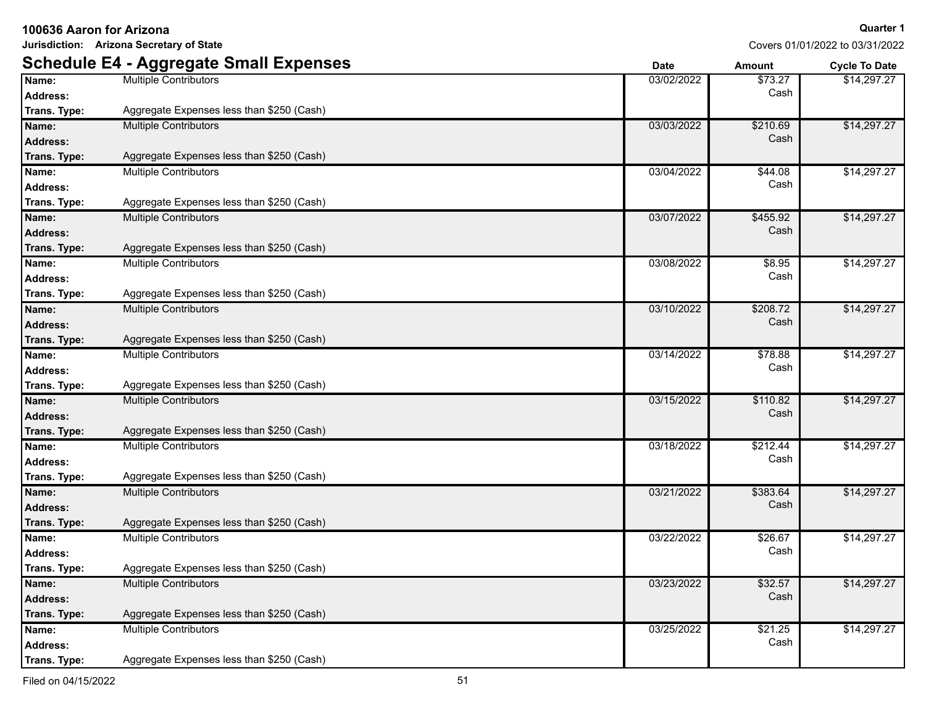**Jurisdiction: Arizona Secretary of State**

|                 | <b>Schedule E4 - Aggregate Small Expenses</b> | <b>Date</b> | Amount   | <b>Cycle To Date</b> |
|-----------------|-----------------------------------------------|-------------|----------|----------------------|
| Name:           | <b>Multiple Contributors</b>                  | 03/02/2022  | \$73.27  | \$14,297.27          |
| <b>Address:</b> |                                               |             | Cash     |                      |
| Trans. Type:    | Aggregate Expenses less than \$250 (Cash)     |             |          |                      |
| Name:           | <b>Multiple Contributors</b>                  | 03/03/2022  | \$210.69 | \$14,297.27          |
| <b>Address:</b> |                                               |             | Cash     |                      |
| Trans. Type:    | Aggregate Expenses less than \$250 (Cash)     |             |          |                      |
| Name:           | <b>Multiple Contributors</b>                  | 03/04/2022  | \$44.08  | \$14,297.27          |
| <b>Address:</b> |                                               |             | Cash     |                      |
| Trans. Type:    | Aggregate Expenses less than \$250 (Cash)     |             |          |                      |
| Name:           | <b>Multiple Contributors</b>                  | 03/07/2022  | \$455.92 | \$14,297.27          |
| <b>Address:</b> |                                               |             | Cash     |                      |
| Trans. Type:    | Aggregate Expenses less than \$250 (Cash)     |             |          |                      |
| Name:           | <b>Multiple Contributors</b>                  | 03/08/2022  | \$8.95   | \$14,297.27          |
| <b>Address:</b> |                                               |             | Cash     |                      |
| Trans. Type:    | Aggregate Expenses less than \$250 (Cash)     |             |          |                      |
| Name:           | <b>Multiple Contributors</b>                  | 03/10/2022  | \$208.72 | \$14,297.27          |
| <b>Address:</b> |                                               |             | Cash     |                      |
| Trans. Type:    | Aggregate Expenses less than \$250 (Cash)     |             |          |                      |
| Name:           | <b>Multiple Contributors</b>                  | 03/14/2022  | \$78.88  | \$14,297.27          |
| <b>Address:</b> |                                               |             | Cash     |                      |
| Trans. Type:    | Aggregate Expenses less than \$250 (Cash)     |             |          |                      |
| Name:           | <b>Multiple Contributors</b>                  | 03/15/2022  | \$110.82 | \$14,297.27          |
| <b>Address:</b> |                                               |             | Cash     |                      |
| Trans. Type:    | Aggregate Expenses less than \$250 (Cash)     |             |          |                      |
| Name:           | <b>Multiple Contributors</b>                  | 03/18/2022  | \$212.44 | \$14,297.27          |
| <b>Address:</b> |                                               |             | Cash     |                      |
| Trans. Type:    | Aggregate Expenses less than \$250 (Cash)     |             |          |                      |
| Name:           | <b>Multiple Contributors</b>                  | 03/21/2022  | \$383.64 | \$14,297.27          |
| <b>Address:</b> |                                               |             | Cash     |                      |
| Trans. Type:    | Aggregate Expenses less than \$250 (Cash)     |             |          |                      |
| Name:           | <b>Multiple Contributors</b>                  | 03/22/2022  | \$26.67  | \$14,297.27          |
| <b>Address:</b> |                                               |             | Cash     |                      |
| Trans. Type:    | Aggregate Expenses less than \$250 (Cash)     |             |          |                      |
| Name:           | <b>Multiple Contributors</b>                  | 03/23/2022  | \$32.57  | \$14,297.27          |
| <b>Address:</b> |                                               |             | Cash     |                      |
| Trans. Type:    | Aggregate Expenses less than \$250 (Cash)     |             |          |                      |
| Name:           | <b>Multiple Contributors</b>                  | 03/25/2022  | \$21.25  | \$14,297.27          |
| <b>Address:</b> |                                               |             | Cash     |                      |
| Trans. Type:    | Aggregate Expenses less than \$250 (Cash)     |             |          |                      |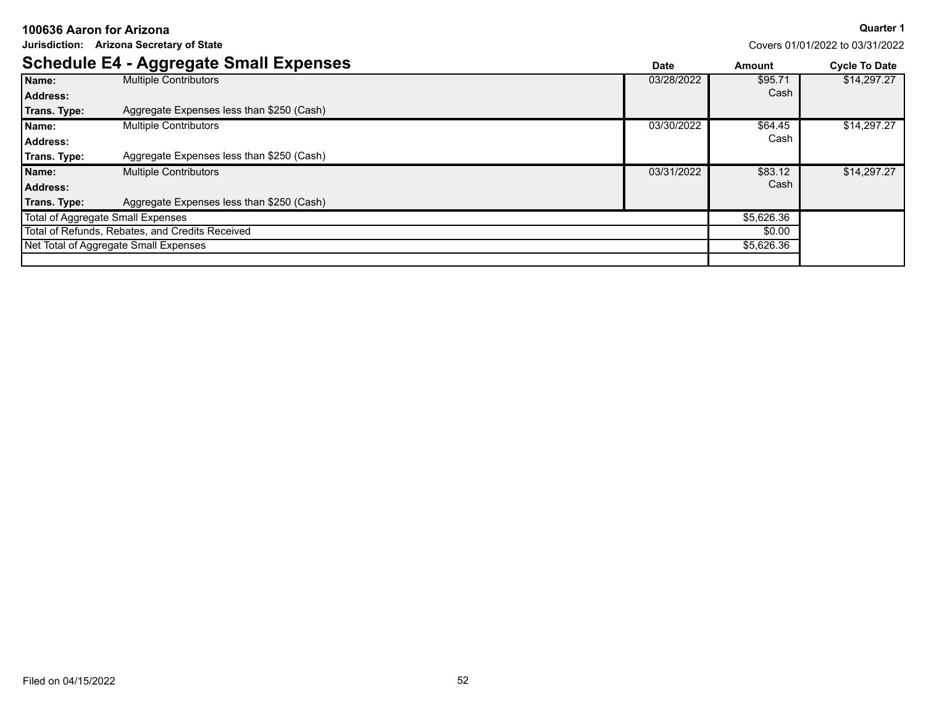**Jurisdiction: Arizona Secretary of State**

**Quarter 1**

|                                   | <b>Schedule E4 - Aggregate Small Expenses</b>   | <b>Date</b> | Amount     | <b>Cycle To Date</b> |
|-----------------------------------|-------------------------------------------------|-------------|------------|----------------------|
| Name:                             | <b>Multiple Contributors</b>                    | 03/28/2022  | \$95.71    | \$14,297.27          |
| <b>Address:</b>                   |                                                 |             | Cash       |                      |
| Trans. Type:                      | Aggregate Expenses less than \$250 (Cash)       |             |            |                      |
| Name:                             | <b>Multiple Contributors</b>                    | 03/30/2022  | \$64.45    | \$14,297.27          |
| Address:                          |                                                 |             | Cash       |                      |
| Trans. Type:                      | Aggregate Expenses less than \$250 (Cash)       |             |            |                      |
| Name:                             | <b>Multiple Contributors</b>                    | 03/31/2022  | \$83.12    | \$14,297.27          |
| <b>Address:</b>                   |                                                 |             | Cash       |                      |
| Trans. Type:                      | Aggregate Expenses less than \$250 (Cash)       |             |            |                      |
| Total of Aggregate Small Expenses |                                                 |             | \$5,626.36 |                      |
|                                   | Total of Refunds, Rebates, and Credits Received |             | \$0.00     |                      |
|                                   | Net Total of Aggregate Small Expenses           |             | \$5,626.36 |                      |
|                                   |                                                 |             |            |                      |